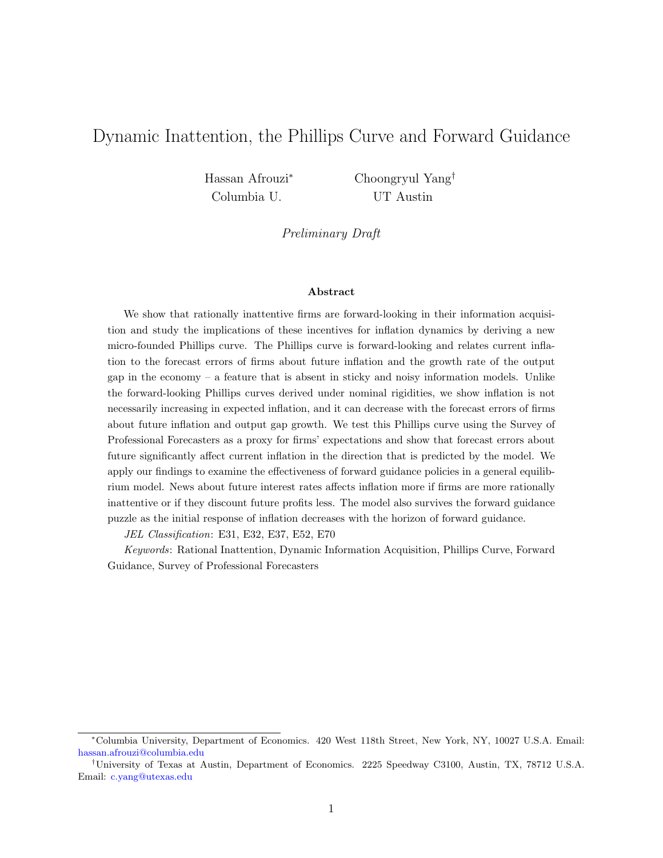# Dynamic Inattention, the Phillips Curve and Forward Guidance

Columbia U. UT Austin

Hassan Afrouzi<sup>∗</sup> Choongryul Yang†

Preliminary Draft

#### Abstract

We show that rationally inattentive firms are forward-looking in their information acquisition and study the implications of these incentives for inflation dynamics by deriving a new micro-founded Phillips curve. The Phillips curve is forward-looking and relates current inflation to the forecast errors of firms about future inflation and the growth rate of the output gap in the economy – a feature that is absent in sticky and noisy information models. Unlike the forward-looking Phillips curves derived under nominal rigidities, we show inflation is not necessarily increasing in expected inflation, and it can decrease with the forecast errors of firms about future inflation and output gap growth. We test this Phillips curve using the Survey of Professional Forecasters as a proxy for firms' expectations and show that forecast errors about future significantly affect current inflation in the direction that is predicted by the model. We apply our findings to examine the effectiveness of forward guidance policies in a general equilibrium model. News about future interest rates affects inflation more if firms are more rationally inattentive or if they discount future profits less. The model also survives the forward guidance puzzle as the initial response of inflation decreases with the horizon of forward guidance.

JEL Classification: E31, E32, E37, E52, E70

Keywords: Rational Inattention, Dynamic Information Acquisition, Phillips Curve, Forward Guidance, Survey of Professional Forecasters

<sup>∗</sup>Columbia University, Department of Economics. 420 West 118th Street, New York, NY, 10027 U.S.A. Email: [hassan.afrouzi@columbia.edu](http://hassan.afrouzi@columbia.edu)

<sup>†</sup>University of Texas at Austin, Department of Economics. 2225 Speedway C3100, Austin, TX, 78712 U.S.A. Email: [c.yang@utexas.edu](http://c.yang@utexas.edu)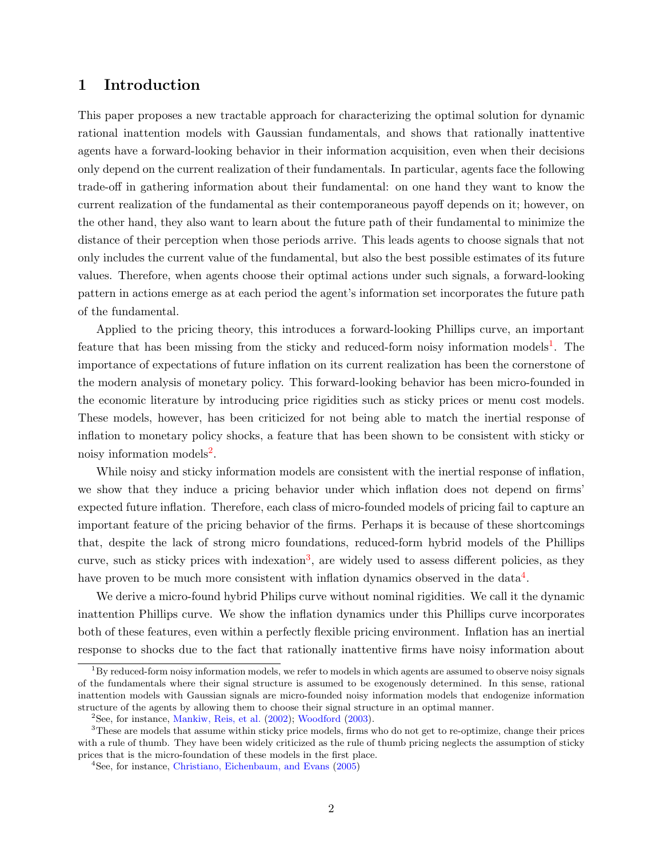# 1 Introduction

This paper proposes a new tractable approach for characterizing the optimal solution for dynamic rational inattention models with Gaussian fundamentals, and shows that rationally inattentive agents have a forward-looking behavior in their information acquisition, even when their decisions only depend on the current realization of their fundamentals. In particular, agents face the following trade-off in gathering information about their fundamental: on one hand they want to know the current realization of the fundamental as their contemporaneous payoff depends on it; however, on the other hand, they also want to learn about the future path of their fundamental to minimize the distance of their perception when those periods arrive. This leads agents to choose signals that not only includes the current value of the fundamental, but also the best possible estimates of its future values. Therefore, when agents choose their optimal actions under such signals, a forward-looking pattern in actions emerge as at each period the agent's information set incorporates the future path of the fundamental.

Applied to the pricing theory, this introduces a forward-looking Phillips curve, an important feature that has been missing from the sticky and reduced-form noisy information models<sup>[1](#page-1-0)</sup>. The importance of expectations of future inflation on its current realization has been the cornerstone of the modern analysis of monetary policy. This forward-looking behavior has been micro-founded in the economic literature by introducing price rigidities such as sticky prices or menu cost models. These models, however, has been criticized for not being able to match the inertial response of inflation to monetary policy shocks, a feature that has been shown to be consistent with sticky or noisy information models<sup>[2](#page-1-1)</sup>.

While noisy and sticky information models are consistent with the inertial response of inflation, we show that they induce a pricing behavior under which inflation does not depend on firms' expected future inflation. Therefore, each class of micro-founded models of pricing fail to capture an important feature of the pricing behavior of the firms. Perhaps it is because of these shortcomings that, despite the lack of strong micro foundations, reduced-form hybrid models of the Phillips curve, such as sticky prices with indexation<sup>[3](#page-1-2)</sup>, are widely used to assess different policies, as they have proven to be much more consistent with inflation dynamics observed in the data<sup>[4](#page-1-3)</sup>.

We derive a micro-found hybrid Philips curve without nominal rigidities. We call it the dynamic inattention Phillips curve. We show the inflation dynamics under this Phillips curve incorporates both of these features, even within a perfectly flexible pricing environment. Inflation has an inertial response to shocks due to the fact that rationally inattentive firms have noisy information about

<span id="page-1-0"></span> $1<sup>1</sup>$ By reduced-form noisy information models, we refer to models in which agents are assumed to observe noisy signals of the fundamentals where their signal structure is assumed to be exogenously determined. In this sense, rational inattention models with Gaussian signals are micro-founded noisy information models that endogenize information structure of the agents by allowing them to choose their signal structure in an optimal manner.

<span id="page-1-2"></span><span id="page-1-1"></span> $2$ See, for instance, [Mankiw, Reis, et al.](#page-36-0) [\(2002\)](#page-36-0); [Woodford](#page-37-0) [\(2003\)](#page-37-0).

<sup>&</sup>lt;sup>3</sup>These are models that assume within sticky price models, firms who do not get to re-optimize, change their prices with a rule of thumb. They have been widely criticized as the rule of thumb pricing neglects the assumption of sticky prices that is the micro-foundation of these models in the first place.

<span id="page-1-3"></span><sup>4</sup>See, for instance, [Christiano, Eichenbaum, and Evans](#page-35-0) [\(2005\)](#page-35-0)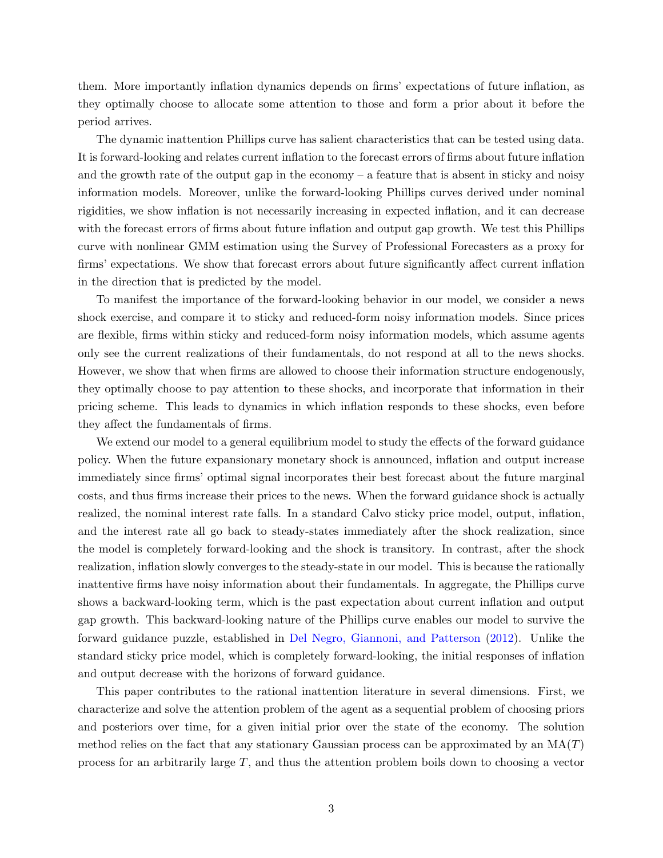them. More importantly inflation dynamics depends on firms' expectations of future inflation, as they optimally choose to allocate some attention to those and form a prior about it before the period arrives.

The dynamic inattention Phillips curve has salient characteristics that can be tested using data. It is forward-looking and relates current inflation to the forecast errors of firms about future inflation and the growth rate of the output gap in the economy – a feature that is absent in sticky and noisy information models. Moreover, unlike the forward-looking Phillips curves derived under nominal rigidities, we show inflation is not necessarily increasing in expected inflation, and it can decrease with the forecast errors of firms about future inflation and output gap growth. We test this Phillips curve with nonlinear GMM estimation using the Survey of Professional Forecasters as a proxy for firms' expectations. We show that forecast errors about future significantly affect current inflation in the direction that is predicted by the model.

To manifest the importance of the forward-looking behavior in our model, we consider a news shock exercise, and compare it to sticky and reduced-form noisy information models. Since prices are flexible, firms within sticky and reduced-form noisy information models, which assume agents only see the current realizations of their fundamentals, do not respond at all to the news shocks. However, we show that when firms are allowed to choose their information structure endogenously, they optimally choose to pay attention to these shocks, and incorporate that information in their pricing scheme. This leads to dynamics in which inflation responds to these shocks, even before they affect the fundamentals of firms.

We extend our model to a general equilibrium model to study the effects of the forward guidance policy. When the future expansionary monetary shock is announced, inflation and output increase immediately since firms' optimal signal incorporates their best forecast about the future marginal costs, and thus firms increase their prices to the news. When the forward guidance shock is actually realized, the nominal interest rate falls. In a standard Calvo sticky price model, output, inflation, and the interest rate all go back to steady-states immediately after the shock realization, since the model is completely forward-looking and the shock is transitory. In contrast, after the shock realization, inflation slowly converges to the steady-state in our model. This is because the rationally inattentive firms have noisy information about their fundamentals. In aggregate, the Phillips curve shows a backward-looking term, which is the past expectation about current inflation and output gap growth. This backward-looking nature of the Phillips curve enables our model to survive the forward guidance puzzle, established in [Del Negro, Giannoni, and Patterson](#page-35-1) [\(2012\)](#page-35-1). Unlike the standard sticky price model, which is completely forward-looking, the initial responses of inflation and output decrease with the horizons of forward guidance.

This paper contributes to the rational inattention literature in several dimensions. First, we characterize and solve the attention problem of the agent as a sequential problem of choosing priors and posteriors over time, for a given initial prior over the state of the economy. The solution method relies on the fact that any stationary Gaussian process can be approximated by an  $MA(T)$ process for an arbitrarily large T, and thus the attention problem boils down to choosing a vector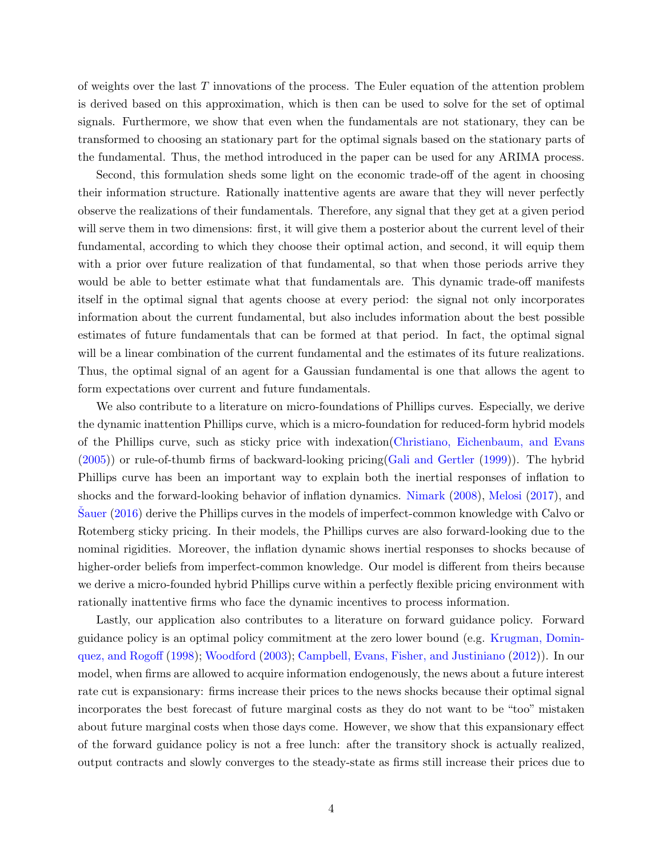of weights over the last  $T$  innovations of the process. The Euler equation of the attention problem is derived based on this approximation, which is then can be used to solve for the set of optimal signals. Furthermore, we show that even when the fundamentals are not stationary, they can be transformed to choosing an stationary part for the optimal signals based on the stationary parts of the fundamental. Thus, the method introduced in the paper can be used for any ARIMA process.

Second, this formulation sheds some light on the economic trade-off of the agent in choosing their information structure. Rationally inattentive agents are aware that they will never perfectly observe the realizations of their fundamentals. Therefore, any signal that they get at a given period will serve them in two dimensions: first, it will give them a posterior about the current level of their fundamental, according to which they choose their optimal action, and second, it will equip them with a prior over future realization of that fundamental, so that when those periods arrive they would be able to better estimate what that fundamentals are. This dynamic trade-off manifests itself in the optimal signal that agents choose at every period: the signal not only incorporates information about the current fundamental, but also includes information about the best possible estimates of future fundamentals that can be formed at that period. In fact, the optimal signal will be a linear combination of the current fundamental and the estimates of its future realizations. Thus, the optimal signal of an agent for a Gaussian fundamental is one that allows the agent to form expectations over current and future fundamentals.

We also contribute to a literature on micro-foundations of Phillips curves. Especially, we derive the dynamic inattention Phillips curve, which is a micro-foundation for reduced-form hybrid models of the Phillips curve, such as sticky price with indexation[\(Christiano, Eichenbaum, and Evans](#page-35-0) [\(2005\)](#page-35-0)) or rule-of-thumb firms of backward-looking pricing[\(Gali and Gertler](#page-35-2) [\(1999\)](#page-35-2)). The hybrid Phillips curve has been an important way to explain both the inertial responses of inflation to shocks and the forward-looking behavior of inflation dynamics. [Nimark](#page-36-1) [\(2008\)](#page-36-1), [Melosi](#page-36-2) [\(2017\)](#page-36-2), and [Sauer](#page-36-3) [\(2016\)](#page-36-3) derive the Phillips curves in the models of imperfect-common knowledge with Calvo or Rotemberg sticky pricing. In their models, the Phillips curves are also forward-looking due to the nominal rigidities. Moreover, the inflation dynamic shows inertial responses to shocks because of higher-order beliefs from imperfect-common knowledge. Our model is different from theirs because we derive a micro-founded hybrid Phillips curve within a perfectly flexible pricing environment with rationally inattentive firms who face the dynamic incentives to process information.

Lastly, our application also contributes to a literature on forward guidance policy. Forward guidance policy is an optimal policy commitment at the zero lower bound (e.g. [Krugman, Domin](#page-35-3)[quez, and Rogoff](#page-35-3) [\(1998\)](#page-35-3); [Woodford](#page-37-0) [\(2003\)](#page-37-0); [Campbell, Evans, Fisher, and Justiniano](#page-34-0) [\(2012\)](#page-34-0)). In our model, when firms are allowed to acquire information endogenously, the news about a future interest rate cut is expansionary: firms increase their prices to the news shocks because their optimal signal incorporates the best forecast of future marginal costs as they do not want to be "too" mistaken about future marginal costs when those days come. However, we show that this expansionary effect of the forward guidance policy is not a free lunch: after the transitory shock is actually realized, output contracts and slowly converges to the steady-state as firms still increase their prices due to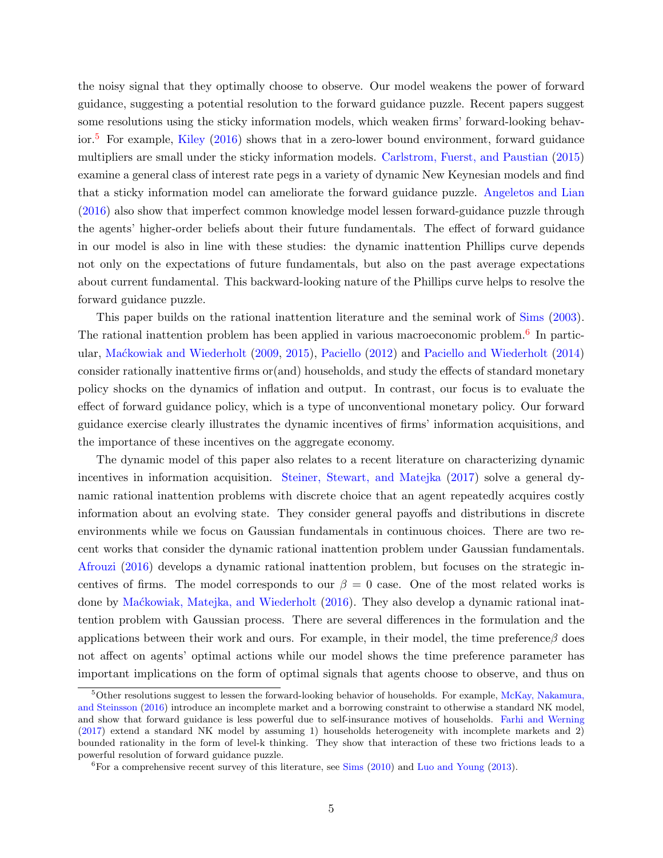the noisy signal that they optimally choose to observe. Our model weakens the power of forward guidance, suggesting a potential resolution to the forward guidance puzzle. Recent papers suggest some resolutions using the sticky information models, which weaken firms' forward-looking behav-ior.<sup>[5](#page-4-0)</sup> For example, [Kiley](#page-35-4) [\(2016\)](#page-35-4) shows that in a zero-lower bound environment, forward guidance multipliers are small under the sticky information models. [Carlstrom, Fuerst, and Paustian](#page-35-5) [\(2015\)](#page-35-5) examine a general class of interest rate pegs in a variety of dynamic New Keynesian models and find that a sticky information model can ameliorate the forward guidance puzzle. [Angeletos and Lian](#page-34-1) [\(2016\)](#page-34-1) also show that imperfect common knowledge model lessen forward-guidance puzzle through the agents' higher-order beliefs about their future fundamentals. The effect of forward guidance in our model is also in line with these studies: the dynamic inattention Phillips curve depends not only on the expectations of future fundamentals, but also on the past average expectations about current fundamental. This backward-looking nature of the Phillips curve helps to resolve the forward guidance puzzle.

This paper builds on the rational inattention literature and the seminal work of [Sims](#page-36-4) [\(2003\)](#page-36-4). The rational inattention problem has been applied in various macroeconomic problem.<sup>[6](#page-4-1)</sup> In particular, [Ma´ckowiak and Wiederholt](#page-35-6) [\(2009,](#page-35-6) [2015\)](#page-36-5), [Paciello](#page-36-6) [\(2012\)](#page-36-6) and [Paciello and Wiederholt](#page-36-7) [\(2014\)](#page-36-7) consider rationally inattentive firms or(and) households, and study the effects of standard monetary policy shocks on the dynamics of inflation and output. In contrast, our focus is to evaluate the effect of forward guidance policy, which is a type of unconventional monetary policy. Our forward guidance exercise clearly illustrates the dynamic incentives of firms' information acquisitions, and the importance of these incentives on the aggregate economy.

The dynamic model of this paper also relates to a recent literature on characterizing dynamic incentives in information acquisition. [Steiner, Stewart, and Matejka](#page-36-8) [\(2017\)](#page-36-8) solve a general dynamic rational inattention problems with discrete choice that an agent repeatedly acquires costly information about an evolving state. They consider general payoffs and distributions in discrete environments while we focus on Gaussian fundamentals in continuous choices. There are two recent works that consider the dynamic rational inattention problem under Gaussian fundamentals. [Afrouzi](#page-34-2) [\(2016\)](#page-34-2) develops a dynamic rational inattention problem, but focuses on the strategic incentives of firms. The model corresponds to our  $\beta = 0$  case. One of the most related works is done by [Ma´ckowiak, Matejka, and Wiederholt](#page-36-9) [\(2016\)](#page-36-9). They also develop a dynamic rational inattention problem with Gaussian process. There are several differences in the formulation and the applications between their work and ours. For example, in their model, the time preference  $\beta$  does not affect on agents' optimal actions while our model shows the time preference parameter has important implications on the form of optimal signals that agents choose to observe, and thus on

<span id="page-4-0"></span> $5$ Other resolutions suggest to lessen the forward-looking behavior of households. For example, [McKay, Nakamura,](#page-36-10) [and Steinsson](#page-36-10) [\(2016\)](#page-36-10) introduce an incomplete market and a borrowing constraint to otherwise a standard NK model, and show that forward guidance is less powerful due to self-insurance motives of households. [Farhi and Werning](#page-35-7) [\(2017\)](#page-35-7) extend a standard NK model by assuming 1) households heterogeneity with incomplete markets and 2) bounded rationality in the form of level-k thinking. They show that interaction of these two frictions leads to a powerful resolution of forward guidance puzzle.

<span id="page-4-1"></span><sup>&</sup>lt;sup>6</sup>For a comprehensive recent survey of this literature, see [Sims](#page-36-11)  $(2010)$  and [Luo and Young](#page-35-8)  $(2013)$ .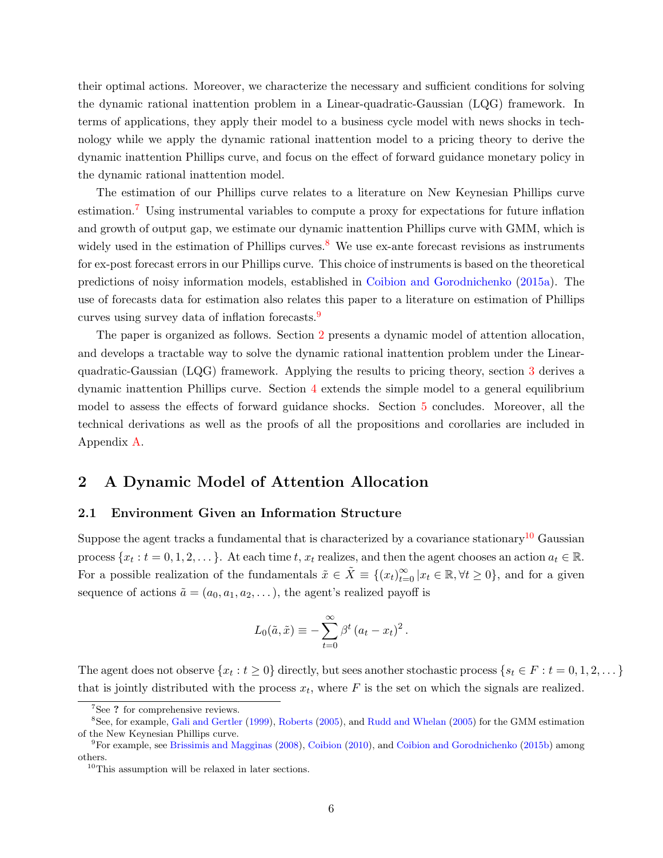their optimal actions. Moreover, we characterize the necessary and sufficient conditions for solving the dynamic rational inattention problem in a Linear-quadratic-Gaussian (LQG) framework. In terms of applications, they apply their model to a business cycle model with news shocks in technology while we apply the dynamic rational inattention model to a pricing theory to derive the dynamic inattention Phillips curve, and focus on the effect of forward guidance monetary policy in the dynamic rational inattention model.

The estimation of our Phillips curve relates to a literature on New Keynesian Phillips curve estimation.[7](#page-5-0) Using instrumental variables to compute a proxy for expectations for future inflation and growth of output gap, we estimate our dynamic inattention Phillips curve with GMM, which is widely used in the estimation of Phillips curves.<sup>[8](#page-5-1)</sup> We use ex-ante forecast revisions as instruments for ex-post forecast errors in our Phillips curve. This choice of instruments is based on the theoretical predictions of noisy information models, established in [Coibion and Gorodnichenko](#page-35-9) [\(2015a\)](#page-35-9). The use of forecasts data for estimation also relates this paper to a literature on estimation of Phillips curves using survey data of inflation forecasts.[9](#page-5-2)

The paper is organized as follows. Section [2](#page-5-3) presents a dynamic model of attention allocation, and develops a tractable way to solve the dynamic rational inattention problem under the Linearquadratic-Gaussian (LQG) framework. Applying the results to pricing theory, section [3](#page-17-0) derives a dynamic inattention Phillips curve. Section [4](#page-28-0) extends the simple model to a general equilibrium model to assess the effects of forward guidance shocks. Section [5](#page-33-0) concludes. Moreover, all the technical derivations as well as the proofs of all the propositions and corollaries are included in Appendix [A.](#page-46-0)

# <span id="page-5-3"></span>2 A Dynamic Model of Attention Allocation

#### <span id="page-5-5"></span>2.1 Environment Given an Information Structure

Suppose the agent tracks a fundamental that is characterized by a covariance stationary<sup>[10](#page-5-4)</sup> Gaussian process  $\{x_t : t = 0, 1, 2, \dots\}$ . At each time t,  $x_t$  realizes, and then the agent chooses an action  $a_t \in \mathbb{R}$ . For a possible realization of the fundamentals  $\tilde{x} \in \tilde{X} \equiv \{(x_t)_{t=0}^{\infty} | x_t \in \mathbb{R}, \forall t \geq 0\}$ , and for a given sequence of actions  $\tilde{a} = (a_0, a_1, a_2, \dots)$ , the agent's realized payoff is

$$
L_0(\tilde{a}, \tilde{x}) \equiv -\sum_{t=0}^{\infty} \beta^t (a_t - x_t)^2.
$$

The agent does not observe  $\{x_t : t \ge 0\}$  directly, but sees another stochastic process  $\{s_t \in F : t = 0, 1, 2, \dots\}$ that is jointly distributed with the process  $x_t$ , where F is the set on which the signals are realized.

<span id="page-5-1"></span><span id="page-5-0"></span><sup>&</sup>lt;sup>7</sup>See ? for comprehensive reviews.

<sup>8</sup>See, for example, [Gali and Gertler](#page-35-2) [\(1999\)](#page-35-2), [Roberts](#page-36-12) [\(2005\)](#page-36-12), and [Rudd and Whelan](#page-36-13) [\(2005\)](#page-36-13) for the GMM estimation of the New Keynesian Phillips curve.

<span id="page-5-2"></span><sup>9</sup>For example, see [Brissimis and Magginas](#page-34-3) [\(2008\)](#page-34-3), [Coibion](#page-35-10) [\(2010\)](#page-35-10), and [Coibion and Gorodnichenko](#page-35-11) [\(2015b\)](#page-35-11) among others.

<span id="page-5-4"></span><sup>&</sup>lt;sup>10</sup>This assumption will be relaxed in later sections.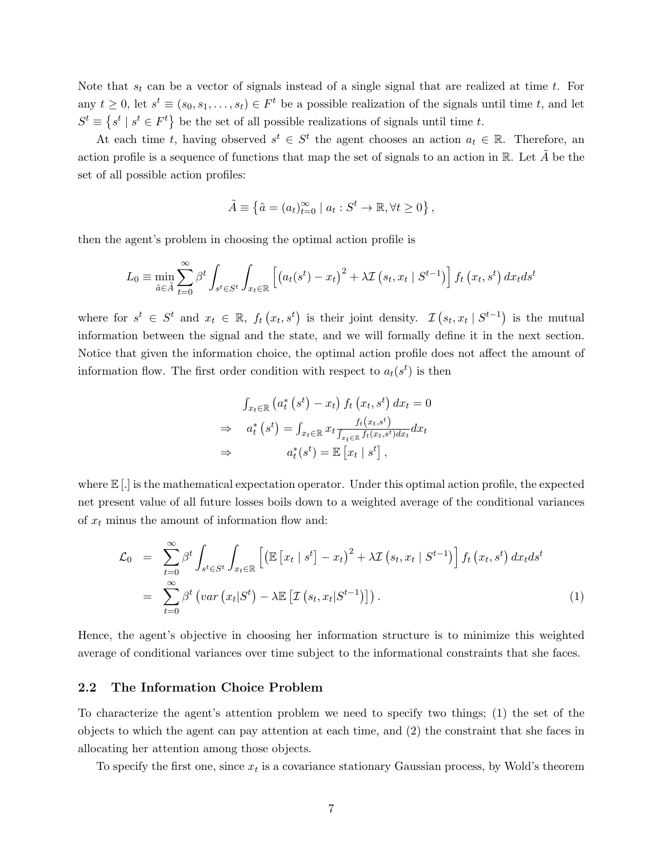Note that  $s_t$  can be a vector of signals instead of a single signal that are realized at time t. For any  $t \geq 0$ , let  $s^t \equiv (s_0, s_1, \ldots, s_t) \in F^t$  be a possible realization of the signals until time t, and let  $S^t \equiv \{ s^t \mid s^t \in F^t \}$  be the set of all possible realizations of signals until time t.

At each time t, having observed  $s^t \in S^t$  the agent chooses an action  $a_t \in \mathbb{R}$ . Therefore, an action profile is a sequence of functions that map the set of signals to an action in  $\mathbb{R}$ . Let A be the set of all possible action profiles:

$$
\tilde{A} \equiv \left\{ \tilde{a} = (a_t)_{t=0}^{\infty} \mid a_t : S^t \to \mathbb{R}, \forall t \geq 0 \right\},\
$$

then the agent's problem in choosing the optimal action profile is

$$
L_0 \equiv \min_{\tilde{a} \in \tilde{A}} \sum_{t=0}^{\infty} \beta^t \int_{s^t \in S^t} \int_{x_t \in \mathbb{R}} \left[ \left( a_t(s^t) - x_t \right)^2 + \lambda \mathcal{I} \left( s_t, x_t \mid S^{t-1} \right) \right] f_t \left( x_t, s^t \right) dx_t ds^t
$$

where for  $s^t \in S^t$  and  $x_t \in \mathbb{R}$ ,  $f_t(x_t, s^t)$  is their joint density.  $\mathcal{I}(s_t, x_t | S^{t-1})$  is the mutual information between the signal and the state, and we will formally define it in the next section. Notice that given the information choice, the optimal action profile does not affect the amount of information flow. The first order condition with respect to  $a_t(s^t)$  is then

$$
\int_{x_t \in \mathbb{R}} \left( a_t^* \left( s^t \right) - x_t \right) f_t \left( x_t, s^t \right) dx_t = 0
$$
\n
$$
\Rightarrow a_t^* \left( s^t \right) = \int_{x_t \in \mathbb{R}} x_t \frac{f_t(x_t, s^t)}{\int_{x_t \in \mathbb{R}} f_t(x_t, s^t) dx_t} dx_t
$$
\n
$$
\Rightarrow a_t^*(s^t) = \mathbb{E} \left[ x_t \mid s^t \right],
$$

where  $\mathbb{E}$  [.] is the mathematical expectation operator. Under this optimal action profile, the expected net present value of all future losses boils down to a weighted average of the conditional variances of  $x_t$  minus the amount of information flow and:

<span id="page-6-0"></span>
$$
\mathcal{L}_0 = \sum_{t=0}^{\infty} \beta^t \int_{s^t \in S^t} \int_{x_t \in \mathbb{R}} \left[ \left( \mathbb{E} \left[ x_t \mid s^t \right] - x_t \right)^2 + \lambda \mathcal{I} \left( s_t, x_t \mid S^{t-1} \right) \right] f_t \left( x_t, s^t \right) dx_t ds^t
$$
  
\n
$$
= \sum_{t=0}^{\infty} \beta^t \left( \text{var} \left( x_t \mid S^t \right) - \lambda \mathbb{E} \left[ \mathcal{I} \left( s_t, x_t \mid S^{t-1} \right) \right] \right). \tag{1}
$$

Hence, the agent's objective in choosing her information structure is to minimize this weighted average of conditional variances over time subject to the informational constraints that she faces.

#### 2.2 The Information Choice Problem

To characterize the agent's attention problem we need to specify two things; (1) the set of the objects to which the agent can pay attention at each time, and (2) the constraint that she faces in allocating her attention among those objects.

To specify the first one, since  $x_t$  is a covariance stationary Gaussian process, by Wold's theorem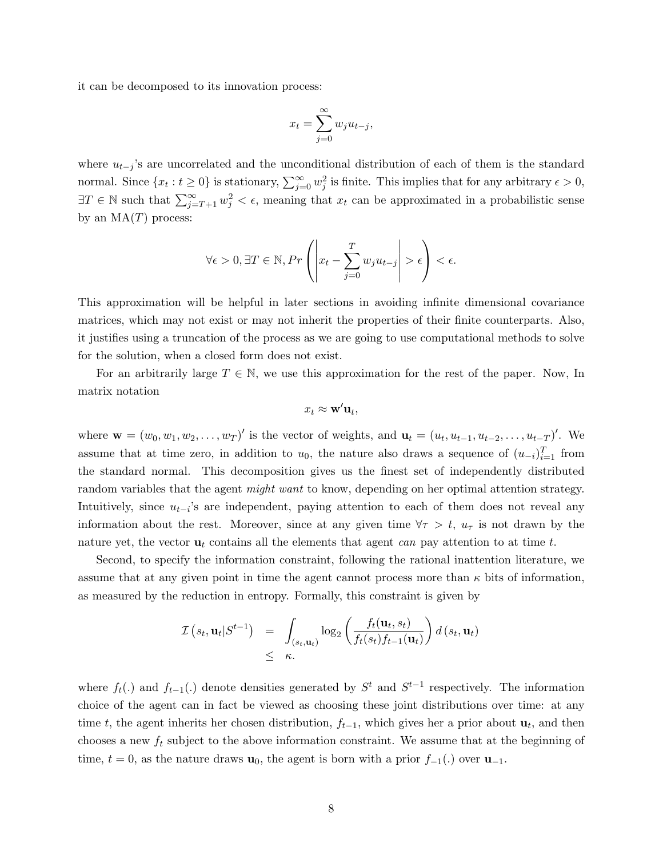it can be decomposed to its innovation process:

$$
x_t = \sum_{j=0}^{\infty} w_j u_{t-j},
$$

where  $u_{t-j}$ 's are uncorrelated and the unconditional distribution of each of them is the standard normal. Since  $\{x_t : t \geq 0\}$  is stationary,  $\sum_{j=0}^{\infty} w_j^2$  is finite. This implies that for any arbitrary  $\epsilon > 0$ ,  $\exists T \in \mathbb{N}$  such that  $\sum_{j=T+1}^{\infty} w_j^2 < \epsilon$ , meaning that  $x_t$  can be approximated in a probabilistic sense by an  $MA(T)$  process:

$$
\forall \epsilon > 0, \exists T \in \mathbb{N}, Pr\left(\left|x_t - \sum_{j=0}^T w_j u_{t-j}\right| > \epsilon\right) < \epsilon.
$$

This approximation will be helpful in later sections in avoiding infinite dimensional covariance matrices, which may not exist or may not inherit the properties of their finite counterparts. Also, it justifies using a truncation of the process as we are going to use computational methods to solve for the solution, when a closed form does not exist.

For an arbitrarily large  $T \in \mathbb{N}$ , we use this approximation for the rest of the paper. Now, In matrix notation

$$
x_t \approx \mathbf{w}'\mathbf{u}_t,
$$

where  $\mathbf{w} = (w_0, w_1, w_2, \dots, w_T)'$  is the vector of weights, and  $\mathbf{u}_t = (u_t, u_{t-1}, u_{t-2}, \dots, u_{t-T})'$ . We assume that at time zero, in addition to  $u_0$ , the nature also draws a sequence of  $(u_{-i})_{i=1}^T$  from the standard normal. This decomposition gives us the finest set of independently distributed random variables that the agent *might want* to know, depending on her optimal attention strategy. Intuitively, since  $u_{t-i}$ 's are independent, paying attention to each of them does not reveal any information about the rest. Moreover, since at any given time  $\forall \tau > t$ ,  $u_{\tau}$  is not drawn by the nature yet, the vector  $\mathbf{u}_t$  contains all the elements that agent can pay attention to at time t.

Second, to specify the information constraint, following the rational inattention literature, we assume that at any given point in time the agent cannot process more than  $\kappa$  bits of information, as measured by the reduction in entropy. Formally, this constraint is given by

$$
\mathcal{I}\left(s_t, \mathbf{u}_t | S^{t-1}\right) = \int_{(s_t, \mathbf{u}_t)} \log_2\left(\frac{f_t(\mathbf{u}_t, s_t)}{f_t(s_t)f_{t-1}(\mathbf{u}_t)}\right) d\left(s_t, \mathbf{u}_t\right)
$$
  
\$\leq\$  $\kappa$ .

where  $f_t(.)$  and  $f_{t-1}(.)$  denote densities generated by  $S^t$  and  $S^{t-1}$  respectively. The information choice of the agent can in fact be viewed as choosing these joint distributions over time: at any time t, the agent inherits her chosen distribution,  $f_{t-1}$ , which gives her a prior about  $\mathbf{u}_t$ , and then chooses a new  $f_t$  subject to the above information constraint. We assume that at the beginning of time,  $t = 0$ , as the nature draws  $\mathbf{u}_0$ , the agent is born with a prior  $f_{-1}(.)$  over  $\mathbf{u}_{-1}$ .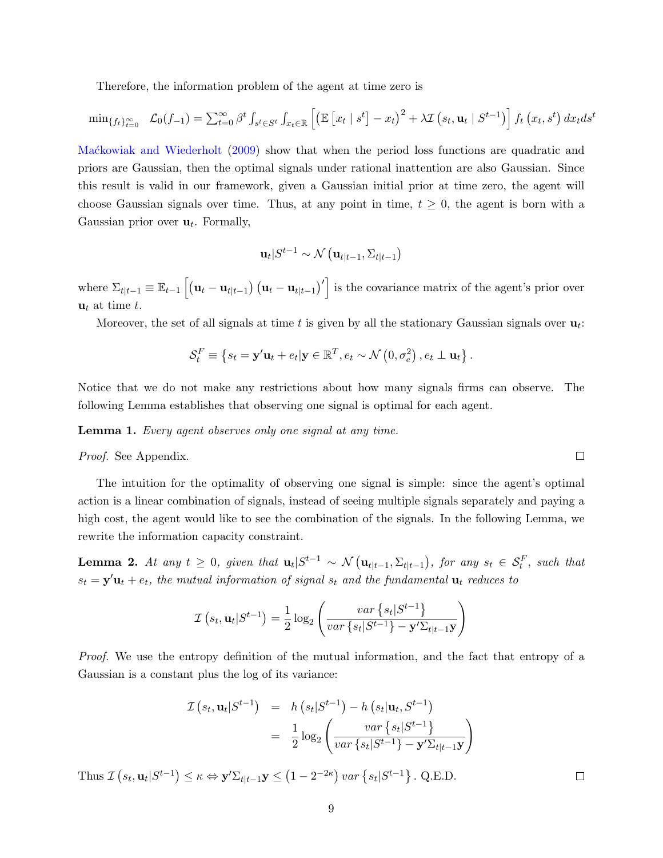Therefore, the information problem of the agent at time zero is

$$
\min_{\{f_t\}_{t=0}^{\infty}} \mathcal{L}_0(f_{-1}) = \sum_{t=0}^{\infty} \beta^t \int_{s^t \in S^t} \int_{x_t \in \mathbb{R}} \left[ \left( \mathbb{E} \left[ x_t \mid s^t \right] - x_t \right)^2 + \lambda \mathcal{I} \left( s_t, \mathbf{u}_t \mid S^{t-1} \right) \right] f_t \left( x_t, s^t \right) dx_t ds^t
$$

[Ma´ckowiak and Wiederholt](#page-35-6) [\(2009\)](#page-35-6) show that when the period loss functions are quadratic and priors are Gaussian, then the optimal signals under rational inattention are also Gaussian. Since this result is valid in our framework, given a Gaussian initial prior at time zero, the agent will choose Gaussian signals over time. Thus, at any point in time,  $t \geq 0$ , the agent is born with a Gaussian prior over  $\mathbf{u}_t$ . Formally,

$$
\mathbf{u}_t | S^{t-1} \sim \mathcal{N} \left( \mathbf{u}_{t|t-1}, \Sigma_{t|t-1} \right)
$$

where  $\Sigma_{t|t-1} \equiv \mathbb{E}_{t-1} \left[ \left( \mathbf{u}_t - \mathbf{u}_{t|t-1} \right) \left( \mathbf{u}_t - \mathbf{u}_{t|t-1} \right)' \right]$  is the covariance matrix of the agent's prior over  $u_t$  at time t.

Moreover, the set of all signals at time t is given by all the stationary Gaussian signals over  $\mathbf{u}_t$ :

$$
\mathcal{S}_t^F \equiv \left\{ s_t = \mathbf{y}' \mathbf{u}_t + e_t | \mathbf{y} \in \mathbb{R}^T, e_t \sim \mathcal{N}\left(0, \sigma_e^2\right), e_t \perp \mathbf{u}_t \right\}.
$$

Notice that we do not make any restrictions about how many signals firms can observe. The following Lemma establishes that observing one signal is optimal for each agent.

Lemma 1. Every agent observes only one signal at any time.

Proof. See Appendix.

The intuition for the optimality of observing one signal is simple: since the agent's optimal action is a linear combination of signals, instead of seeing multiple signals separately and paying a high cost, the agent would like to see the combination of the signals. In the following Lemma, we rewrite the information capacity constraint.

**Lemma 2.** At any  $t \geq 0$ , given that  $\mathbf{u}_t | S^{t-1} \sim \mathcal{N} (\mathbf{u}_{t|t-1}, \Sigma_{t|t-1})$ , for any  $s_t \in \mathcal{S}_t^F$ , such that  $s_t = \mathbf{y}'\mathbf{u}_t + e_t$ , the mutual information of signal  $s_t$  and the fundamental  $\mathbf{u}_t$  reduces to

$$
\mathcal{I}\left(s_{t}, \mathbf{u}_{t} | S^{t-1}\right) = \frac{1}{2} \log_{2} \left( \frac{var\left\{s_{t} | S^{t-1}\right\}}{var\left\{s_{t} | S^{t-1}\right\} - \mathbf{y}' \Sigma_{t|t-1} \mathbf{y}} \right)
$$

Proof. We use the entropy definition of the mutual information, and the fact that entropy of a Gaussian is a constant plus the log of its variance:

$$
\mathcal{I}\left(s_t, \mathbf{u}_t | S^{t-1}\right) = h\left(s_t | S^{t-1}\right) - h\left(s_t | \mathbf{u}_t, S^{t-1}\right)
$$

$$
= \frac{1}{2} \log_2 \left(\frac{\operatorname{var}\left\{s_t | S^{t-1}\right\}}{\operatorname{var}\left\{s_t | S^{t-1}\right\} - \mathbf{y}' \Sigma_{t|t-1} \mathbf{y}}\right)
$$
Thus  $\mathcal{I}\left(s_t, \mathbf{u}_t | S^{t-1}\right) \leq \kappa \Leftrightarrow \mathbf{y}' \Sigma_{t|t-1} \mathbf{y} \leq \left(1 - 2^{-2\kappa}\right) \operatorname{var}\left\{s_t | S^{t-1}\right\}. \text{ Q.E.D.} \qquad \Box$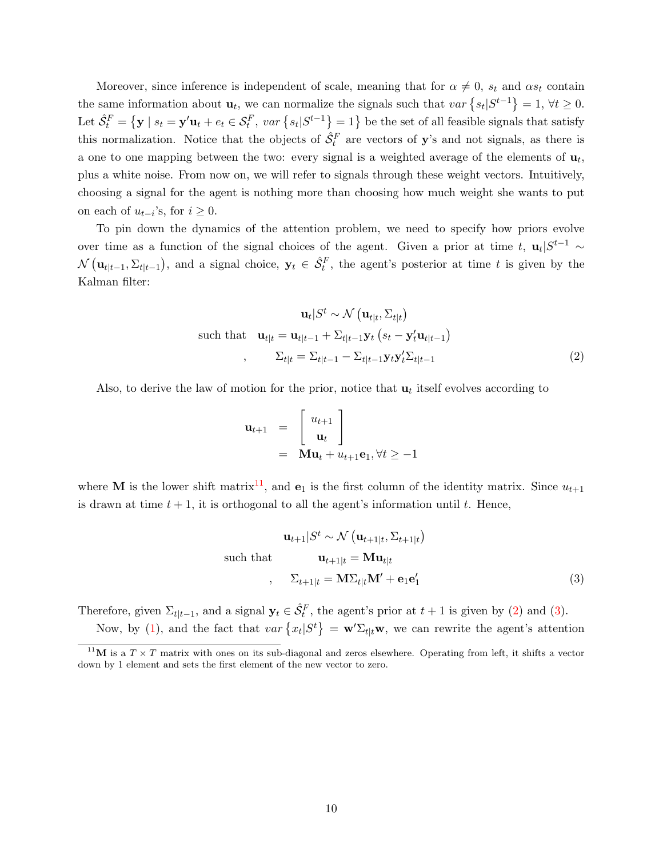Moreover, since inference is independent of scale, meaning that for  $\alpha \neq 0$ ,  $s_t$  and  $\alpha s_t$  contain the same information about  $\mathbf{u}_t$ , we can normalize the signals such that  $var\{s_t|S^{t-1}\}=1, \forall t\geq 0$ . Let  $\hat{S}_t^F = \{ \mathbf{y} \mid s_t = \mathbf{y}'\mathbf{u}_t + e_t \in S_t^F$ ,  $var\left\{ s_t | S^{t-1} \right\} = 1 \}$  be the set of all feasible signals that satisfy this normalization. Notice that the objects of  $\hat{S}_t^F$  are vectors of y's and not signals, as there is a one to one mapping between the two: every signal is a weighted average of the elements of  $\mathbf{u}_t$ , plus a white noise. From now on, we will refer to signals through these weight vectors. Intuitively, choosing a signal for the agent is nothing more than choosing how much weight she wants to put on each of  $u_{t-i}$ 's, for  $i \geq 0$ .

To pin down the dynamics of the attention problem, we need to specify how priors evolve over time as a function of the signal choices of the agent. Given a prior at time t,  $\mathbf{u}_t | S^{t-1} \sim$  $\mathcal{N}(\mathbf{u}_{t|t-1}, \Sigma_{t|t-1}),$  and a signal choice,  $\mathbf{y}_t \in \hat{\mathcal{S}}_t^F$ , the agent's posterior at time t is given by the Kalman filter:

<span id="page-9-1"></span>
$$
\mathbf{u}_t | S^t \sim \mathcal{N} \left( \mathbf{u}_{t|t}, \Sigma_{t|t} \right)
$$
  
such that 
$$
\mathbf{u}_{t|t} = \mathbf{u}_{t|t-1} + \Sigma_{t|t-1} \mathbf{y}_t \left( s_t - \mathbf{y}_t' \mathbf{u}_{t|t-1} \right)
$$

$$
\Sigma_{t|t} = \Sigma_{t|t-1} - \Sigma_{t|t-1} \mathbf{y}_t \mathbf{y}_t' \Sigma_{t|t-1}
$$
(2)

Also, to derive the law of motion for the prior, notice that  $\mathbf{u}_t$  itself evolves according to

$$
\mathbf{u}_{t+1} = \begin{bmatrix} u_{t+1} \\ \mathbf{u}_t \end{bmatrix}
$$
  
=  $\mathbf{M}\mathbf{u}_t + u_{t+1}\mathbf{e}_1, \forall t \ge -1$ 

where **M** is the lower shift matrix<sup>[11](#page-9-0)</sup>, and  $\mathbf{e}_1$  is the first column of the identity matrix. Since  $u_{t+1}$ is drawn at time  $t + 1$ , it is orthogonal to all the agent's information until t. Hence,

<span id="page-9-2"></span>
$$
\mathbf{u}_{t+1}|S^t \sim \mathcal{N}(\mathbf{u}_{t+1|t}, \Sigma_{t+1|t})
$$
  
such that 
$$
\mathbf{u}_{t+1|t} = \mathbf{M}\mathbf{u}_{t|t}
$$

$$
\Sigma_{t+1|t} = \mathbf{M}\Sigma_{t|t}\mathbf{M}' + \mathbf{e}_1\mathbf{e}'_1
$$
 (3)

Therefore, given  $\Sigma_{t|t-1}$ , and a signal  $\mathbf{y}_t \in \hat{\mathcal{S}}_t^F$ , the agent's prior at  $t+1$  is given by [\(2\)](#page-9-1) and [\(3\)](#page-9-2).

Now, by [\(1\)](#page-6-0), and the fact that  $var\{x_t|S^t\} = \mathbf{w}'\Sigma_{t|t}\mathbf{w}$ , we can rewrite the agent's attention

<span id="page-9-0"></span><sup>&</sup>lt;sup>11</sup>M is a  $T \times T$  matrix with ones on its sub-diagonal and zeros elsewhere. Operating from left, it shifts a vector down by 1 element and sets the first element of the new vector to zero.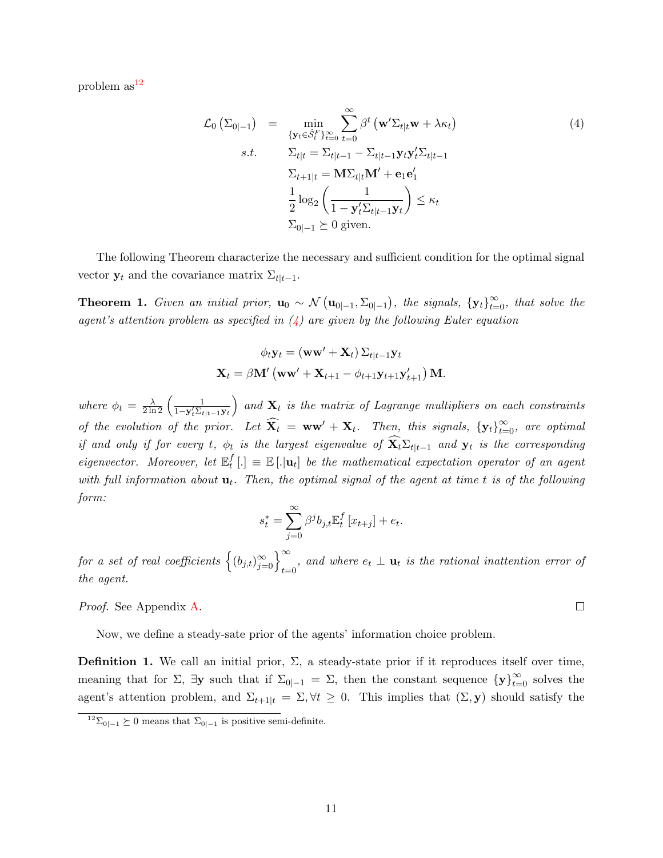problem  $as^{12}$  $as^{12}$  $as^{12}$ 

<span id="page-10-1"></span>
$$
\mathcal{L}_0\left(\Sigma_{0|-1}\right) = \min_{\{\mathbf{y}_t \in \hat{\mathcal{S}}_t^F\}_{t=0}^\infty} \sum_{t=0}^\infty \beta^t \left(\mathbf{w}' \Sigma_{t|t} \mathbf{w} + \lambda \kappa_t\right)
$$
\n
$$
s.t. \qquad \Sigma_{t|t} = \Sigma_{t|t-1} - \Sigma_{t|t-1} \mathbf{y}_t \mathbf{y}_t' \Sigma_{t|t-1}
$$
\n
$$
\Sigma_{t+1|t} = \mathbf{M} \Sigma_{t|t} \mathbf{M}' + \mathbf{e}_1 \mathbf{e}_1'
$$
\n
$$
\frac{1}{2} \log_2 \left(\frac{1}{1 - \mathbf{y}_t' \Sigma_{t|t-1} \mathbf{y}_t}\right) \le \kappa_t
$$
\n
$$
\Sigma_{0|-1} \succeq 0 \text{ given.}
$$
\n(4)

The following Theorem characterize the necessary and sufficient condition for the optimal signal vector  $y_t$  and the covariance matrix  $\Sigma_{t|t-1}$ .

<span id="page-10-2"></span>**Theorem 1.** Given an initial prior,  $\mathbf{u}_0 \sim \mathcal{N}(\mathbf{u}_{0|-1}, \Sigma_{0|-1})$ , the signals,  $\{\mathbf{y}_t\}_{t=0}^{\infty}$ , that solve the agent's attention problem as specified in  $(4)$  are given by the following Euler equation

$$
\phi_t \mathbf{y}_t = (\mathbf{w}\mathbf{w}' + \mathbf{X}_t) \Sigma_{t|t-1} \mathbf{y}_t
$$

$$
\mathbf{X}_t = \beta \mathbf{M}' (\mathbf{w}\mathbf{w}' + \mathbf{X}_{t+1} - \phi_{t+1} \mathbf{y}_{t+1} \mathbf{y}'_{t+1}) \mathbf{M}.
$$

where  $\phi_t = \frac{\lambda}{2 \ln 2} \left( \frac{1}{1 - \mathbf{y}_t' \Sigma_t} \right)$  $1 - \mathbf{y}_t' \Sigma_{t|t-1}\mathbf{y}_t$ ) and  $\mathbf{X}_t$  is the matrix of Lagrange multipliers on each constraints of the evolution of the prior. Let  $\widehat{\mathbf{X}_t} = \mathbf{w}\mathbf{w}' + \mathbf{X}_t$ . Then, this signals,  $\{\mathbf{y}_t\}_{t=0}^{\infty}$ , are optimal if and only if for every t,  $\phi_t$  is the largest eigenvalue of  $\widehat{\mathbf{X}}_t \Sigma_{t|t-1}$  and  $\mathbf{y}_t$  is the corresponding eigenvector. Moreover, let  $\mathbb{E}^f_t$  $_t^f$ [.]  $\equiv \mathbb{E} [.\vert \mathbf{u}_t]$  be the mathematical expectation operator of an agent with full information about  $\mathbf{u}_t$ . Then, the optimal signal of the agent at time t is of the following form:

$$
s_t^* = \sum_{j=0}^{\infty} \beta^j b_{j,t} \mathbb{E}_t^f \left[ x_{t+j} \right] + e_t
$$

.

for a set of real coefficients  $\left\{(b_{j,t})_{j=0}^\infty\right\}_{t=0}^\infty$ , and where  $e_t \perp \mathbf{u}_t$  is the rational inattention error of the agent.

Proof. See Appendix [A.](#page-46-1)

Now, we define a steady-sate prior of the agents' information choice problem.

**Definition 1.** We call an initial prior,  $\Sigma$ , a steady-state prior if it reproduces itself over time, meaning that for  $\Sigma$ ,  $\exists y$  such that if  $\Sigma_{0|-1} = \Sigma$ , then the constant sequence  $\{y\}_{t=0}^{\infty}$  solves the agent's attention problem, and  $\Sigma_{t+1|t} = \Sigma, \forall t \geq 0$ . This implies that  $(\Sigma, \mathbf{y})$  should satisfy the

 $\Box$ 

<span id="page-10-0"></span><sup>&</sup>lt;sup>12</sup>Σ<sub>0|−1</sub>  $\succeq$  0 means that  $\Sigma$ <sub>0|−1</sub> is positive semi-definite.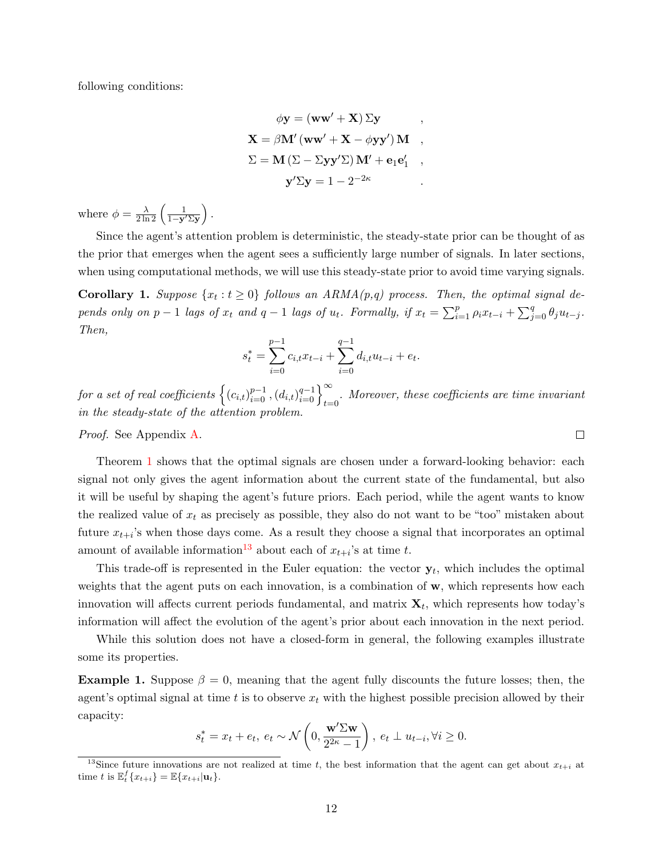following conditions:

$$
\phi \mathbf{y} = (\mathbf{w}\mathbf{w}' + \mathbf{X}) \Sigma \mathbf{y} ,
$$
  

$$
\mathbf{X} = \beta \mathbf{M}' (\mathbf{w}\mathbf{w}' + \mathbf{X} - \phi \mathbf{y} \mathbf{y}') \mathbf{M} ,
$$
  

$$
\Sigma = \mathbf{M} (\Sigma - \Sigma \mathbf{y} \mathbf{y}' \Sigma) \mathbf{M}' + \mathbf{e}_1 \mathbf{e}'_1 ,
$$
  

$$
\mathbf{y}' \Sigma \mathbf{y} = 1 - 2^{-2\kappa} .
$$

where  $\phi = \frac{\lambda}{2 \ln 2} \left( \frac{1}{1 - y' \Sigma y} \right)$ .

Since the agent's attention problem is deterministic, the steady-state prior can be thought of as the prior that emerges when the agent sees a sufficiently large number of signals. In later sections, when using computational methods, we will use this steady-state prior to avoid time varying signals.

<span id="page-11-1"></span>**Corollary 1.** Suppose  $\{x_t : t \geq 0\}$  follows an  $ARMA(p,q)$  process. Then, the optimal signal depends only on p - 1 lags of  $x_t$  and  $q-1$  lags of  $u_t$ . Formally, if  $x_t = \sum_{i=1}^p \rho_i x_{t-i} + \sum_{j=0}^q \theta_j u_{t-j}$ . Then,

$$
s_t^* = \sum_{i=0}^{p-1} c_{i,t} x_{t-i} + \sum_{i=0}^{q-1} d_{i,t} u_{t-i} + e_t.
$$

for a set of real coefficients  $\left\{(c_{i,t})_{i=0}^{p-1},(d_{i,t})_{i=0}^{q-1}\right\}_{t=0}^{\infty}$ . Moreover, these coefficients are time invariant in the steady-state of the attention problem.

Proof. See Appendix [A.](#page-49-0)

Theorem [1](#page-10-2) shows that the optimal signals are chosen under a forward-looking behavior: each signal not only gives the agent information about the current state of the fundamental, but also it will be useful by shaping the agent's future priors. Each period, while the agent wants to know the realized value of  $x_t$  as precisely as possible, they also do not want to be "too" mistaken about future  $x_{t+i}$ 's when those days come. As a result they choose a signal that incorporates an optimal amount of available information<sup>[13](#page-11-0)</sup> about each of  $x_{t+i}$ 's at time t.

This trade-off is represented in the Euler equation: the vector  $y_t$ , which includes the optimal weights that the agent puts on each innovation, is a combination of w, which represents how each innovation will affects current periods fundamental, and matrix  $\mathbf{X}_t$ , which represents how today's information will affect the evolution of the agent's prior about each innovation in the next period.

While this solution does not have a closed-form in general, the following examples illustrate some its properties.

<span id="page-11-2"></span>**Example 1.** Suppose  $\beta = 0$ , meaning that the agent fully discounts the future losses; then, the agent's optimal signal at time t is to observe  $x_t$  with the highest possible precision allowed by their capacity:

$$
s_t^* = x_t + e_t, \ e_t \sim \mathcal{N}\left(0, \frac{\mathbf{w}' \Sigma \mathbf{w}}{2^{2\kappa} - 1}\right), \ e_t \perp u_{t-i}, \forall i \geq 0.
$$

 $\Box$ 

<span id="page-11-0"></span><sup>&</sup>lt;sup>13</sup>Since future innovations are not realized at time t, the best information that the agent can get about  $x_{t+i}$  at time t is  $\mathbb{E}_t^f\{x_{t+i}\} = \mathbb{E}\{x_{t+i}|\mathbf{u}_t\}.$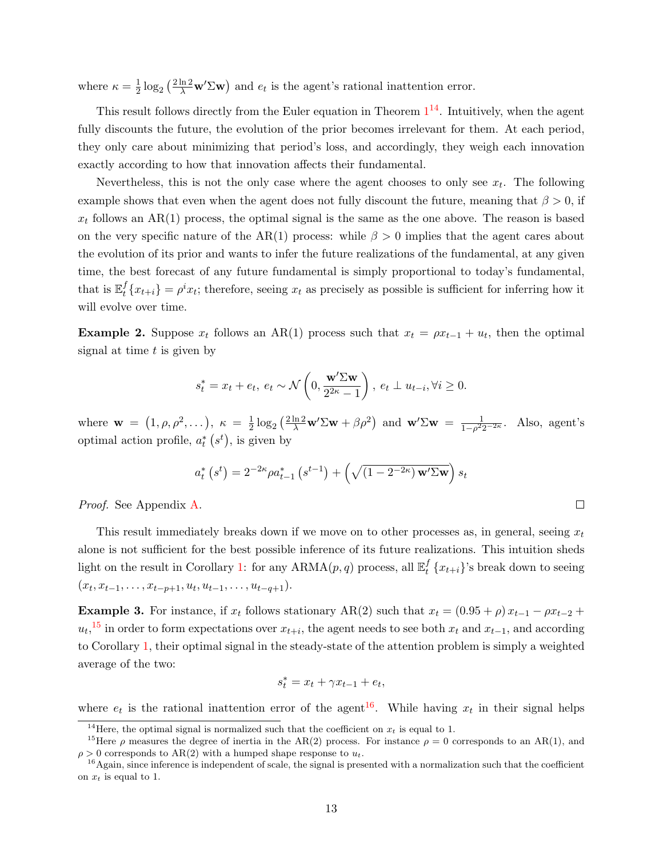where  $\kappa = \frac{1}{2}$  $\frac{1}{2} \log_2 \left( \frac{2 \ln 2}{\lambda} \mathbf{w}' \Sigma \mathbf{w} \right)$  and  $e_t$  is the agent's rational inattention error.

This result follows directly from the Euler equation in Theorem  $1^{14}$  $1^{14}$  $1^{14}$  $1^{14}$ . Intuitively, when the agent fully discounts the future, the evolution of the prior becomes irrelevant for them. At each period, they only care about minimizing that period's loss, and accordingly, they weigh each innovation exactly according to how that innovation affects their fundamental.

Nevertheless, this is not the only case where the agent chooses to only see  $x_t$ . The following example shows that even when the agent does not fully discount the future, meaning that  $\beta > 0$ , if  $x_t$  follows an AR(1) process, the optimal signal is the same as the one above. The reason is based on the very specific nature of the AR(1) process: while  $\beta > 0$  implies that the agent cares about the evolution of its prior and wants to infer the future realizations of the fundamental, at any given time, the best forecast of any future fundamental is simply proportional to today's fundamental, that is  $\mathbb{E}_t^f$  $t<sub>t</sub><sup>f</sup>$   $\{x_{t+i}\} = \rho<sup>i</sup> x_i$ ; therefore, seeing  $x_t$  as precisely as possible is sufficient for inferring how it will evolve over time.

<span id="page-12-4"></span>**Example 2.** Suppose  $x_t$  follows an AR(1) process such that  $x_t = \rho x_{t-1} + u_t$ , then the optimal signal at time  $t$  is given by

$$
s_t^* = x_t + e_t, \ e_t \sim \mathcal{N}\left(0, \frac{\mathbf{w}' \Sigma \mathbf{w}}{2^{2\kappa} - 1}\right), \ e_t \perp u_{t-i}, \forall i \geq 0.
$$

where  $\mathbf{w} = (1, \rho, \rho^2, \dots), \ \kappa = \frac{1}{2}$  $\frac{1}{2} \log_2 \left( \frac{2 \ln 2}{\lambda} \mathbf{w}' \Sigma \mathbf{w} + \beta \rho^2 \right)$  and  $\mathbf{w}' \Sigma \mathbf{w} = \frac{1}{1 - \rho^2 2}$  $\frac{1}{1-\rho^2 2^{-2\kappa}}$ . Also, agent's optimal action profile,  $a_t^*$   $(s^t)$ , is given by

$$
a_t^* (s^t) = 2^{-2\kappa} \rho a_{t-1}^* (s^{t-1}) + \left(\sqrt{(1 - 2^{-2\kappa}) \mathbf{w}' \Sigma \mathbf{w}}\right) s_t
$$

 $\Box$ 

Proof. See Appendix [A.](#page-50-0)

This result immediately breaks down if we move on to other processes as, in general, seeing  $x_t$ alone is not sufficient for the best possible inference of its future realizations. This intuition sheds light on the result in Corollary [1:](#page-11-1) for any  $ARMA(p, q)$  process, all  $\mathbb{E}_t^f$  $_{t}^{J}$  { $x_{t+i}$ }'s break down to seeing  $(x_t, x_{t-1}, \ldots, x_{t-p+1}, u_t, u_{t-1}, \ldots, u_{t-q+1}).$ 

<span id="page-12-3"></span>Example 3. For instance, if  $x_t$  follows stationary AR(2) such that  $x_t = (0.95 + \rho) x_{t-1} - \rho x_{t-2} +$  $u_t$ ,<sup>[15](#page-12-1)</sup> in order to form expectations over  $x_{t+i}$ , the agent needs to see both  $x_t$  and  $x_{t-1}$ , and according to Corollary [1,](#page-11-1) their optimal signal in the steady-state of the attention problem is simply a weighted average of the two:

$$
s_t^* = x_t + \gamma x_{t-1} + e_t,
$$

where  $e_t$  is the rational inattention error of the agent<sup>[16](#page-12-2)</sup>. While having  $x_t$  in their signal helps

<span id="page-12-1"></span><span id="page-12-0"></span><sup>&</sup>lt;sup>14</sup>Here, the optimal signal is normalized such that the coefficient on  $x_t$  is equal to 1.

<sup>&</sup>lt;sup>15</sup>Here  $\rho$  measures the degree of inertia in the AR(2) process. For instance  $\rho = 0$  corresponds to an AR(1), and  $\rho > 0$  corresponds to AR(2) with a humped shape response to  $u_t$ .

<span id="page-12-2"></span><sup>&</sup>lt;sup>16</sup> Again, since inference is independent of scale, the signal is presented with a normalization such that the coefficient on  $x_t$  is equal to 1.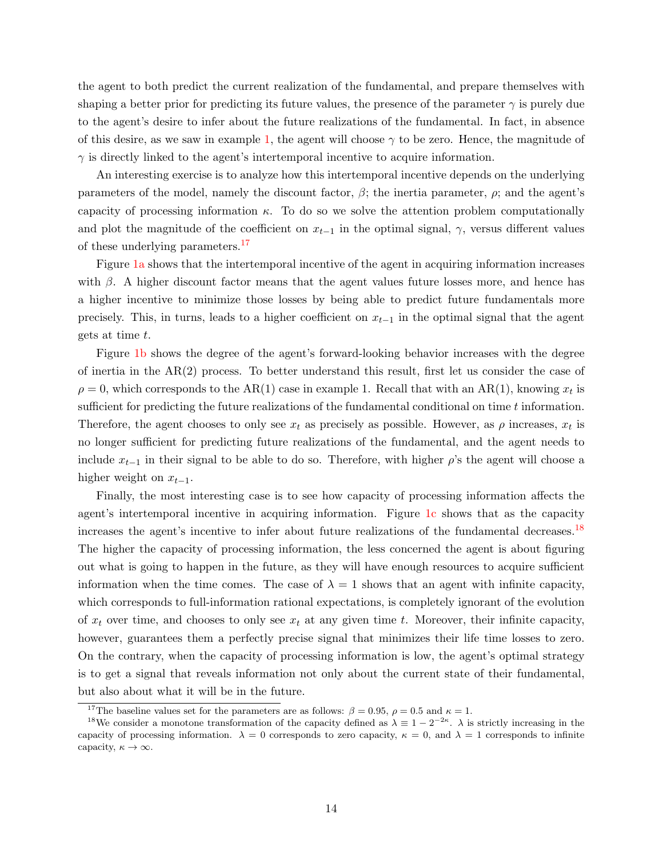the agent to both predict the current realization of the fundamental, and prepare themselves with shaping a better prior for predicting its future values, the presence of the parameter  $\gamma$  is purely due to the agent's desire to infer about the future realizations of the fundamental. In fact, in absence of this desire, as we saw in example [1,](#page-11-2) the agent will choose  $\gamma$  to be zero. Hence, the magnitude of  $\gamma$  is directly linked to the agent's intertemporal incentive to acquire information.

An interesting exercise is to analyze how this intertemporal incentive depends on the underlying parameters of the model, namely the discount factor,  $\beta$ ; the inertia parameter,  $\rho$ ; and the agent's capacity of processing information  $\kappa$ . To do so we solve the attention problem computationally and plot the magnitude of the coefficient on  $x_{t-1}$  in the optimal signal,  $\gamma$ , versus different values of these underlying parameters.<sup>[17](#page-13-0)</sup>

Figure [1a](#page-39-0) shows that the intertemporal incentive of the agent in acquiring information increases with  $\beta$ . A higher discount factor means that the agent values future losses more, and hence has a higher incentive to minimize those losses by being able to predict future fundamentals more precisely. This, in turns, leads to a higher coefficient on  $x_{t-1}$  in the optimal signal that the agent gets at time t.

Figure [1b](#page-39-1) shows the degree of the agent's forward-looking behavior increases with the degree of inertia in the AR(2) process. To better understand this result, first let us consider the case of  $\rho = 0$ , which corresponds to the AR(1) case in example 1. Recall that with an AR(1), knowing  $x_t$  is sufficient for predicting the future realizations of the fundamental conditional on time t information. Therefore, the agent chooses to only see  $x_t$  as precisely as possible. However, as  $\rho$  increases,  $x_t$  is no longer sufficient for predicting future realizations of the fundamental, and the agent needs to include  $x_{t-1}$  in their signal to be able to do so. Therefore, with higher  $\rho$ 's the agent will choose a higher weight on  $x_{t-1}$ .

Finally, the most interesting case is to see how capacity of processing information affects the agent's intertemporal incentive in acquiring information. Figure [1c](#page-39-2) shows that as the capacity increases the agent's incentive to infer about future realizations of the fundamental decreases.<sup>[18](#page-13-1)</sup> The higher the capacity of processing information, the less concerned the agent is about figuring out what is going to happen in the future, as they will have enough resources to acquire sufficient information when the time comes. The case of  $\lambda = 1$  shows that an agent with infinite capacity, which corresponds to full-information rational expectations, is completely ignorant of the evolution of  $x_t$  over time, and chooses to only see  $x_t$  at any given time t. Moreover, their infinite capacity, however, guarantees them a perfectly precise signal that minimizes their life time losses to zero. On the contrary, when the capacity of processing information is low, the agent's optimal strategy is to get a signal that reveals information not only about the current state of their fundamental, but also about what it will be in the future.

<span id="page-13-1"></span><span id="page-13-0"></span><sup>&</sup>lt;sup>17</sup>The baseline values set for the parameters are as follows:  $\beta = 0.95$ ,  $\rho = 0.5$  and  $\kappa = 1$ .

<sup>&</sup>lt;sup>18</sup>We consider a monotone transformation of the capacity defined as  $\lambda \equiv 1 - 2^{-2\kappa}$ .  $\lambda$  is strictly increasing in the capacity of processing information.  $\lambda = 0$  corresponds to zero capacity,  $\kappa = 0$ , and  $\lambda = 1$  corresponds to infinite capacity,  $\kappa \to \infty$ .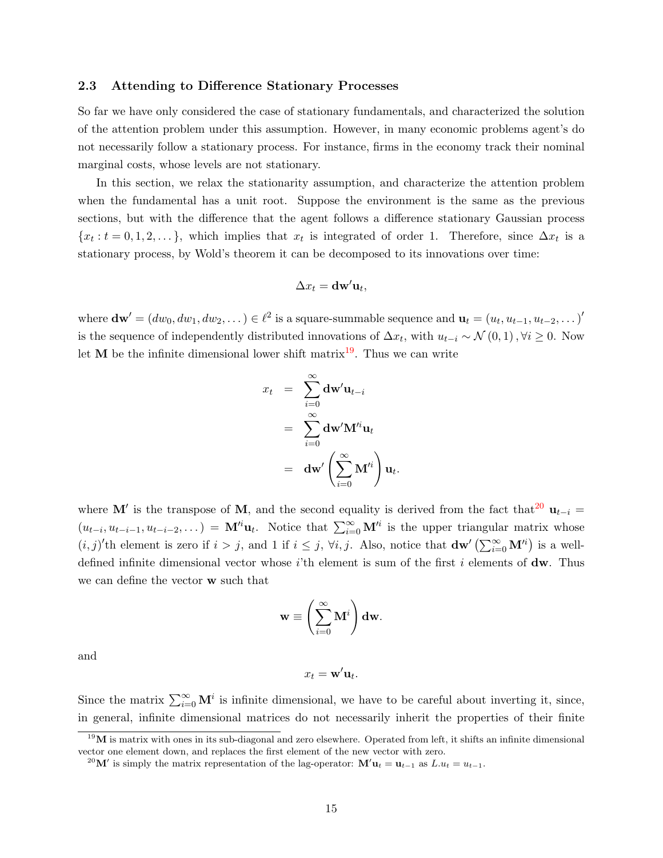## <span id="page-14-2"></span>2.3 Attending to Difference Stationary Processes

So far we have only considered the case of stationary fundamentals, and characterized the solution of the attention problem under this assumption. However, in many economic problems agent's do not necessarily follow a stationary process. For instance, firms in the economy track their nominal marginal costs, whose levels are not stationary.

In this section, we relax the stationarity assumption, and characterize the attention problem when the fundamental has a unit root. Suppose the environment is the same as the previous sections, but with the difference that the agent follows a difference stationary Gaussian process  ${x_t : t = 0, 1, 2, ...}$ , which implies that  $x_t$  is integrated of order 1. Therefore, since  $\Delta x_t$  is a stationary process, by Wold's theorem it can be decomposed to its innovations over time:

$$
\Delta x_t = \mathbf{d}\mathbf{w}'\mathbf{u}_t,
$$

where  $\mathbf{dw}' = (dw_0, dw_1, dw_2, \dots) \in \ell^2$  is a square-summable sequence and  $\mathbf{u}_t = (u_t, u_{t-1}, u_{t-2}, \dots)$ is the sequence of independently distributed innovations of  $\Delta x_t$ , with  $u_{t-i} \sim \mathcal{N}(0, 1)$ ,  $\forall i \geq 0$ . Now let **M** be the infinite dimensional lower shift matrix<sup>[19](#page-14-0)</sup>. Thus we can write

$$
x_t = \sum_{i=0}^{\infty} \mathbf{dw}' \mathbf{u}_{t-i}
$$
  
= 
$$
\sum_{i=0}^{\infty} \mathbf{dw}' \mathbf{M}'^i \mathbf{u}_t
$$
  
= 
$$
\mathbf{dw}' \left( \sum_{i=0}^{\infty} \mathbf{M}'^i \right) \mathbf{u}_t
$$

.

where M' is the transpose of M, and the second equality is derived from the fact that<sup>[20](#page-14-1)</sup>  $\mathbf{u}_{t-i} =$  $(u_{t-i}, u_{t-i-1}, u_{t-i-2}, \dots) = \mathbf{M}^h \mathbf{u}_t$ . Notice that  $\sum_{i=0}^{\infty} \mathbf{M}^i$  is the upper triangular matrix whose  $(i, j)'$ th element is zero if  $i > j$ , and 1 if  $i \leq j$ ,  $\forall i, j$ . Also, notice that  $dw'(\sum_{i=0}^{\infty} M'^i)$  is a welldefined infinite dimensional vector whose i'th element is sum of the first i elements of  $dw$ . Thus we can define the vector w such that

$$
\mathbf{w} \equiv \left(\sum_{i=0}^{\infty} \mathbf{M}^i\right) \mathbf{dw}.
$$

and

$$
x_t = \mathbf{w}' \mathbf{u}_t.
$$

Since the matrix  $\sum_{i=0}^{\infty} \mathbf{M}^i$  is infinite dimensional, we have to be careful about inverting it, since, in general, infinite dimensional matrices do not necessarily inherit the properties of their finite

<span id="page-14-0"></span> $^{19}$ M is matrix with ones in its sub-diagonal and zero elsewhere. Operated from left, it shifts an infinite dimensional vector one element down, and replaces the first element of the new vector with zero.

<span id="page-14-1"></span><sup>&</sup>lt;sup>20</sup>M' is simply the matrix representation of the lag-operator:  $M'u_t = u_{t-1}$  as  $L.u_t = u_{t-1}$ .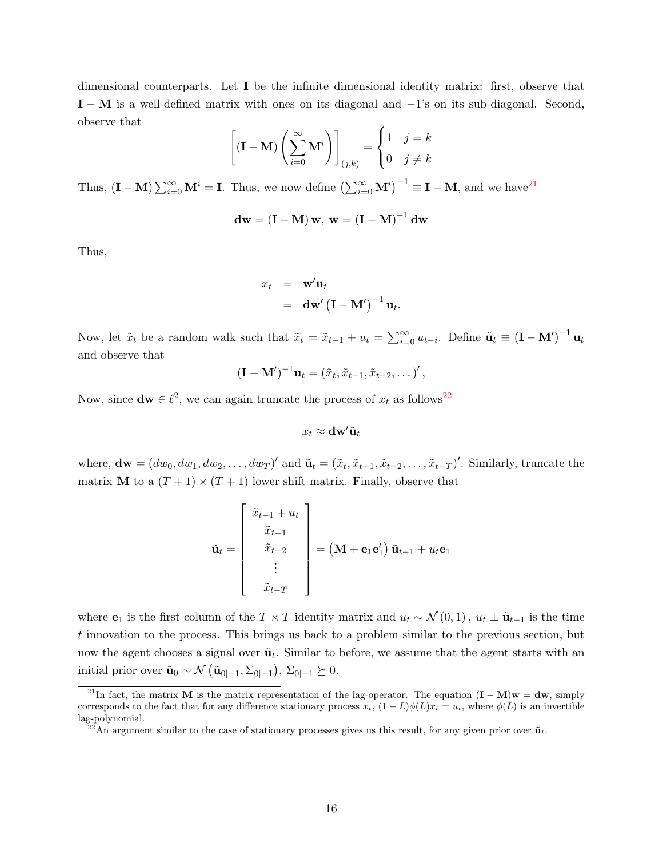dimensional counterparts. Let I be the infinite dimensional identity matrix: first, observe that  $I - M$  is a well-defined matrix with ones on its diagonal and  $-1$ 's on its sub-diagonal. Second, observe that

$$
\left[ (\mathbf{I} - \mathbf{M}) \left( \sum_{i=0}^{\infty} \mathbf{M}^i \right) \right]_{(j,k)} = \begin{cases} 1 & j = k \\ 0 & j \neq k \end{cases}
$$

Thus,  $(I - M) \sum_{i=0}^{\infty} M^i = I$ . Thus, we now define  $(\sum_{i=0}^{\infty} M^i)^{-1} \equiv I - M$ , and we have  $2^1$ 

$$
\mathbf{d}\mathbf{w} = (\mathbf{I} - \mathbf{M})\,\mathbf{w},\ \mathbf{w} = (\mathbf{I} - \mathbf{M})^{-1}\,\mathbf{d}\mathbf{w}
$$

Thus,

$$
x_t = \mathbf{w}' \mathbf{u}_t
$$
  
=  $\mathbf{dw}' (\mathbf{I} - \mathbf{M}')^{-1} \mathbf{u}_t$ .

Now, let  $\tilde{x}_t$  be a random walk such that  $\tilde{x}_t = \tilde{x}_{t-1} + u_t = \sum_{i=0}^{\infty} u_{t-i}$ . Define  $\tilde{\mathbf{u}}_t \equiv (\mathbf{I} - \mathbf{M}')^{-1} \mathbf{u}_t$ and observe that

$$
(\mathbf{I}-\mathbf{M}')^{-1}\mathbf{u}_t=(\tilde{x}_t,\tilde{x}_{t-1},\tilde{x}_{t-2},\dots)'
$$

Now, since  $dw \in \ell^2$ , we can again truncate the process of  $x_t$  as follows<sup>[22](#page-15-1)</sup>

$$
x_t \approx \mathbf{dw}' \tilde{\mathbf{u}}_t
$$

where,  $\mathbf{dw} = (dw_0, dw_1, dw_2, \dots, dw_T)'$  and  $\tilde{\mathbf{u}}_t = (\tilde{x}_t, \tilde{x}_{t-1}, \tilde{x}_{t-2}, \dots, \tilde{x}_{t-T})'$ . Similarly, truncate the matrix **M** to a  $(T + 1) \times (T + 1)$  lower shift matrix. Finally, observe that

$$
\tilde{\mathbf{u}}_t = \begin{bmatrix} \tilde{x}_{t-1} + u_t \\ \tilde{x}_{t-1} \\ \tilde{x}_{t-2} \\ \vdots \\ \tilde{x}_{t-T} \end{bmatrix} = (\mathbf{M} + \mathbf{e}_1 \mathbf{e}'_1) \tilde{\mathbf{u}}_{t-1} + u_t \mathbf{e}_1
$$

where  $e_1$  is the first column of the  $T \times T$  identity matrix and  $u_t \sim \mathcal{N}(0, 1)$ ,  $u_t \perp \tilde{u}_{t-1}$  is the time t innovation to the process. This brings us back to a problem similar to the previous section, but now the agent chooses a signal over  $\tilde{\mathbf{u}}_t$ . Similar to before, we assume that the agent starts with an initial prior over  $\tilde{\mathbf{u}}_0 \sim \mathcal{N}(\tilde{\mathbf{u}}_{0|-1}, \Sigma_{0|-1}), \Sigma_{0|-1} \succeq 0.$ 

<span id="page-15-0"></span><sup>&</sup>lt;sup>21</sup>In fact, the matrix M is the matrix representation of the lag-operator. The equation  $(I - M)w = dw$ , simply corresponds to the fact that for any difference stationary process  $x_t$ ,  $(1 - L)\phi(L)x_t = u_t$ , where  $\phi(L)$  is an invertible lag-polynomial.

<span id="page-15-1"></span> $^{22}$ An argument similar to the case of stationary processes gives us this result, for any given prior over  $\tilde{u}_t$ .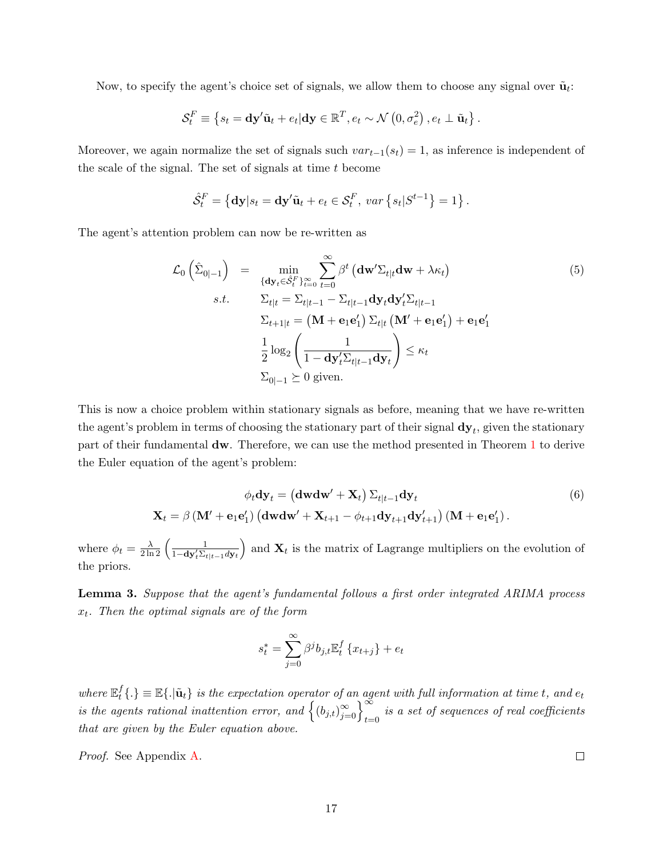Now, to specify the agent's choice set of signals, we allow them to choose any signal over  $\tilde{\mathbf{u}}_t$ :

$$
\mathcal{S}_t^F \equiv \left\{ s_t = \mathbf{dy}' \tilde{\mathbf{u}}_t + e_t | \mathbf{dy} \in \mathbb{R}^T, e_t \sim \mathcal{N}\left(0, \sigma_e^2\right), e_t \perp \tilde{\mathbf{u}}_t \right\}.
$$

Moreover, we again normalize the set of signals such  $var_{t-1}(s_t) = 1$ , as inference is independent of the scale of the signal. The set of signals at time  $t$  become

$$
\hat{\mathcal{S}}_t^F = \left\{ \mathbf{dy} | s_t = \mathbf{dy}' \tilde{\mathbf{u}}_t + e_t \in \mathcal{S}_t^F, \, var \left\{ s_t | S^{t-1} \right\} = 1 \right\}.
$$

The agent's attention problem can now be re-written as

$$
\mathcal{L}_{0}\left(\hat{\Sigma}_{0|-1}\right) = \min_{\{\mathbf{d}\mathbf{y}_{t}\in\hat{\mathcal{S}}_{t}^{F}\}_{t=0}^{\infty}} \sum_{t=0}^{\infty} \beta^{t} \left(\mathbf{d}\mathbf{w}'\Sigma_{t|t}\mathbf{d}\mathbf{w} + \lambda \kappa_{t}\right)
$$
\n
$$
s.t. \qquad \Sigma_{t|t} = \Sigma_{t|t-1} - \Sigma_{t|t-1}\mathbf{d}\mathbf{y}_{t}\mathbf{d}\mathbf{y}_{t}'\Sigma_{t|t-1}
$$
\n
$$
\Sigma_{t+1|t} = \left(\mathbf{M} + \mathbf{e}_{1}\mathbf{e}_{1}'\right)\Sigma_{t|t}\left(\mathbf{M}' + \mathbf{e}_{1}\mathbf{e}_{1}'\right) + \mathbf{e}_{1}\mathbf{e}_{1}'
$$
\n
$$
\frac{1}{2}\log_{2}\left(\frac{1}{1 - \mathbf{d}\mathbf{y}_{t}'\Sigma_{t|t-1}\mathbf{d}\mathbf{y}_{t}}\right) \leq \kappa_{t}
$$
\n
$$
\Sigma_{0|-1} \succeq 0 \text{ given.}
$$
\n(5)

This is now a choice problem within stationary signals as before, meaning that we have re-written the agent's problem in terms of choosing the stationary part of their signal  $\mathbf{dy}_t$ , given the stationary part of their fundamental dw. Therefore, we can use the method presented in Theorem [1](#page-10-2) to derive the Euler equation of the agent's problem:

<span id="page-16-0"></span>
$$
\phi_t \mathbf{dy}_t = (\mathbf{d} \mathbf{w} \mathbf{d} \mathbf{w}' + \mathbf{X}_t) \Sigma_{t|t-1} \mathbf{dy}_t
$$
\n
$$
\mathbf{X}_t = \beta \left( \mathbf{M}' + \mathbf{e}_1 \mathbf{e}'_1 \right) \left( \mathbf{d} \mathbf{w} \mathbf{d} \mathbf{w}' + \mathbf{X}_{t+1} - \phi_{t+1} \mathbf{d} \mathbf{y}_{t+1} \mathbf{d} \mathbf{y}'_{t+1} \right) \left( \mathbf{M} + \mathbf{e}_1 \mathbf{e}'_1 \right).
$$
\n(6)

where  $\phi_t = \frac{\lambda}{2 \ln 2} \left( \frac{1}{1 - \mathbf{dy}_t' \Sigma_{t|t-1} d\mathbf{y}_t} \right)$ ) and  $\mathbf{X}_t$  is the matrix of Lagrange multipliers on the evolution of the priors.

<span id="page-16-1"></span>Lemma 3. Suppose that the agent's fundamental follows a first order integrated ARIMA process  $x_t$ . Then the optimal signals are of the form

$$
s_t^* = \sum_{j=0}^{\infty} \beta^j b_{j,t} \mathbb{E}_t^f \{x_{t+j}\} + e_t
$$

where  $\mathbb{E}_t^f$  $t^f_t\{.\}\equiv\mathbb{E}\{.\vert\tilde{\mathbf{u}}_t\}\;$  is the expectation operator of an agent with full information at time  $t,$  and  $e_t$ is the agents rational inattention error, and  $\left\{ (b_{j,t})_{j=0}^{\infty} \right\}_{t=0}^{\infty}$  is a set of sequences of real coefficients that are given by the Euler equation above.

Proof. See Appendix [A.](#page-52-0)

 $\Box$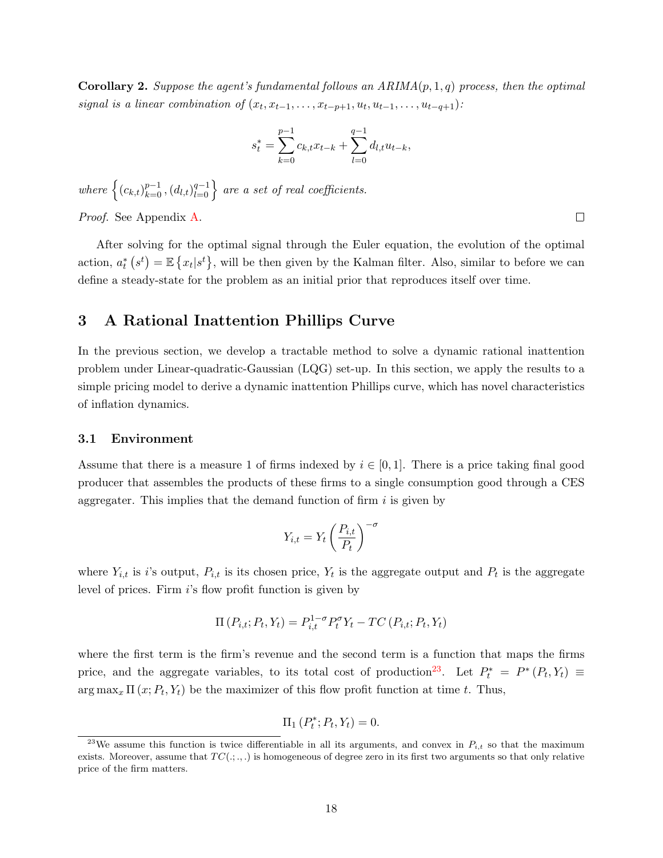<span id="page-17-2"></span>**Corollary 2.** Suppose the agent's fundamental follows an  $ARIMA(p, 1, q)$  process, then the optimal signal is a linear combination of  $(x_t, x_{t-1}, \ldots, x_{t-p+1}, u_t, u_{t-1}, \ldots, u_{t-q+1})$ :

$$
s_t^* = \sum_{k=0}^{p-1} c_{k,t} x_{t-k} + \sum_{l=0}^{q-1} d_{l,t} u_{t-k},
$$

where  $\left\{(c_{k,t})_{k=0}^{p-1},(d_{l,t})_{l=0}^{q-1}\right\}$  are a set of real coefficients.

Proof. See Appendix [A.](#page-53-0)

After solving for the optimal signal through the Euler equation, the evolution of the optimal action,  $a_t^*$   $(s^t) = \mathbb{E}\left\{x_t | s^t\right\}$ , will be then given by the Kalman filter. Also, similar to before we can define a steady-state for the problem as an initial prior that reproduces itself over time.

# <span id="page-17-0"></span>3 A Rational Inattention Phillips Curve

In the previous section, we develop a tractable method to solve a dynamic rational inattention problem under Linear-quadratic-Gaussian (LQG) set-up. In this section, we apply the results to a simple pricing model to derive a dynamic inattention Phillips curve, which has novel characteristics of inflation dynamics.

## 3.1 Environment

Assume that there is a measure 1 of firms indexed by  $i \in [0,1]$ . There is a price taking final good producer that assembles the products of these firms to a single consumption good through a CES aggregater. This implies that the demand function of firm  $i$  is given by

$$
Y_{i,t} = Y_t \left(\frac{P_{i,t}}{P_t}\right)^{-\sigma}
$$

where  $Y_{i,t}$  is is output,  $P_{i,t}$  is its chosen price,  $Y_t$  is the aggregate output and  $P_t$  is the aggregate level of prices. Firm i's flow profit function is given by

$$
\Pi(P_{i,t}; P_t, Y_t) = P_{i,t}^{1-\sigma} P_t^{\sigma} Y_t - TC(P_{i,t}; P_t, Y_t)
$$

where the first term is the firm's revenue and the second term is a function that maps the firms price, and the aggregate variables, to its total cost of production<sup>[23](#page-17-1)</sup>. Let  $P_t^* = P^*(P_t, Y_t) \equiv$  $\arg \max_x \Pi(x; P_t, Y_t)$  be the maximizer of this flow profit function at time t. Thus,

$$
\Pi_1(P_t^*; P_t, Y_t) = 0.
$$

 $\Box$ 

<span id="page-17-1"></span><sup>&</sup>lt;sup>23</sup>We assume this function is twice differentiable in all its arguments, and convex in  $P_{i,t}$  so that the maximum exists. Moreover, assume that  $TC(:, \cdot, \cdot)$  is homogeneous of degree zero in its first two arguments so that only relative price of the firm matters.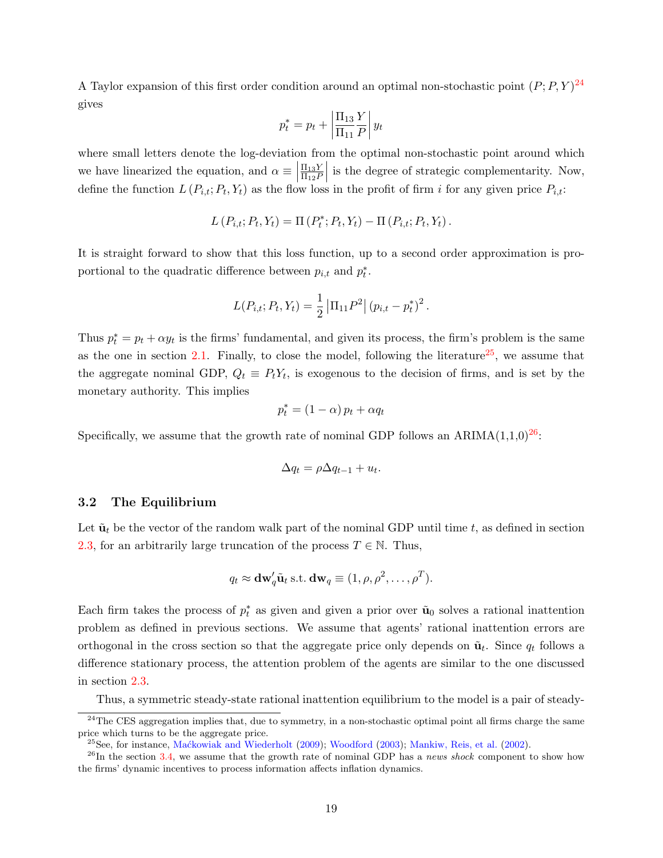A Taylor expansion of this first order condition around an optimal non-stochastic point  $(P; P, Y)^{24}$  $(P; P, Y)^{24}$  $(P; P, Y)^{24}$ gives

$$
p_t^* = p_t + \left| \frac{\Pi_{13}}{\Pi_{11}} \frac{Y}{P} \right| y_t
$$

where small letters denote the log-deviation from the optimal non-stochastic point around which we have linearized the equation, and  $\alpha \equiv \begin{bmatrix} 1 & 0 & 0 \\ 0 & 0 & 0 \\ 0 & 0 & 0 \end{bmatrix}$  $\Pi_{13}Y$  $\Pi_{12}P$ is the degree of strategic complementarity. Now, define the function  $L(P_{i,t}; P_t, Y_t)$  as the flow loss in the profit of firm i for any given price  $P_{i,t}$ :

$$
L(P_{i,t}; P_t, Y_t) = \Pi(P_t^*; P_t, Y_t) - \Pi(P_{i,t}; P_t, Y_t).
$$

It is straight forward to show that this loss function, up to a second order approximation is proportional to the quadratic difference between  $p_{i,t}$  and  $p_t^*$ .

$$
L(P_{i,t}; P_t, Y_t) = \frac{1}{2} |\Pi_{11} P^2 | (p_{i,t} - p_t^*)^2.
$$

Thus  $p_t^* = p_t + \alpha y_t$  is the firms' fundamental, and given its process, the firm's problem is the same as the one in section [2.1.](#page-5-5) Finally, to close the model, following the literature<sup>[25](#page-18-1)</sup>, we assume that the aggregate nominal GDP,  $Q_t \equiv P_t Y_t$ , is exogenous to the decision of firms, and is set by the monetary authority. This implies

$$
p_t^* = (1 - \alpha) p_t + \alpha q_t
$$

Specifically, we assume that the growth rate of nominal GDP follows an ARIMA $(1,1,0)^{26}$  $(1,1,0)^{26}$  $(1,1,0)^{26}$ :

$$
\Delta q_t = \rho \Delta q_{t-1} + u_t.
$$

#### 3.2 The Equilibrium

Let  $\tilde{\mathbf{u}}_t$  be the vector of the random walk part of the nominal GDP until time t, as defined in section [2.3,](#page-14-2) for an arbitrarily large truncation of the process  $T \in \mathbb{N}$ . Thus,

$$
q_t \approx \mathbf{dw}'_q \tilde{\mathbf{u}}_t \text{ s.t. } \mathbf{dw}_q \equiv (1, \rho, \rho^2, \dots, \rho^T).
$$

Each firm takes the process of  $p_t^*$  as given and given a prior over  $\tilde{\mathbf{u}}_0$  solves a rational inattention problem as defined in previous sections. We assume that agents' rational inattention errors are orthogonal in the cross section so that the aggregate price only depends on  $\tilde{\mathbf{u}}_t$ . Since  $q_t$  follows a difference stationary process, the attention problem of the agents are similar to the one discussed in section [2.3.](#page-14-2)

<span id="page-18-0"></span>Thus, a symmetric steady-state rational inattention equilibrium to the model is a pair of steady-

 $24$ The CES aggregation implies that, due to symmetry, in a non-stochastic optimal point all firms charge the same price which turns to be the aggregate price.

<span id="page-18-2"></span><span id="page-18-1"></span> $^{25}$ See, for instance, Mac<sup>k</sup>owiak and Wiederholt [\(2009\)](#page-35-6); [Woodford](#page-37-0) [\(2003\)](#page-37-0); [Mankiw, Reis, et al.](#page-36-0) [\(2002\)](#page-36-0).

 $^{26}$ In the section [3.4,](#page-22-0) we assume that the growth rate of nominal GDP has a news shock component to show how the firms' dynamic incentives to process information affects inflation dynamics.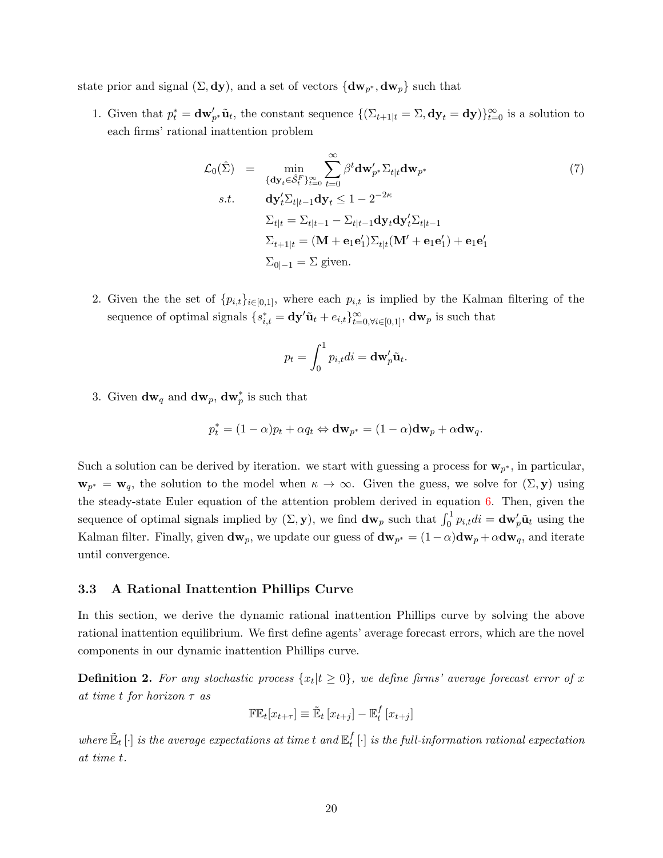state prior and signal  $(\Sigma, \mathrm{dy})$ , and a set of vectors  $\{\mathrm{d}w_{p^*}, \mathrm{d}w_p\}$  such that

1. Given that  $p_t^* = \mathbf{dw}'_{p^*}\tilde{\mathbf{u}}_t$ , the constant sequence  $\{(\Sigma_{t+1|t} = \Sigma, \mathbf{dy}_t = \mathbf{dy})\}_{t=0}^{\infty}$  is a solution to each firms' rational inattention problem

$$
\mathcal{L}_0(\hat{\Sigma}) = \min_{\{\mathbf{dy}_t \in \hat{S}_t^F\}_{t=0}^{\infty}} \sum_{t=0}^{\infty} \beta^t \mathbf{dw}'_{p^*} \Sigma_{t|t} \mathbf{dw}_{p^*}
$$
\ns.t. 
$$
\mathbf{dy}'_t \Sigma_{t|t-1} \mathbf{dy}_t \le 1 - 2^{-2\kappa}
$$
\n
$$
\Sigma_{t|t} = \Sigma_{t|t-1} - \Sigma_{t|t-1} \mathbf{dy}_t \mathbf{dy}'_t \Sigma_{t|t-1}
$$
\n
$$
\Sigma_{t+1|t} = (\mathbf{M} + \mathbf{e}_1 \mathbf{e}'_1) \Sigma_{t|t} (\mathbf{M}' + \mathbf{e}_1 \mathbf{e}'_1) + \mathbf{e}_1 \mathbf{e}'_1
$$
\n
$$
\Sigma_{0|-1} = \Sigma \text{ given.}
$$
\n(7)

2. Given the the set of  $\{p_{i,t}\}_{i\in[0,1]},$  where each  $p_{i,t}$  is implied by the Kalman filtering of the sequence of optimal signals  $\{s_{i,t}^* = \mathbf{dy}'\tilde{\mathbf{u}}_t + e_{i,t}\}_{t=0,\forall i \in [0,1]}^{\infty}$ ,  $\mathbf{dw}_p$  is such that

$$
p_t = \int_0^1 p_{i,t}di = \mathbf{dw}_p' \tilde{\mathbf{u}}_t.
$$

3. Given  $dw_q$  and  $dw_p$ ,  $dw_p^*$  is such that

$$
p_t^* = (1 - \alpha)p_t + \alpha q_t \Leftrightarrow \mathbf{dw}_{p^*} = (1 - \alpha)\mathbf{dw}_p + \alpha \mathbf{dw}_q.
$$

Such a solution can be derived by iteration. we start with guessing a process for  $w_{p^*}$ , in particular,  $\mathbf{w}_{p^*} = \mathbf{w}_q$ , the solution to the model when  $\kappa \to \infty$ . Given the guess, we solve for  $(\Sigma, \mathbf{y})$  using the steady-state Euler equation of the attention problem derived in equation [6.](#page-16-0) Then, given the sequence of optimal signals implied by  $(\Sigma, \mathbf{y})$ , we find  $\mathbf{dw}_p$  such that  $\int_0^1 p_{i,t}di = \mathbf{dw}_p'\tilde{\mathbf{u}}_t$  using the Kalman filter. Finally, given  $dw_p$ , we update our guess of  $dw_{p^*} = (1-\alpha)dw_p + \alpha dw_q$ , and iterate until convergence.

## 3.3 A Rational Inattention Phillips Curve

In this section, we derive the dynamic rational inattention Phillips curve by solving the above rational inattention equilibrium. We first define agents' average forecast errors, which are the novel components in our dynamic inattention Phillips curve.

**Definition 2.** For any stochastic process  $\{x_t | t \ge 0\}$ , we define firms' average forecast error of x at time t for horizon  $\tau$  as

$$
\mathbb{FE}_t[x_{t+\tau}] \equiv \tilde{\mathbb{E}}_t[x_{t+j}] - \mathbb{E}_t^f[x_{t+j}]
$$

where  $\mathbb{\tilde{E}}_t\left[\cdot\right]$  is the average expectations at time  $t$  and  $\mathbb{E}^f_t$  $_{t}^{J}\left[ \cdot\right]$  is the full-information rational expectation at time t.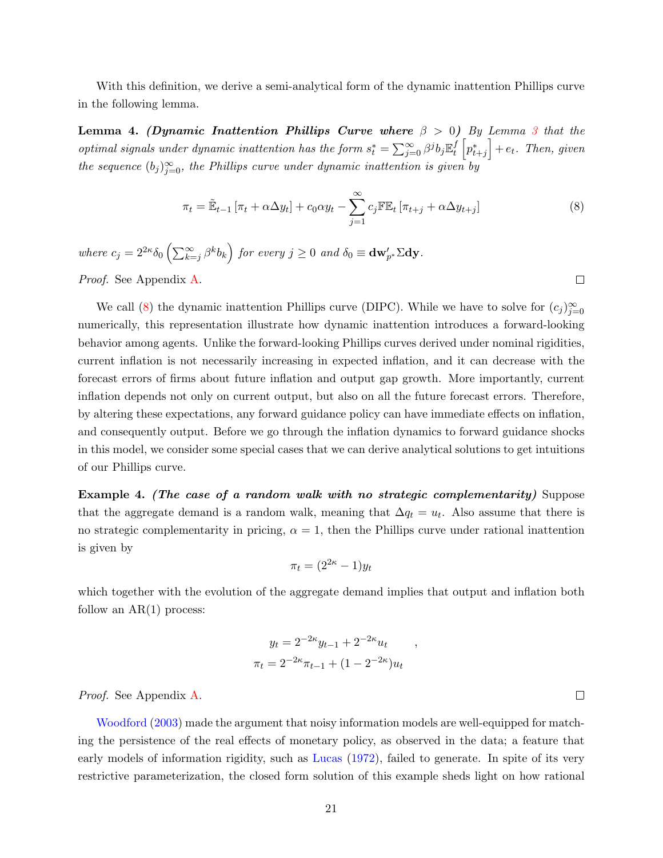With this definition, we derive a semi-analytical form of the dynamic inattention Phillips curve in the following lemma.

<span id="page-20-2"></span>Lemma 4. (Dynamic Inattention Phillips Curve where  $\beta > 0$ ) By Lemma [3](#page-16-1) that the optimal signals under dynamic inattention has the form  $s_t^* = \sum_{j=0}^{\infty} \beta^j b_j \mathbb{E}_t^f$  $\begin{bmatrix} f \\ t^* \end{bmatrix}$  +  $e_t$ . Then, given the sequence  $(b_j)_{j=0}^{\infty}$ , the Phillips curve under dynamic inattention is given by

<span id="page-20-0"></span>
$$
\pi_t = \tilde{\mathbb{E}}_{t-1} \left[ \pi_t + \alpha \Delta y_t \right] + c_0 \alpha y_t - \sum_{j=1}^{\infty} c_j \mathbb{F} \mathbb{E}_t \left[ \pi_{t+j} + \alpha \Delta y_{t+j} \right]
$$
(8)

where  $c_j = 2^{2\kappa} \delta_0 \left( \sum_{k=j}^{\infty} \beta^k b_k \right)$  for every  $j \geq 0$  and  $\delta_0 \equiv \mathbf{dw}'_{p^*} \Sigma \mathbf{dy}$ . Proof. See Appendix [A.](#page-54-0)

 $\Box$ 

We call [\(8\)](#page-20-0) the dynamic inattention Phillips curve (DIPC). While we have to solve for  $(c_j)_{j=0}^{\infty}$ numerically, this representation illustrate how dynamic inattention introduces a forward-looking behavior among agents. Unlike the forward-looking Phillips curves derived under nominal rigidities, current inflation is not necessarily increasing in expected inflation, and it can decrease with the forecast errors of firms about future inflation and output gap growth. More importantly, current inflation depends not only on current output, but also on all the future forecast errors. Therefore, by altering these expectations, any forward guidance policy can have immediate effects on inflation, and consequently output. Before we go through the inflation dynamics to forward guidance shocks in this model, we consider some special cases that we can derive analytical solutions to get intuitions of our Phillips curve.

<span id="page-20-1"></span>Example 4. (The case of a random walk with no strategic complementarity) Suppose that the aggregate demand is a random walk, meaning that  $\Delta q_t = u_t$ . Also assume that there is no strategic complementarity in pricing,  $\alpha = 1$ , then the Phillips curve under rational inattention is given by

$$
\pi_t = (2^{2\kappa} - 1)y_t
$$

which together with the evolution of the aggregate demand implies that output and inflation both follow an  $AR(1)$  process:

$$
y_t = 2^{-2\kappa} y_{t-1} + 2^{-2\kappa} u_t
$$

$$
\pi_t = 2^{-2\kappa} \pi_{t-1} + (1 - 2^{-2\kappa}) u_t
$$

,

Proof. See Appendix [A.](#page-55-0)

[Woodford](#page-37-0) [\(2003\)](#page-37-0) made the argument that noisy information models are well-equipped for matching the persistence of the real effects of monetary policy, as observed in the data; a feature that early models of information rigidity, such as [Lucas](#page-35-12) [\(1972\)](#page-35-12), failed to generate. In spite of its very restrictive parameterization, the closed form solution of this example sheds light on how rational

 $\Box$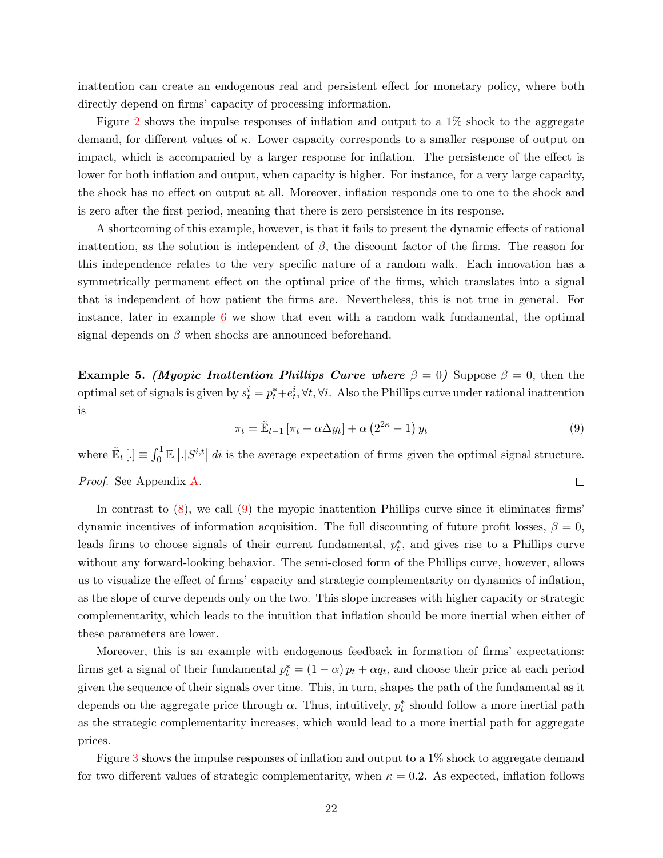inattention can create an endogenous real and persistent effect for monetary policy, where both directly depend on firms' capacity of processing information.

Figure [2](#page-40-0) shows the impulse responses of inflation and output to a 1% shock to the aggregate demand, for different values of  $\kappa$ . Lower capacity corresponds to a smaller response of output on impact, which is accompanied by a larger response for inflation. The persistence of the effect is lower for both inflation and output, when capacity is higher. For instance, for a very large capacity, the shock has no effect on output at all. Moreover, inflation responds one to one to the shock and is zero after the first period, meaning that there is zero persistence in its response.

A shortcoming of this example, however, is that it fails to present the dynamic effects of rational inattention, as the solution is independent of  $\beta$ , the discount factor of the firms. The reason for this independence relates to the very specific nature of a random walk. Each innovation has a symmetrically permanent effect on the optimal price of the firms, which translates into a signal that is independent of how patient the firms are. Nevertheless, this is not true in general. For instance, later in example [6](#page-22-1) we show that even with a random walk fundamental, the optimal signal depends on  $\beta$  when shocks are announced beforehand.

<span id="page-21-1"></span>Example 5. (Myopic Inattention Phillips Curve where  $\beta = 0$ ) Suppose  $\beta = 0$ , then the optimal set of signals is given by  $s_t^i = p_t^* + e_t^i, \forall t, \forall i$ . Also the Phillips curve under rational inattention is

<span id="page-21-0"></span>
$$
\pi_t = \tilde{\mathbb{E}}_{t-1} \left[ \pi_t + \alpha \Delta y_t \right] + \alpha \left( 2^{2\kappa} - 1 \right) y_t \tag{9}
$$

where  $\mathbb{E}_t\left[\cdot\right] \equiv \int_0^1 \mathbb{E}\left[\cdot|S^{i,t}\right] dt$  is the average expectation of firms given the optimal signal structure.  $\Box$ Proof. See Appendix [A.](#page-58-0)

In contrast to  $(8)$ , we call  $(9)$  the myopic inattention Phillips curve since it eliminates firms' dynamic incentives of information acquisition. The full discounting of future profit losses,  $\beta = 0$ , leads firms to choose signals of their current fundamental,  $p_t^*$ , and gives rise to a Phillips curve without any forward-looking behavior. The semi-closed form of the Phillips curve, however, allows us to visualize the effect of firms' capacity and strategic complementarity on dynamics of inflation, as the slope of curve depends only on the two. This slope increases with higher capacity or strategic complementarity, which leads to the intuition that inflation should be more inertial when either of these parameters are lower.

Moreover, this is an example with endogenous feedback in formation of firms' expectations: firms get a signal of their fundamental  $p_t^* = (1 - \alpha) p_t + \alpha q_t$ , and choose their price at each period given the sequence of their signals over time. This, in turn, shapes the path of the fundamental as it depends on the aggregate price through  $\alpha$ . Thus, intuitively,  $p_t^*$  should follow a more inertial path as the strategic complementarity increases, which would lead to a more inertial path for aggregate prices.

Figure [3](#page-40-1) shows the impulse responses of inflation and output to a 1% shock to aggregate demand for two different values of strategic complementarity, when  $\kappa = 0.2$ . As expected, inflation follows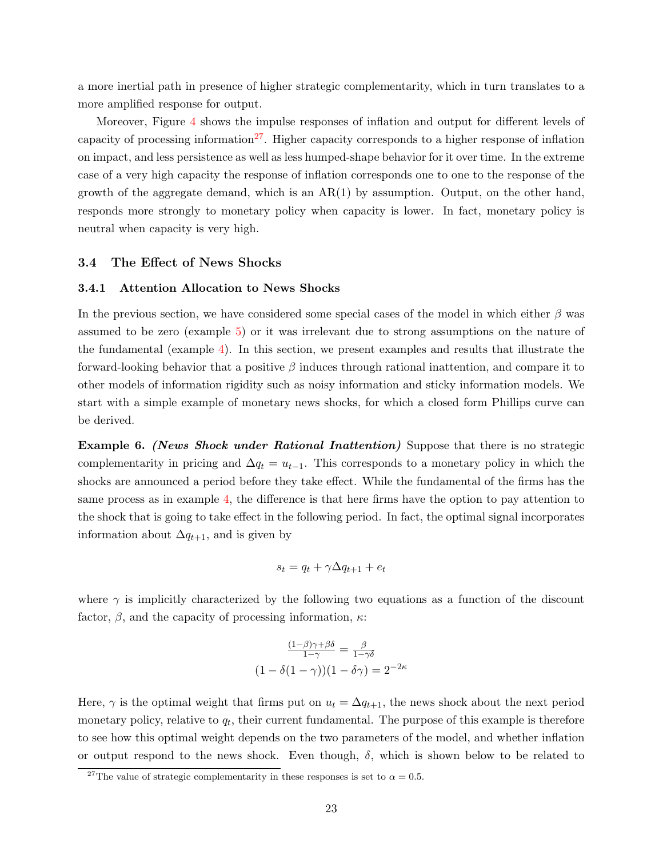a more inertial path in presence of higher strategic complementarity, which in turn translates to a more amplified response for output.

Moreover, Figure [4](#page-41-0) shows the impulse responses of inflation and output for different levels of capacity of processing information<sup>[27](#page-22-2)</sup>. Higher capacity corresponds to a higher response of inflation on impact, and less persistence as well as less humped-shape behavior for it over time. In the extreme case of a very high capacity the response of inflation corresponds one to one to the response of the growth of the aggregate demand, which is an  $AR(1)$  by assumption. Output, on the other hand, responds more strongly to monetary policy when capacity is lower. In fact, monetary policy is neutral when capacity is very high.

#### <span id="page-22-0"></span>3.4 The Effect of News Shocks

#### 3.4.1 Attention Allocation to News Shocks

In the previous section, we have considered some special cases of the model in which either  $\beta$  was assumed to be zero (example [5\)](#page-21-1) or it was irrelevant due to strong assumptions on the nature of the fundamental (example [4\)](#page-20-1). In this section, we present examples and results that illustrate the forward-looking behavior that a positive  $\beta$  induces through rational inattention, and compare it to other models of information rigidity such as noisy information and sticky information models. We start with a simple example of monetary news shocks, for which a closed form Phillips curve can be derived.

<span id="page-22-1"></span>**Example 6.** (News Shock under Rational Inattention) Suppose that there is no strategic complementarity in pricing and  $\Delta q_t = u_{t-1}$ . This corresponds to a monetary policy in which the shocks are announced a period before they take effect. While the fundamental of the firms has the same process as in example [4,](#page-20-1) the difference is that here firms have the option to pay attention to the shock that is going to take effect in the following period. In fact, the optimal signal incorporates information about  $\Delta q_{t+1}$ , and is given by

$$
s_t = q_t + \gamma \Delta q_{t+1} + e_t
$$

where  $\gamma$  is implicitly characterized by the following two equations as a function of the discount factor,  $\beta$ , and the capacity of processing information,  $\kappa$ :

$$
\frac{(1-\beta)\gamma+\beta\delta}{1-\gamma} = \frac{\beta}{1-\gamma\delta}
$$

$$
(1-\delta(1-\gamma))(1-\delta\gamma) = 2^{-2\kappa}
$$

Here,  $\gamma$  is the optimal weight that firms put on  $u_t = \Delta q_{t+1}$ , the news shock about the next period monetary policy, relative to  $q_t$ , their current fundamental. The purpose of this example is therefore to see how this optimal weight depends on the two parameters of the model, and whether inflation or output respond to the news shock. Even though,  $\delta$ , which is shown below to be related to

<span id="page-22-2"></span><sup>&</sup>lt;sup>27</sup>The value of strategic complementarity in these responses is set to  $\alpha = 0.5$ .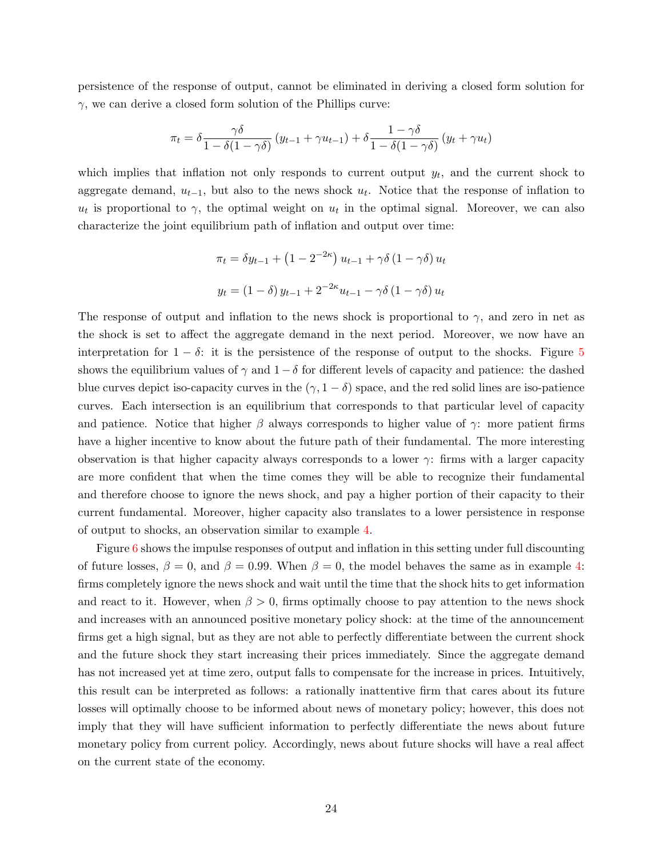persistence of the response of output, cannot be eliminated in deriving a closed form solution for  $\gamma$ , we can derive a closed form solution of the Phillips curve:

$$
\pi_t = \delta \frac{\gamma \delta}{1 - \delta(1 - \gamma \delta)} (y_{t-1} + \gamma u_{t-1}) + \delta \frac{1 - \gamma \delta}{1 - \delta(1 - \gamma \delta)} (y_t + \gamma u_t)
$$

which implies that inflation not only responds to current output  $y_t$ , and the current shock to aggregate demand,  $u_{t-1}$ , but also to the news shock  $u_t$ . Notice that the response of inflation to  $u_t$  is proportional to  $\gamma$ , the optimal weight on  $u_t$  in the optimal signal. Moreover, we can also characterize the joint equilibrium path of inflation and output over time:

$$
\pi_t = \delta y_{t-1} + (1 - 2^{-2\kappa}) u_{t-1} + \gamma \delta (1 - \gamma \delta) u_t
$$
  

$$
y_t = (1 - \delta) y_{t-1} + 2^{-2\kappa} u_{t-1} - \gamma \delta (1 - \gamma \delta) u_t
$$

The response of output and inflation to the news shock is proportional to  $\gamma$ , and zero in net as the shock is set to affect the aggregate demand in the next period. Moreover, we now have an interpretation for  $1 - \delta$ : it is the persistence of the response of output to the shocks. Figure [5](#page-41-1) shows the equilibrium values of  $\gamma$  and  $1-\delta$  for different levels of capacity and patience: the dashed blue curves depict iso-capacity curves in the  $(\gamma, 1 - \delta)$  space, and the red solid lines are iso-patience curves. Each intersection is an equilibrium that corresponds to that particular level of capacity and patience. Notice that higher  $\beta$  always corresponds to higher value of  $\gamma$ : more patient firms have a higher incentive to know about the future path of their fundamental. The more interesting observation is that higher capacity always corresponds to a lower  $\gamma$ : firms with a larger capacity are more confident that when the time comes they will be able to recognize their fundamental and therefore choose to ignore the news shock, and pay a higher portion of their capacity to their current fundamental. Moreover, higher capacity also translates to a lower persistence in response of output to shocks, an observation similar to example [4.](#page-20-1)

Figure [6](#page-42-0) shows the impulse responses of output and inflation in this setting under full discounting of future losses,  $\beta = 0$ , and  $\beta = 0.99$ . When  $\beta = 0$ , the model behaves the same as in example [4:](#page-20-1) firms completely ignore the news shock and wait until the time that the shock hits to get information and react to it. However, when  $\beta > 0$ , firms optimally choose to pay attention to the news shock and increases with an announced positive monetary policy shock: at the time of the announcement firms get a high signal, but as they are not able to perfectly differentiate between the current shock and the future shock they start increasing their prices immediately. Since the aggregate demand has not increased yet at time zero, output falls to compensate for the increase in prices. Intuitively, this result can be interpreted as follows: a rationally inattentive firm that cares about its future losses will optimally choose to be informed about news of monetary policy; however, this does not imply that they will have sufficient information to perfectly differentiate the news about future monetary policy from current policy. Accordingly, news about future shocks will have a real affect on the current state of the economy.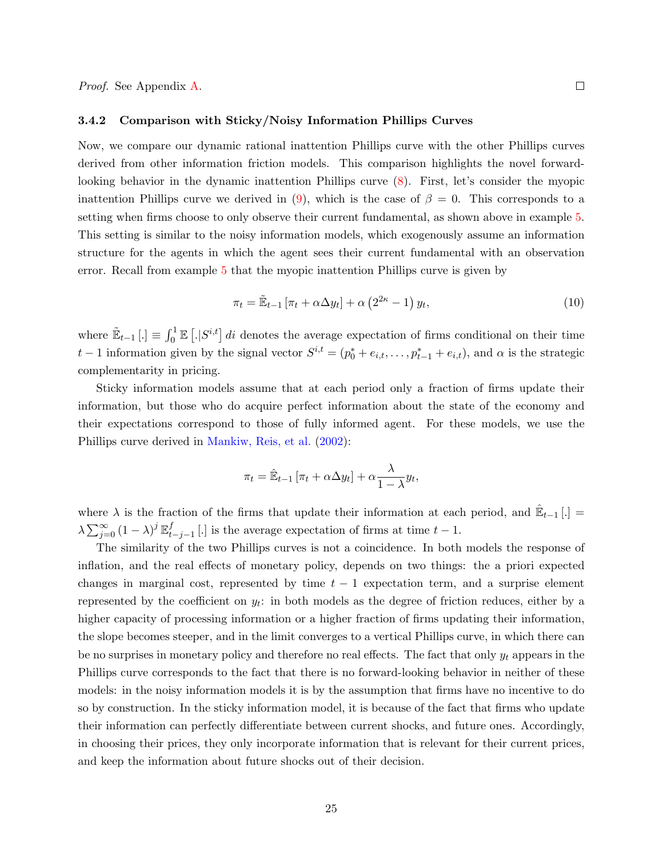#### 3.4.2 Comparison with Sticky/Noisy Information Phillips Curves

Now, we compare our dynamic rational inattention Phillips curve with the other Phillips curves derived from other information friction models. This comparison highlights the novel forwardlooking behavior in the dynamic inattention Phillips curve [\(8\)](#page-20-0). First, let's consider the myopic inattention Phillips curve we derived in [\(9\)](#page-21-0), which is the case of  $\beta = 0$ . This corresponds to a setting when firms choose to only observe their current fundamental, as shown above in example [5.](#page-21-1) This setting is similar to the noisy information models, which exogenously assume an information structure for the agents in which the agent sees their current fundamental with an observation error. Recall from example [5](#page-21-1) that the myopic inattention Phillips curve is given by

<span id="page-24-0"></span>
$$
\pi_t = \tilde{\mathbb{E}}_{t-1} \left[ \pi_t + \alpha \Delta y_t \right] + \alpha \left( 2^{2\kappa} - 1 \right) y_t,\tag{10}
$$

where  $\mathbb{E}_{t-1}$  [.]  $\equiv \int_0^1 \mathbb{E}[S^{i,t}] dt$  denotes the average expectation of firms conditional on their time t − 1 information given by the signal vector  $S^{i,t} = (p_0^* + e_{i,t}, \ldots, p_{t-1}^* + e_{i,t})$ , and  $\alpha$  is the strategic complementarity in pricing.

Sticky information models assume that at each period only a fraction of firms update their information, but those who do acquire perfect information about the state of the economy and their expectations correspond to those of fully informed agent. For these models, we use the Phillips curve derived in [Mankiw, Reis, et al.](#page-36-0) [\(2002\)](#page-36-0):

$$
\pi_t = \hat{\mathbb{E}}_{t-1} \left[ \pi_t + \alpha \Delta y_t \right] + \alpha \frac{\lambda}{1 - \lambda} y_t,
$$

where  $\lambda$  is the fraction of the firms that update their information at each period, and  $\hat{E}_{t-1}$ [.] =  $\lambda \sum_{j=0}^{\infty}\left(1-\lambda\right)^{j}\mathbb{E}_{t}^{f}$  $t_{t-j-1}$ [.] is the average expectation of firms at time  $t-1$ .

The similarity of the two Phillips curves is not a coincidence. In both models the response of inflation, and the real effects of monetary policy, depends on two things: the a priori expected changes in marginal cost, represented by time  $t - 1$  expectation term, and a surprise element represented by the coefficient on  $y_t$ : in both models as the degree of friction reduces, either by a higher capacity of processing information or a higher fraction of firms updating their information, the slope becomes steeper, and in the limit converges to a vertical Phillips curve, in which there can be no surprises in monetary policy and therefore no real effects. The fact that only  $y_t$  appears in the Phillips curve corresponds to the fact that there is no forward-looking behavior in neither of these models: in the noisy information models it is by the assumption that firms have no incentive to do so by construction. In the sticky information model, it is because of the fact that firms who update their information can perfectly differentiate between current shocks, and future ones. Accordingly, in choosing their prices, they only incorporate information that is relevant for their current prices, and keep the information about future shocks out of their decision.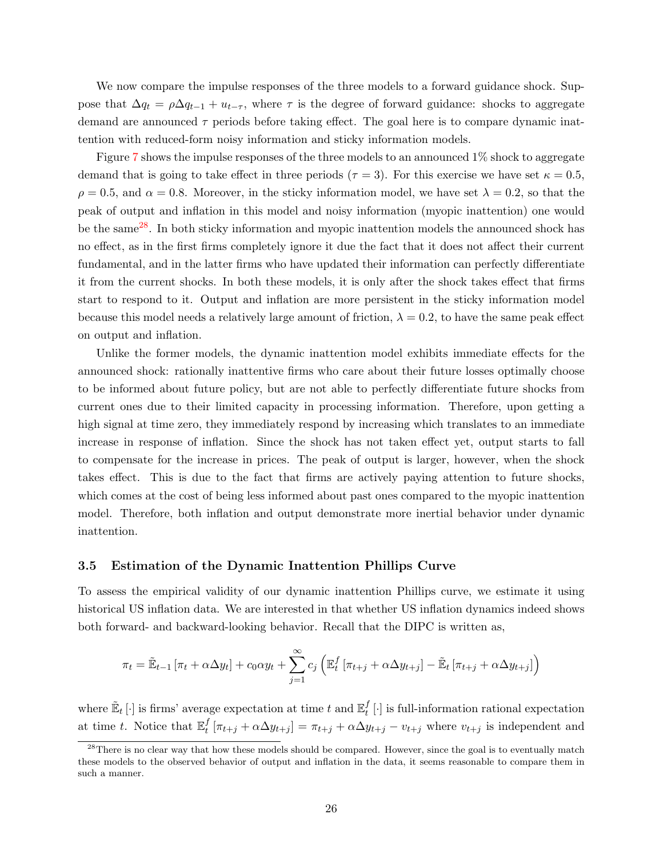We now compare the impulse responses of the three models to a forward guidance shock. Suppose that  $\Delta q_t = \rho \Delta q_{t-1} + u_{t-\tau}$ , where  $\tau$  is the degree of forward guidance: shocks to aggregate demand are announced  $\tau$  periods before taking effect. The goal here is to compare dynamic inattention with reduced-form noisy information and sticky information models.

Figure [7](#page-42-1) shows the impulse responses of the three models to an announced 1% shock to aggregate demand that is going to take effect in three periods ( $\tau = 3$ ). For this exercise we have set  $\kappa = 0.5$ ,  $\rho = 0.5$ , and  $\alpha = 0.8$ . Moreover, in the sticky information model, we have set  $\lambda = 0.2$ , so that the peak of output and inflation in this model and noisy information (myopic inattention) one would be the same<sup>[28](#page-25-0)</sup>. In both sticky information and myopic inattention models the announced shock has no effect, as in the first firms completely ignore it due the fact that it does not affect their current fundamental, and in the latter firms who have updated their information can perfectly differentiate it from the current shocks. In both these models, it is only after the shock takes effect that firms start to respond to it. Output and inflation are more persistent in the sticky information model because this model needs a relatively large amount of friction,  $\lambda = 0.2$ , to have the same peak effect on output and inflation.

Unlike the former models, the dynamic inattention model exhibits immediate effects for the announced shock: rationally inattentive firms who care about their future losses optimally choose to be informed about future policy, but are not able to perfectly differentiate future shocks from current ones due to their limited capacity in processing information. Therefore, upon getting a high signal at time zero, they immediately respond by increasing which translates to an immediate increase in response of inflation. Since the shock has not taken effect yet, output starts to fall to compensate for the increase in prices. The peak of output is larger, however, when the shock takes effect. This is due to the fact that firms are actively paying attention to future shocks, which comes at the cost of being less informed about past ones compared to the myopic inattention model. Therefore, both inflation and output demonstrate more inertial behavior under dynamic inattention.

#### 3.5 Estimation of the Dynamic Inattention Phillips Curve

To assess the empirical validity of our dynamic inattention Phillips curve, we estimate it using historical US inflation data. We are interested in that whether US inflation dynamics indeed shows both forward- and backward-looking behavior. Recall that the DIPC is written as,

$$
\pi_t = \tilde{\mathbb{E}}_{t-1} \left[ \pi_t + \alpha \Delta y_t \right] + c_0 \alpha y_t + \sum_{j=1}^{\infty} c_j \left( \mathbb{E}_t^f \left[ \pi_{t+j} + \alpha \Delta y_{t+j} \right] - \tilde{\mathbb{E}}_t \left[ \pi_{t+j} + \alpha \Delta y_{t+j} \right] \right)
$$

where  $\mathbb{E}_t[\cdot]$  is firms' average expectation at time t and  $\mathbb{E}_t^f$  $_t^J$  [·] is full-information rational expectation at time t. Notice that  $\mathbb{E}_t^f$  $t_t^f$  [ $\pi_{t+j} + \alpha \Delta y_{t+j}$ ] =  $\pi_{t+j} + \alpha \Delta y_{t+j} - v_{t+j}$  where  $v_{t+j}$  is independent and

<span id="page-25-0"></span> $^{28}$ There is no clear way that how these models should be compared. However, since the goal is to eventually match these models to the observed behavior of output and inflation in the data, it seems reasonable to compare them in such a manner.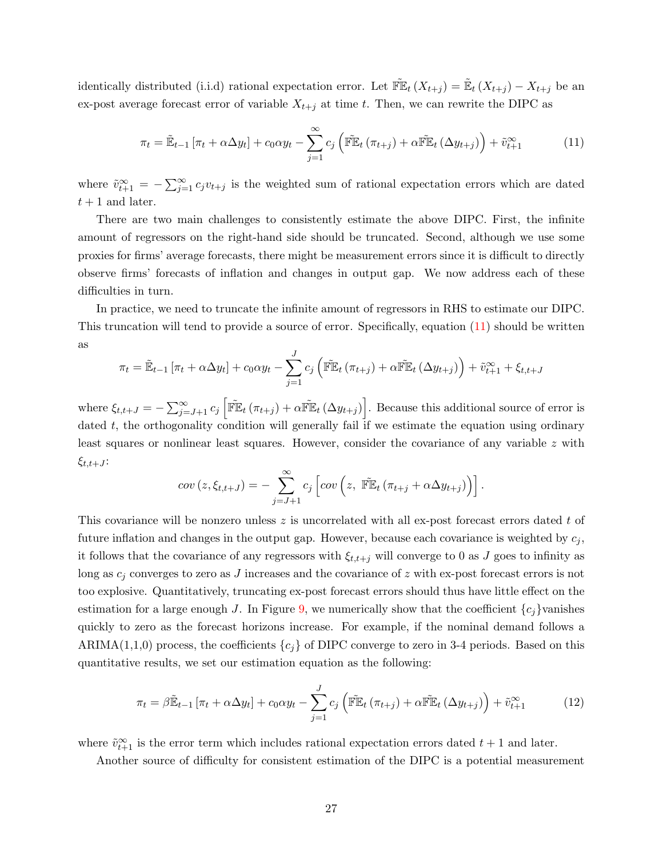identically distributed (i.i.d) rational expectation error. Let  $\mathbb{F}\mathbb{E}_t(X_{t+j}) = \mathbb{E}_t(X_{t+j}) - X_{t+j}$  be an ex-post average forecast error of variable  $X_{t+j}$  at time t. Then, we can rewrite the DIPC as

<span id="page-26-0"></span>
$$
\pi_t = \tilde{\mathbb{E}}_{t-1} \left[ \pi_t + \alpha \Delta y_t \right] + c_0 \alpha y_t - \sum_{j=1}^{\infty} c_j \left( \tilde{\mathbb{F}} \mathbb{E}_t \left( \pi_{t+j} \right) + \alpha \tilde{\mathbb{F}} \mathbb{E}_t \left( \Delta y_{t+j} \right) \right) + \tilde{v}_{t+1}^{\infty} \tag{11}
$$

where  $\tilde{v}_{t+1}^{\infty} = -\sum_{j=1}^{\infty} c_j v_{t+j}$  is the weighted sum of rational expectation errors which are dated  $t + 1$  and later.

There are two main challenges to consistently estimate the above DIPC. First, the infinite amount of regressors on the right-hand side should be truncated. Second, although we use some proxies for firms' average forecasts, there might be measurement errors since it is difficult to directly observe firms' forecasts of inflation and changes in output gap. We now address each of these difficulties in turn.

In practice, we need to truncate the infinite amount of regressors in RHS to estimate our DIPC. This truncation will tend to provide a source of error. Specifically, equation [\(11\)](#page-26-0) should be written as

$$
\pi_t = \tilde{\mathbb{E}}_{t-1} \left[ \pi_t + \alpha \Delta y_t \right] + c_0 \alpha y_t - \sum_{j=1}^J c_j \left( \tilde{\mathbb{F}} \mathbb{E}_t \left( \pi_{t+j} \right) + \alpha \tilde{\mathbb{F}} \mathbb{E}_t \left( \Delta y_{t+j} \right) \right) + \tilde{v}_{t+1}^{\infty} + \xi_{t,t+J}
$$

where  $\xi_{t,t+J} = -\sum_{j=J+1}^{\infty} c_j \left[ \widetilde{\mathbb{F}} \mathbb{E}_t (\pi_{t+j}) + \alpha \widetilde{\mathbb{F}} \mathbb{E}_t (\Delta y_{t+j}) \right]$ . Because this additional source of error is dated  $t$ , the orthogonality condition will generally fail if we estimate the equation using ordinary least squares or nonlinear least squares. However, consider the covariance of any variable z with  $\xi_{t,t+J}$ :

$$
cov(z, \xi_{t,t+J}) = -\sum_{j=J+1}^{\infty} c_j \left[ cov\left(z, \ \tilde{\mathbb{F}} \mathbb{E}_t \left(\pi_{t+j} + \alpha \Delta y_{t+j}\right)\right) \right].
$$

This covariance will be nonzero unless  $z$  is uncorrelated with all ex-post forecast errors dated  $t$  of future inflation and changes in the output gap. However, because each covariance is weighted by  $c_j$ , it follows that the covariance of any regressors with  $\xi_{t,t+j}$  will converge to 0 as J goes to infinity as long as  $c_i$  converges to zero as J increases and the covariance of z with ex-post forecast errors is not too explosive. Quantitatively, truncating ex-post forecast errors should thus have little effect on the estimation for a large enough J. In Figure [9,](#page-43-0) we numerically show that the coefficient  ${c_i}$ vanishes quickly to zero as the forecast horizons increase. For example, if the nominal demand follows a ARIMA(1,1,0) process, the coefficients  $\{c_i\}$  of DIPC converge to zero in 3-4 periods. Based on this quantitative results, we set our estimation equation as the following:

<span id="page-26-1"></span>
$$
\pi_t = \beta \tilde{\mathbb{E}}_{t-1} \left[ \pi_t + \alpha \Delta y_t \right] + c_0 \alpha y_t - \sum_{j=1}^J c_j \left( \tilde{\mathbb{F}} \mathbb{E}_t \left( \pi_{t+j} \right) + \alpha \tilde{\mathbb{F}} \mathbb{E}_t \left( \Delta y_{t+j} \right) \right) + \tilde{v}_{t+1}^{\infty} \tag{12}
$$

where  $\tilde{v}_{t+1}^{\infty}$  is the error term which includes rational expectation errors dated  $t + 1$  and later.

Another source of difficulty for consistent estimation of the DIPC is a potential measurement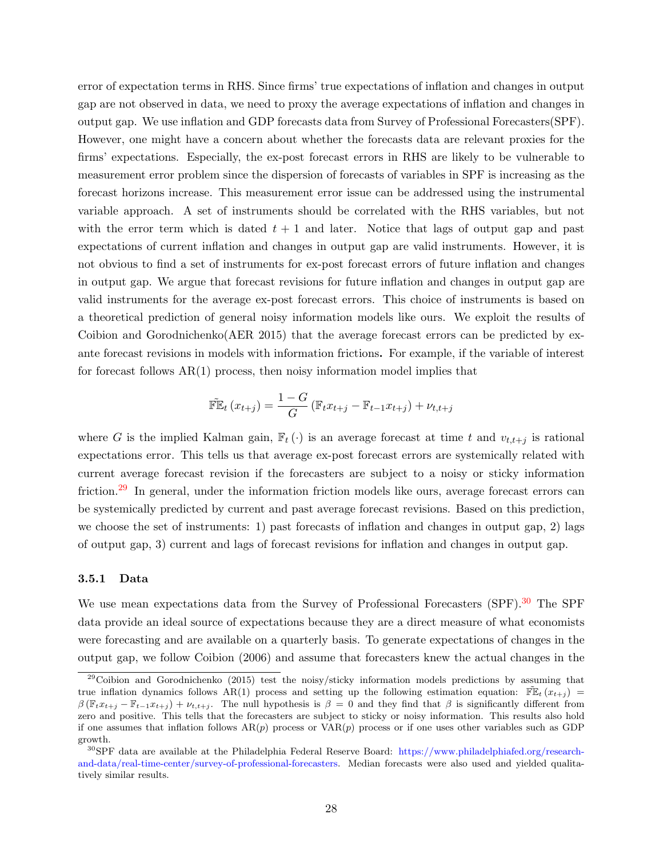error of expectation terms in RHS. Since firms' true expectations of inflation and changes in output gap are not observed in data, we need to proxy the average expectations of inflation and changes in output gap. We use inflation and GDP forecasts data from Survey of Professional Forecasters(SPF). However, one might have a concern about whether the forecasts data are relevant proxies for the firms' expectations. Especially, the ex-post forecast errors in RHS are likely to be vulnerable to measurement error problem since the dispersion of forecasts of variables in SPF is increasing as the forecast horizons increase. This measurement error issue can be addressed using the instrumental variable approach. A set of instruments should be correlated with the RHS variables, but not with the error term which is dated  $t + 1$  and later. Notice that lags of output gap and past expectations of current inflation and changes in output gap are valid instruments. However, it is not obvious to find a set of instruments for ex-post forecast errors of future inflation and changes in output gap. We argue that forecast revisions for future inflation and changes in output gap are valid instruments for the average ex-post forecast errors. This choice of instruments is based on a theoretical prediction of general noisy information models like ours. We exploit the results of Coibion and Gorodnichenko(AER 2015) that the average forecast errors can be predicted by exante forecast revisions in models with information frictions. For example, if the variable of interest for forecast follows  $AR(1)$  process, then noisy information model implies that

$$
\widetilde{\mathbb{FE}}_t(x_{t+j}) = \frac{1-G}{G} (\mathbb{F}_t x_{t+j} - \mathbb{F}_{t-1} x_{t+j}) + \nu_{t,t+j}
$$

where G is the implied Kalman gain,  $\mathbb{F}_t(\cdot)$  is an average forecast at time t and  $v_{t,t+j}$  is rational expectations error. This tells us that average ex-post forecast errors are systemically related with current average forecast revision if the forecasters are subject to a noisy or sticky information friction.<sup>[29](#page-27-0)</sup> In general, under the information friction models like ours, average forecast errors can be systemically predicted by current and past average forecast revisions. Based on this prediction, we choose the set of instruments: 1) past forecasts of inflation and changes in output gap, 2) lags of output gap, 3) current and lags of forecast revisions for inflation and changes in output gap.

#### 3.5.1 Data

We use mean expectations data from the Survey of Professional Forecasters (SPF).<sup>[30](#page-27-1)</sup> The SPF data provide an ideal source of expectations because they are a direct measure of what economists were forecasting and are available on a quarterly basis. To generate expectations of changes in the output gap, we follow Coibion (2006) and assume that forecasters knew the actual changes in the

<span id="page-27-0"></span><sup>&</sup>lt;sup>29</sup>Coibion and Gorodnichenko (2015) test the noisy/sticky information models predictions by assuming that true inflation dynamics follows AR(1) process and setting up the following estimation equation:  $\mathbb{F}\mathbb{E}_t(x_{t+j})$  $\beta(\mathbb{F}_t x_{t+j} - \mathbb{F}_{t-1} x_{t+j}) + \nu_{t,t+j}$ . The null hypothesis is  $\beta = 0$  and they find that  $\beta$  is significantly different from zero and positive. This tells that the forecasters are subject to sticky or noisy information. This results also hold if one assumes that inflation follows  $AR(p)$  process or  $VAR(p)$  process or if one uses other variables such as GDP growth.

<span id="page-27-1"></span><sup>&</sup>lt;sup>30</sup>SPF data are available at the Philadelphia Federal Reserve Board: [https://www.philadelphiafed.org/research](https://www.philadelphiafed.org/research-and-data/real-time-center/survey-of-professional-forecasters)[and-data/real-time-center/survey-of-professional-forecasters.](https://www.philadelphiafed.org/research-and-data/real-time-center/survey-of-professional-forecasters) Median forecasts were also used and yielded qualitatively similar results.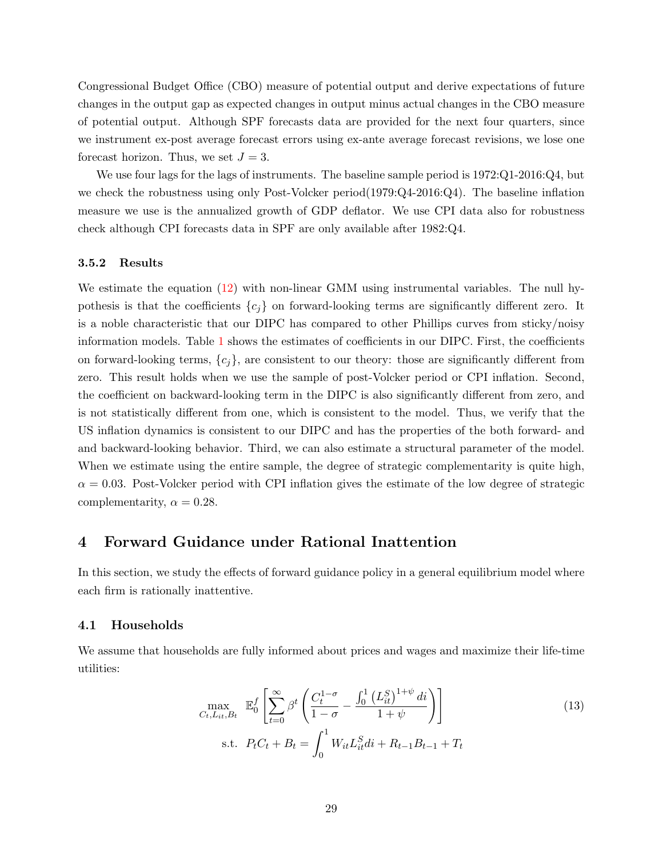Congressional Budget Office (CBO) measure of potential output and derive expectations of future changes in the output gap as expected changes in output minus actual changes in the CBO measure of potential output. Although SPF forecasts data are provided for the next four quarters, since we instrument ex-post average forecast errors using ex-ante average forecast revisions, we lose one forecast horizon. Thus, we set  $J = 3$ .

We use four lags for the lags of instruments. The baseline sample period is 1972:Q1-2016:Q4, but we check the robustness using only Post-Volcker period(1979:Q4-2016:Q4). The baseline inflation measure we use is the annualized growth of GDP deflator. We use CPI data also for robustness check although CPI forecasts data in SPF are only available after 1982:Q4.

#### 3.5.2 Results

We estimate the equation [\(12\)](#page-26-1) with non-linear GMM using instrumental variables. The null hypothesis is that the coefficients  ${c_i}$  on forward-looking terms are significantly different zero. It is a noble characteristic that our DIPC has compared to other Phillips curves from sticky/noisy information models. Table [1](#page-38-0) shows the estimates of coefficients in our DIPC. First, the coefficients on forward-looking terms,  ${c_i}$ , are consistent to our theory: those are significantly different from zero. This result holds when we use the sample of post-Volcker period or CPI inflation. Second, the coefficient on backward-looking term in the DIPC is also significantly different from zero, and is not statistically different from one, which is consistent to the model. Thus, we verify that the US inflation dynamics is consistent to our DIPC and has the properties of the both forward- and and backward-looking behavior. Third, we can also estimate a structural parameter of the model. When we estimate using the entire sample, the degree of strategic complementarity is quite high,  $\alpha = 0.03$ . Post-Volcker period with CPI inflation gives the estimate of the low degree of strategic complementarity,  $\alpha = 0.28$ .

# <span id="page-28-0"></span>4 Forward Guidance under Rational Inattention

In this section, we study the effects of forward guidance policy in a general equilibrium model where each firm is rationally inattentive.

## 4.1 Households

We assume that households are fully informed about prices and wages and maximize their life-time utilities:

<span id="page-28-1"></span>
$$
\max_{C_t, L_{it}, B_t} \mathbb{E}_0^f \left[ \sum_{t=0}^{\infty} \beta^t \left( \frac{C_t^{1-\sigma}}{1-\sigma} - \frac{\int_0^1 (L_{it}^S)^{1+\psi} dt}{1+\psi} \right) \right]
$$
\n
$$
\text{s.t. } P_t C_t + B_t = \int_0^1 W_{it} L_{it}^S dt + R_{t-1} B_{t-1} + T_t
$$
\n(13)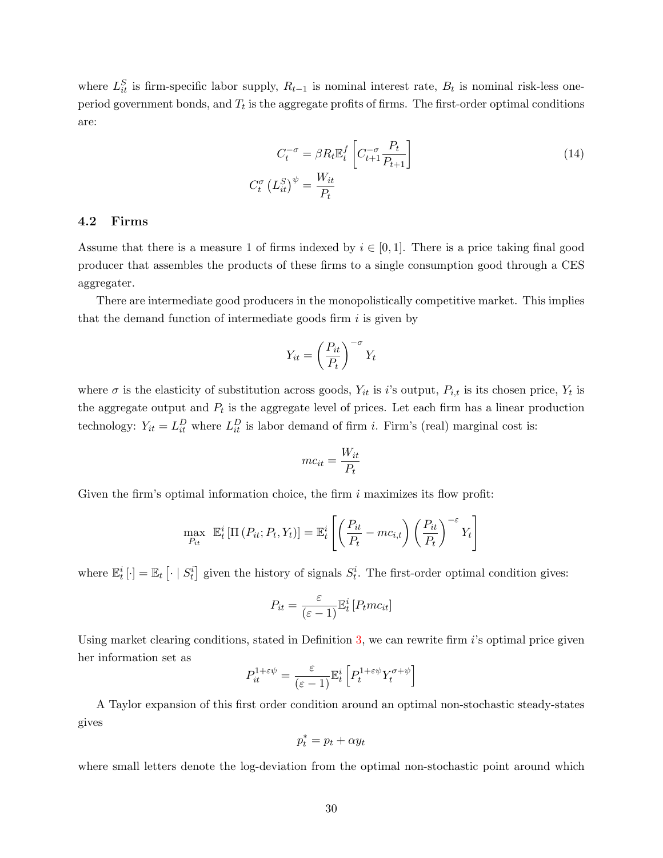where  $L_{it}^{S}$  is firm-specific labor supply,  $R_{t-1}$  is nominal interest rate,  $B_t$  is nominal risk-less oneperiod government bonds, and  $T_t$  is the aggregate profits of firms. The first-order optimal conditions are:

<span id="page-29-0"></span>
$$
C_t^{-\sigma} = \beta R_t \mathbb{E}_t^f \left[ C_{t+1}^{-\sigma} \frac{P_t}{P_{t+1}} \right]
$$
  

$$
C_t^{\sigma} \left( L_{it}^S \right)^{\psi} = \frac{W_{it}}{P_t}
$$
 (14)

## 4.2 Firms

Assume that there is a measure 1 of firms indexed by  $i \in [0,1]$ . There is a price taking final good producer that assembles the products of these firms to a single consumption good through a CES aggregater.

There are intermediate good producers in the monopolistically competitive market. This implies that the demand function of intermediate goods firm  $i$  is given by

$$
Y_{it} = \left(\frac{P_{it}}{P_t}\right)^{-\sigma} Y_t
$$

where  $\sigma$  is the elasticity of substitution across goods,  $Y_{it}$  is i's output,  $P_{i,t}$  is its chosen price,  $Y_t$  is the aggregate output and  $P_t$  is the aggregate level of prices. Let each firm has a linear production technology:  $Y_{it} = L_{it}^D$  where  $L_{it}^D$  is labor demand of firm *i*. Firm's (real) marginal cost is:

$$
mc_{it} = \frac{W_{it}}{P_t}
$$

Given the firm's optimal information choice, the firm  $i$  maximizes its flow profit:

$$
\max_{P_{it}} \mathbb{E}_t^i \left[ \Pi\left(P_{it}; P_t, Y_t\right) \right] = \mathbb{E}_t^i \left[ \left( \frac{P_{it}}{P_t} - mc_{i,t} \right) \left( \frac{P_{it}}{P_t} \right)^{-\varepsilon} Y_t \right]
$$

where  $\mathbb{E}_t^i[\cdot] = \mathbb{E}_t[\cdot | S_t^i]$  given the history of signals  $S_t^i$ . The first-order optimal condition gives:

$$
P_{it} = \frac{\varepsilon}{(\varepsilon - 1)} \mathbb{E}_t^i \left[ P_t m c_{it} \right]
$$

Using market clearing conditions, stated in Definition [3,](#page-30-0) we can rewrite firm i's optimal price given her information set as

$$
P_{it}^{1+\varepsilon\psi} = \frac{\varepsilon}{(\varepsilon-1)} \mathbb{E}_t^i \left[ P_t^{1+\varepsilon\psi} Y_t^{\sigma+\psi} \right]
$$

A Taylor expansion of this first order condition around an optimal non-stochastic steady-states gives

$$
p_t^* = p_t + \alpha y_t
$$

where small letters denote the log-deviation from the optimal non-stochastic point around which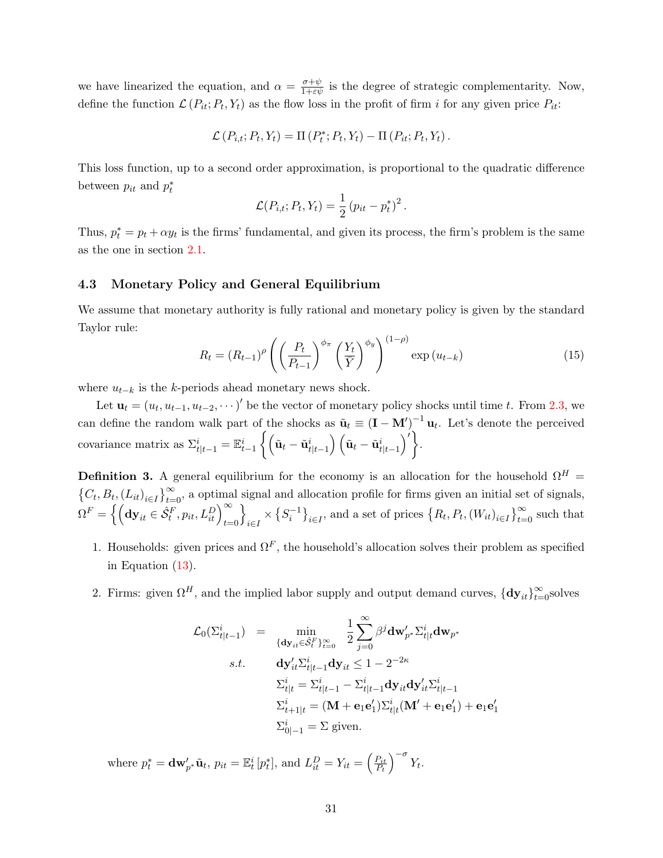we have linearized the equation, and  $\alpha = \frac{\sigma + \psi}{1 + \epsilon \psi}$  is the degree of strategic complementarity. Now, define the function  $\mathcal{L}(P_{it}; P_t, Y_t)$  as the flow loss in the profit of firm i for any given price  $P_{it}$ :

$$
\mathcal{L}(P_{i,t}; P_t, Y_t) = \Pi(P_t^*; P_t, Y_t) - \Pi(P_{it}; P_t, Y_t).
$$

This loss function, up to a second order approximation, is proportional to the quadratic difference between  $p_{it}$  and  $p_t^*$ 

$$
\mathcal{L}(P_{i,t}; P_t, Y_t) = \frac{1}{2} (p_{it} - p_t^*)^2.
$$

Thus,  $p_t^* = p_t + \alpha y_t$  is the firms' fundamental, and given its process, the firm's problem is the same as the one in section [2.1.](#page-5-5)

## 4.3 Monetary Policy and General Equilibrium

We assume that monetary authority is fully rational and monetary policy is given by the standard Taylor rule:

<span id="page-30-1"></span>
$$
R_t = (R_{t-1})^{\rho} \left( \left( \frac{P_t}{P_{t-1}} \right)^{\phi_{\pi}} \left( \frac{Y_t}{\bar{Y}} \right)^{\phi_y} \right)^{(1-\rho)} \exp(u_{t-k}) \tag{15}
$$

where  $u_{t-k}$  is the k-periods ahead monetary news shock.

Let  $\mathbf{u}_t = (u_t, u_{t-1}, u_{t-2}, \dots)$ ' be the vector of monetary policy shocks until time t. From [2.3,](#page-14-2) we can define the random walk part of the shocks as  $\tilde{\mathbf{u}}_t \equiv (\mathbf{I} - \mathbf{M}')^{-1} \mathbf{u}_t$ . Let's denote the perceived covariance matrix as  $\Sigma_{t|t-1}^i = \mathbb{E}_{t-1}^i \left\{ \left( \tilde{\mathbf{u}}_t - \tilde{\mathbf{u}}_{t|t-1}^i \right) \left( \tilde{\mathbf{u}}_t - \tilde{\mathbf{u}}_{t|t-1}^i \right)' \right\}.$ 

<span id="page-30-0"></span>**Definition 3.** A general equilibrium for the economy is an allocation for the household  $\Omega^H$  =  ${C_t, B_t, (L_{it})}_{i \in I}$ , a optimal signal and allocation profile for firms given an initial set of signals,  $\Omega^F = \left\{\left({\bf dy}_{it} \in \hat{\mathcal{S}}_t^F, p_{it}, L_{it}^D\right)_{t=0}^\infty\right\}$ o  $\{S_i^{-1}\}_{i\in I}$ , and a set of prices  $\{R_t, P_t, (W_{it})_{i\in I}\}_{t=0}^{\infty}$  such that

- 1. Households: given prices and  $\Omega^F$ , the household's allocation solves their problem as specified in Equation [\(13\)](#page-28-1).
- 2. Firms: given  $\Omega^H$ , and the implied labor supply and output demand curves,  $\{\mathbf{dy}_{it}\}_{t=0}^{\infty}$ solves

$$
\mathcal{L}_0(\Sigma_{t|t-1}^i) = \min_{\{\mathbf{dy}_{it} \in \hat{\mathcal{S}}_t^F\}_{t=0}^\infty} \frac{1}{2} \sum_{j=0}^\infty \beta^j \mathbf{dw}'_{p^*} \Sigma_{t|t}^i \mathbf{dw}_{p^*}
$$
\ns.t. 
$$
\mathbf{dy}'_{it} \Sigma_{t|t-1}^i \mathbf{dy}_{it} \le 1 - 2^{-2\kappa}
$$
\n
$$
\Sigma_{t|t}^i = \Sigma_{t|t-1}^i - \Sigma_{t|t-1}^i \mathbf{dy}_{it} \mathbf{dy}'_{it} \Sigma_{t|t-1}^i
$$
\n
$$
\Sigma_{t+1|t}^i = (\mathbf{M} + \mathbf{e}_1 \mathbf{e}'_1) \Sigma_{t|t}^i (\mathbf{M}' + \mathbf{e}_1 \mathbf{e}'_1) + \mathbf{e}_1 \mathbf{e}_1
$$
\n
$$
\Sigma_{0|-1}^i = \Sigma \text{ given.}
$$

 $\frac{1}{1}$ 

where  $p_t^* = \mathbf{dw}'_{p^*}\tilde{\mathbf{u}}_t$ ,  $p_{it} = \mathbb{E}_t^i[p_t^*]$ , and  $L_{it}^D = Y_{it} = \left(\frac{P_{it}}{P_t}\right)$  $\frac{P_{it}}{P_t}\Big)^{-\sigma} Y_t.$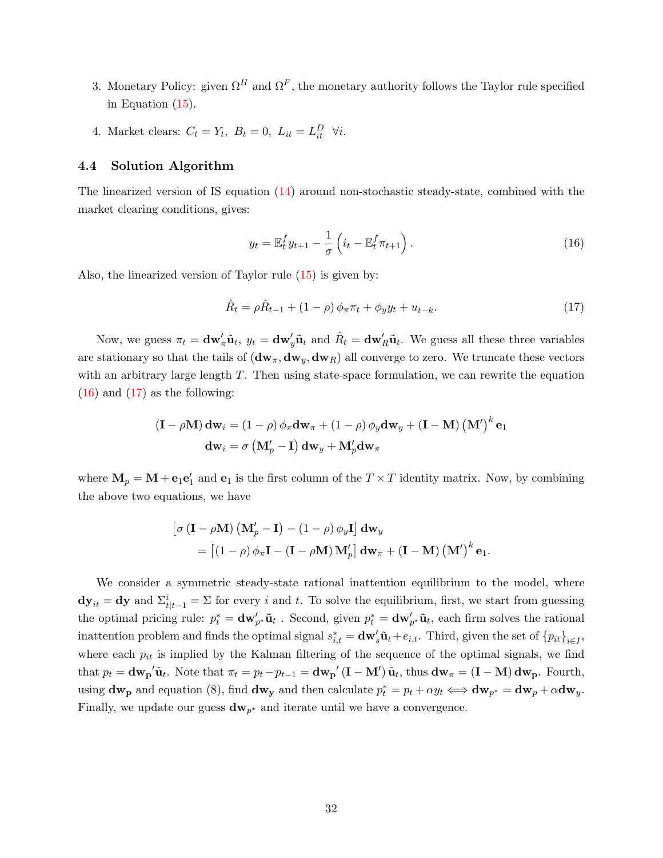- 3. Monetary Policy: given  $\Omega^H$  and  $\Omega^F$ , the monetary authority follows the Taylor rule specified in Equation [\(15\)](#page-30-1).
- 4. Market clears:  $C_t = Y_t$ ,  $B_t = 0$ ,  $L_{it} = L_{it}^D$   $\forall i$ .

#### 4.4 Solution Algorithm

The linearized version of IS equation [\(14\)](#page-29-0) around non-stochastic steady-state, combined with the market clearing conditions, gives:

<span id="page-31-0"></span>
$$
y_t = \mathbb{E}_t^f y_{t+1} - \frac{1}{\sigma} \left( i_t - \mathbb{E}_t^f \pi_{t+1} \right).
$$
 (16)

Also, the linearized version of Taylor rule [\(15\)](#page-30-1) is given by:

<span id="page-31-1"></span>
$$
\hat{R}_t = \rho \hat{R}_{t-1} + (1 - \rho) \phi_\pi \pi_t + \phi_y y_t + u_{t-k}.
$$
\n(17)

Now, we guess  $\pi_t = \mathbf{dw}'_{\pi} \tilde{\mathbf{u}}_t$ ,  $y_t = \mathbf{dw}'_y \tilde{\mathbf{u}}_t$  and  $\hat{R}_t = \mathbf{dw}'_R \tilde{\mathbf{u}}_t$ . We guess all these three variables are stationary so that the tails of  $(d\mathbf{w}_{\pi}, d\mathbf{w}_{y}, d\mathbf{w}_{R})$  all converge to zero. We truncate these vectors with an arbitrary large length  $T$ . Then using state-space formulation, we can rewrite the equation  $(16)$  and  $(17)$  as the following:

$$
\begin{aligned} \left(\mathbf{I} - \rho \mathbf{M}\right) \mathbf{d} \mathbf{w}_i &= \left(1 - \rho\right) \phi_{\pi} \mathbf{d} \mathbf{w}_{\pi} + \left(1 - \rho\right) \phi_{y} \mathbf{d} \mathbf{w}_{y} + \left(\mathbf{I} - \mathbf{M}\right) \left(\mathbf{M}'\right)^k \mathbf{e}_1\\ \mathbf{d} \mathbf{w}_i &= \sigma \left(\mathbf{M}'_p - \mathbf{I}\right) \mathbf{d} \mathbf{w}_{y} + \mathbf{M}'_p \mathbf{d} \mathbf{w}_{\pi} \end{aligned}
$$

where  $\mathbf{M}_p = \mathbf{M} + \mathbf{e}_1 \mathbf{e}'_1$  and  $\mathbf{e}_1$  is the first column of the  $T \times T$  identity matrix. Now, by combining the above two equations, we have

$$
\begin{aligned} \left[\sigma\left(\mathbf{I} - \rho \mathbf{M}\right)\left(\mathbf{M}_{p}^{\prime} - \mathbf{I}\right) - \left(1 - \rho\right)\phi_{y}\mathbf{I}\right] \mathbf{d}\mathbf{w}_{y} \\ = \left[\left(1 - \rho\right)\phi_{\pi}\mathbf{I} - \left(\mathbf{I} - \rho \mathbf{M}\right)\mathbf{M}_{p}^{\prime}\right] \mathbf{d}\mathbf{w}_{\pi} + \left(\mathbf{I} - \mathbf{M}\right)\left(\mathbf{M}^{\prime}\right)^{k}\mathbf{e}_{1}.\end{aligned}
$$

We consider a symmetric steady-state rational inattention equilibrium to the model, where  $dy_{it} = dy$  and  $\Sigma_{t|t-1}^i = \Sigma$  for every i and t. To solve the equilibrium, first, we start from guessing the optimal pricing rule:  $p_t^* = \mathbf{dw}'_{p^*}\tilde{\mathbf{u}}_t$ . Second, given  $p_t^* = \mathbf{dw}'_{p^*}\tilde{\mathbf{u}}_t$ , each firm solves the rational inattention problem and finds the optimal signal  $s_{i,t}^* = \mathbf{dw}_s' \tilde{\mathbf{u}}_t + e_{i,t}$ . Third, given the set of  ${p_{it}}_{i \in I}$ , where each  $p_{it}$  is implied by the Kalman filtering of the sequence of the optimal signals, we find that  $p_t = \mathbf{dw_p}'\tilde{\mathbf{u}}_t$ . Note that  $\pi_t = p_t - p_{t-1} = \mathbf{dw_p}'(\mathbf{I} - \mathbf{M}')\tilde{\mathbf{u}}_t$ , thus  $\mathbf{dw}_{\pi} = (\mathbf{I} - \mathbf{M}) \mathbf{dw_p}$ . Fourth, using  $dw_p$  and equation (8), find  $dw_y$  and then calculate  $p_t^* = p_t + \alpha y_t \iff dw_{p^*} = dw_p + \alpha dw_y$ . Finally, we update our guess  $dw_{p^*}$  and iterate until we have a convergence.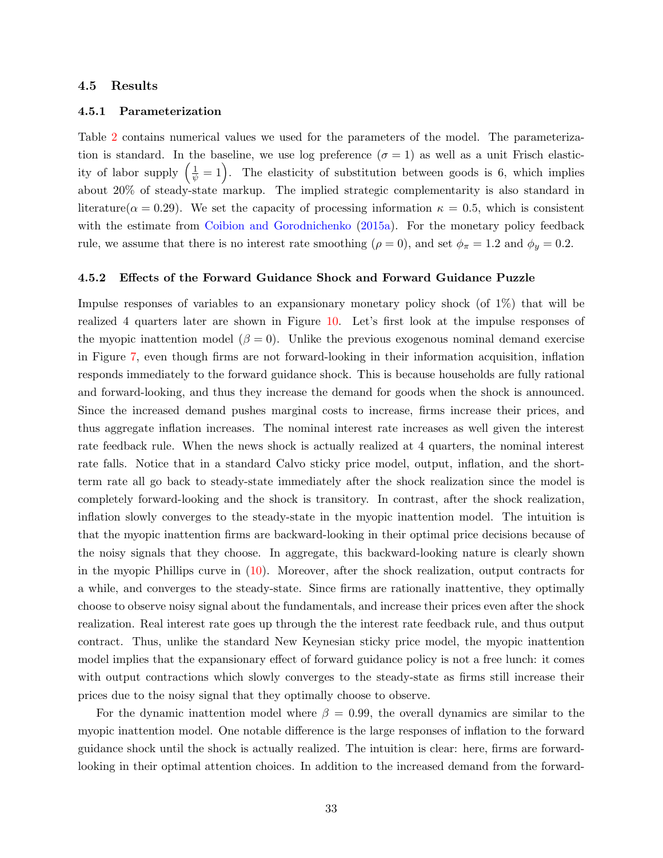#### 4.5 Results

#### 4.5.1 Parameterization

Table [2](#page-38-1) contains numerical values we used for the parameters of the model. The parameterization is standard. In the baseline, we use log preference  $(\sigma = 1)$  as well as a unit Frisch elasticity of labor supply  $(\frac{1}{\psi} = 1)$ . The elasticity of substitution between goods is 6, which implies about 20% of steady-state markup. The implied strategic complementarity is also standard in literature( $\alpha = 0.29$ ). We set the capacity of processing information  $\kappa = 0.5$ , which is consistent with the estimate from [Coibion and Gorodnichenko](#page-35-9) [\(2015a\)](#page-35-9). For the monetary policy feedback rule, we assume that there is no interest rate smoothing ( $\rho = 0$ ), and set  $\phi_{\pi} = 1.2$  and  $\phi_{y} = 0.2$ .

#### 4.5.2 Effects of the Forward Guidance Shock and Forward Guidance Puzzle

Impulse responses of variables to an expansionary monetary policy shock (of 1%) that will be realized 4 quarters later are shown in Figure [10.](#page-44-0) Let's first look at the impulse responses of the myopic inattention model  $(\beta = 0)$ . Unlike the previous exogenous nominal demand exercise in Figure [7,](#page-42-1) even though firms are not forward-looking in their information acquisition, inflation responds immediately to the forward guidance shock. This is because households are fully rational and forward-looking, and thus they increase the demand for goods when the shock is announced. Since the increased demand pushes marginal costs to increase, firms increase their prices, and thus aggregate inflation increases. The nominal interest rate increases as well given the interest rate feedback rule. When the news shock is actually realized at 4 quarters, the nominal interest rate falls. Notice that in a standard Calvo sticky price model, output, inflation, and the shortterm rate all go back to steady-state immediately after the shock realization since the model is completely forward-looking and the shock is transitory. In contrast, after the shock realization, inflation slowly converges to the steady-state in the myopic inattention model. The intuition is that the myopic inattention firms are backward-looking in their optimal price decisions because of the noisy signals that they choose. In aggregate, this backward-looking nature is clearly shown in the myopic Phillips curve in [\(10\)](#page-24-0). Moreover, after the shock realization, output contracts for a while, and converges to the steady-state. Since firms are rationally inattentive, they optimally choose to observe noisy signal about the fundamentals, and increase their prices even after the shock realization. Real interest rate goes up through the the interest rate feedback rule, and thus output contract. Thus, unlike the standard New Keynesian sticky price model, the myopic inattention model implies that the expansionary effect of forward guidance policy is not a free lunch: it comes with output contractions which slowly converges to the steady-state as firms still increase their prices due to the noisy signal that they optimally choose to observe.

For the dynamic inattention model where  $\beta = 0.99$ , the overall dynamics are similar to the myopic inattention model. One notable difference is the large responses of inflation to the forward guidance shock until the shock is actually realized. The intuition is clear: here, firms are forwardlooking in their optimal attention choices. In addition to the increased demand from the forward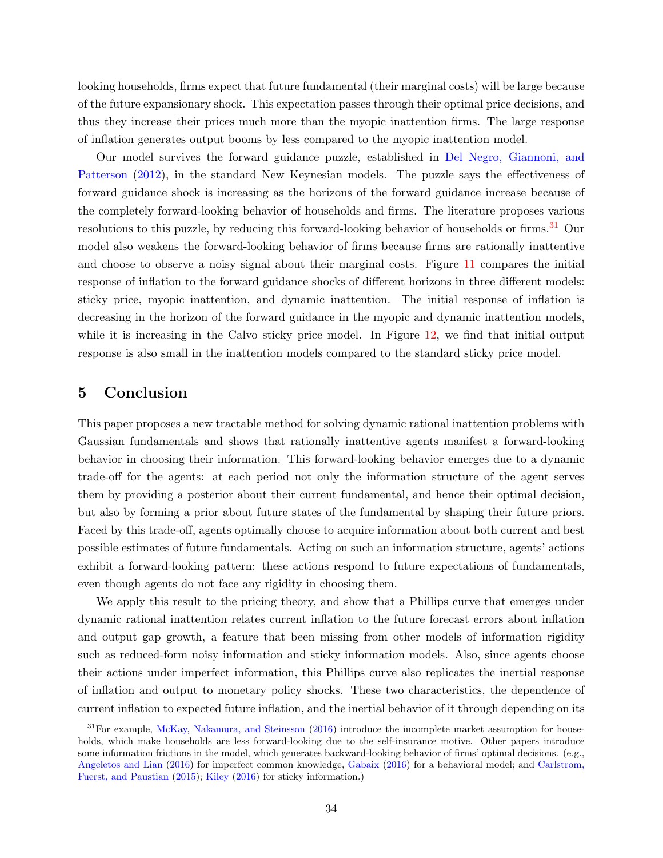looking households, firms expect that future fundamental (their marginal costs) will be large because of the future expansionary shock. This expectation passes through their optimal price decisions, and thus they increase their prices much more than the myopic inattention firms. The large response of inflation generates output booms by less compared to the myopic inattention model.

Our model survives the forward guidance puzzle, established in [Del Negro, Giannoni, and](#page-35-1) [Patterson](#page-35-1) [\(2012\)](#page-35-1), in the standard New Keynesian models. The puzzle says the effectiveness of forward guidance shock is increasing as the horizons of the forward guidance increase because of the completely forward-looking behavior of households and firms. The literature proposes various resolutions to this puzzle, by reducing this forward-looking behavior of households or firms.<sup>[31](#page-33-1)</sup> Our model also weakens the forward-looking behavior of firms because firms are rationally inattentive and choose to observe a noisy signal about their marginal costs. Figure [11](#page-45-0) compares the initial response of inflation to the forward guidance shocks of different horizons in three different models: sticky price, myopic inattention, and dynamic inattention. The initial response of inflation is decreasing in the horizon of the forward guidance in the myopic and dynamic inattention models, while it is increasing in the Calvo sticky price model. In Figure [12,](#page-45-1) we find that initial output response is also small in the inattention models compared to the standard sticky price model.

# <span id="page-33-0"></span>5 Conclusion

This paper proposes a new tractable method for solving dynamic rational inattention problems with Gaussian fundamentals and shows that rationally inattentive agents manifest a forward-looking behavior in choosing their information. This forward-looking behavior emerges due to a dynamic trade-off for the agents: at each period not only the information structure of the agent serves them by providing a posterior about their current fundamental, and hence their optimal decision, but also by forming a prior about future states of the fundamental by shaping their future priors. Faced by this trade-off, agents optimally choose to acquire information about both current and best possible estimates of future fundamentals. Acting on such an information structure, agents' actions exhibit a forward-looking pattern: these actions respond to future expectations of fundamentals, even though agents do not face any rigidity in choosing them.

We apply this result to the pricing theory, and show that a Phillips curve that emerges under dynamic rational inattention relates current inflation to the future forecast errors about inflation and output gap growth, a feature that been missing from other models of information rigidity such as reduced-form noisy information and sticky information models. Also, since agents choose their actions under imperfect information, this Phillips curve also replicates the inertial response of inflation and output to monetary policy shocks. These two characteristics, the dependence of current inflation to expected future inflation, and the inertial behavior of it through depending on its

<span id="page-33-1"></span> $31$ For example, [McKay, Nakamura, and Steinsson](#page-36-10) [\(2016\)](#page-36-10) introduce the incomplete market assumption for households, which make households are less forward-looking due to the self-insurance motive. Other papers introduce some information frictions in the model, which generates backward-looking behavior of firms' optimal decisions. (e.g., [Angeletos and Lian](#page-34-1) [\(2016\)](#page-34-1) for imperfect common knowledge, [Gabaix](#page-35-13) [\(2016\)](#page-35-13) for a behavioral model; and [Carlstrom,](#page-35-5) [Fuerst, and Paustian](#page-35-5) [\(2015\)](#page-35-5); [Kiley](#page-35-4) [\(2016\)](#page-35-4) for sticky information.)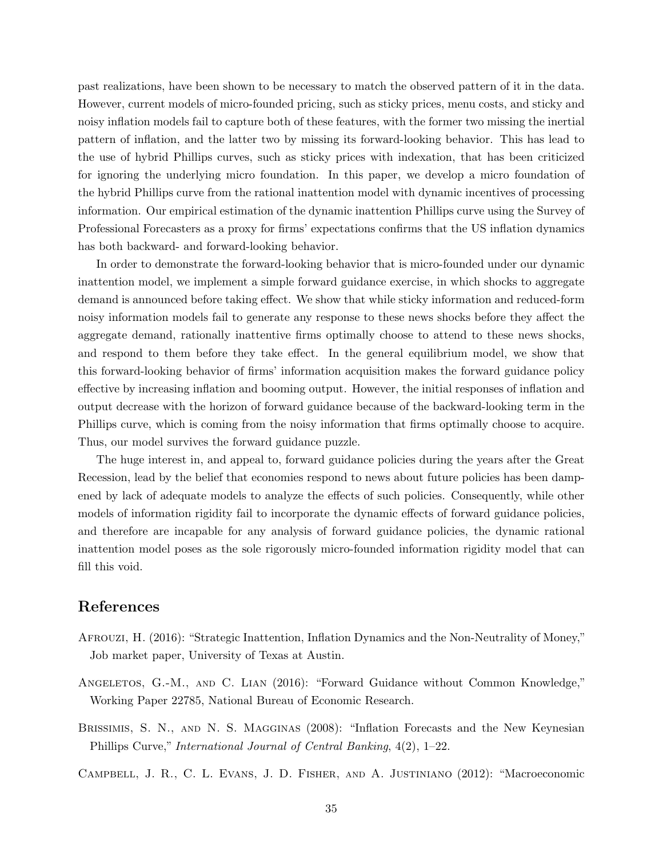past realizations, have been shown to be necessary to match the observed pattern of it in the data. However, current models of micro-founded pricing, such as sticky prices, menu costs, and sticky and noisy inflation models fail to capture both of these features, with the former two missing the inertial pattern of inflation, and the latter two by missing its forward-looking behavior. This has lead to the use of hybrid Phillips curves, such as sticky prices with indexation, that has been criticized for ignoring the underlying micro foundation. In this paper, we develop a micro foundation of the hybrid Phillips curve from the rational inattention model with dynamic incentives of processing information. Our empirical estimation of the dynamic inattention Phillips curve using the Survey of Professional Forecasters as a proxy for firms' expectations confirms that the US inflation dynamics has both backward- and forward-looking behavior.

In order to demonstrate the forward-looking behavior that is micro-founded under our dynamic inattention model, we implement a simple forward guidance exercise, in which shocks to aggregate demand is announced before taking effect. We show that while sticky information and reduced-form noisy information models fail to generate any response to these news shocks before they affect the aggregate demand, rationally inattentive firms optimally choose to attend to these news shocks, and respond to them before they take effect. In the general equilibrium model, we show that this forward-looking behavior of firms' information acquisition makes the forward guidance policy effective by increasing inflation and booming output. However, the initial responses of inflation and output decrease with the horizon of forward guidance because of the backward-looking term in the Phillips curve, which is coming from the noisy information that firms optimally choose to acquire. Thus, our model survives the forward guidance puzzle.

The huge interest in, and appeal to, forward guidance policies during the years after the Great Recession, lead by the belief that economies respond to news about future policies has been dampened by lack of adequate models to analyze the effects of such policies. Consequently, while other models of information rigidity fail to incorporate the dynamic effects of forward guidance policies, and therefore are incapable for any analysis of forward guidance policies, the dynamic rational inattention model poses as the sole rigorously micro-founded information rigidity model that can fill this void.

# References

- <span id="page-34-2"></span>Afrouzi, H. (2016): "Strategic Inattention, Inflation Dynamics and the Non-Neutrality of Money," Job market paper, University of Texas at Austin.
- <span id="page-34-1"></span>Angeletos, G.-M., and C. Lian (2016): "Forward Guidance without Common Knowledge," Working Paper 22785, National Bureau of Economic Research.
- <span id="page-34-3"></span>Brissimis, S. N., and N. S. Magginas (2008): "Inflation Forecasts and the New Keynesian Phillips Curve," International Journal of Central Banking, 4(2), 1–22.

<span id="page-34-0"></span>Campbell, J. R., C. L. Evans, J. D. Fisher, and A. Justiniano (2012): "Macroeconomic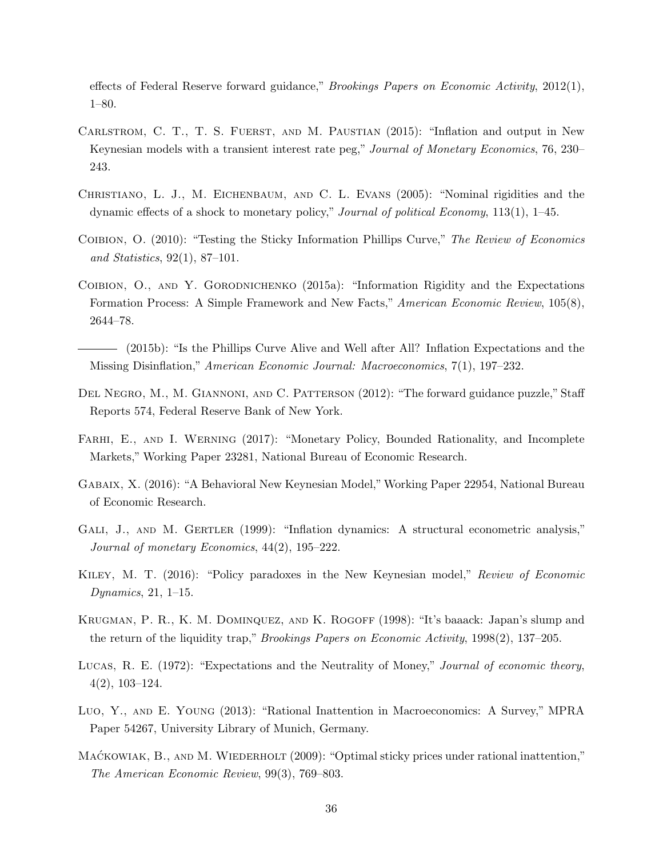effects of Federal Reserve forward guidance," Brookings Papers on Economic Activity, 2012(1), 1–80.

- <span id="page-35-5"></span>CARLSTROM, C. T., T. S. FUERST, AND M. PAUSTIAN (2015): "Inflation and output in New Keynesian models with a transient interest rate peg," Journal of Monetary Economics, 76, 230– 243.
- <span id="page-35-0"></span>Christiano, L. J., M. Eichenbaum, and C. L. Evans (2005): "Nominal rigidities and the dynamic effects of a shock to monetary policy," Journal of political Economy, 113(1), 1–45.
- <span id="page-35-10"></span>COIBION, O. (2010): "Testing the Sticky Information Phillips Curve," The Review of Economics and Statistics, 92(1), 87–101.
- <span id="page-35-9"></span>COIBION, O., AND Y. GORODNICHENKO (2015a): "Information Rigidity and the Expectations Formation Process: A Simple Framework and New Facts," American Economic Review, 105(8), 2644–78.
- <span id="page-35-11"></span>(2015b): "Is the Phillips Curve Alive and Well after All? Inflation Expectations and the Missing Disinflation," American Economic Journal: Macroeconomics, 7(1), 197–232.
- <span id="page-35-1"></span>Del Negro, M., M. Giannoni, and C. Patterson (2012): "The forward guidance puzzle," Staff Reports 574, Federal Reserve Bank of New York.
- <span id="page-35-7"></span>FARHI, E., AND I. WERNING (2017): "Monetary Policy, Bounded Rationality, and Incomplete Markets," Working Paper 23281, National Bureau of Economic Research.
- <span id="page-35-13"></span>Gabaix, X. (2016): "A Behavioral New Keynesian Model,"Working Paper 22954, National Bureau of Economic Research.
- <span id="page-35-2"></span>GALI, J., AND M. GERTLER (1999): "Inflation dynamics: A structural econometric analysis," Journal of monetary Economics, 44(2), 195–222.
- <span id="page-35-4"></span>Kiley, M. T. (2016): "Policy paradoxes in the New Keynesian model," Review of Economic Dynamics, 21, 1–15.
- <span id="page-35-3"></span>KRUGMAN, P. R., K. M. DOMINQUEZ, AND K. ROGOFF (1998): "It's baaack: Japan's slump and the return of the liquidity trap," Brookings Papers on Economic Activity, 1998(2), 137–205.
- <span id="page-35-12"></span>LUCAS, R. E. (1972): "Expectations and the Neutrality of Money," Journal of economic theory, 4(2), 103–124.
- <span id="page-35-8"></span>Luo, Y., and E. Young (2013): "Rational Inattention in Macroeconomics: A Survey," MPRA Paper 54267, University Library of Munich, Germany.
- <span id="page-35-6"></span>MACKOWIAK, B., AND M. WIEDERHOLT (2009): "Optimal sticky prices under rational inattention," The American Economic Review, 99(3), 769–803.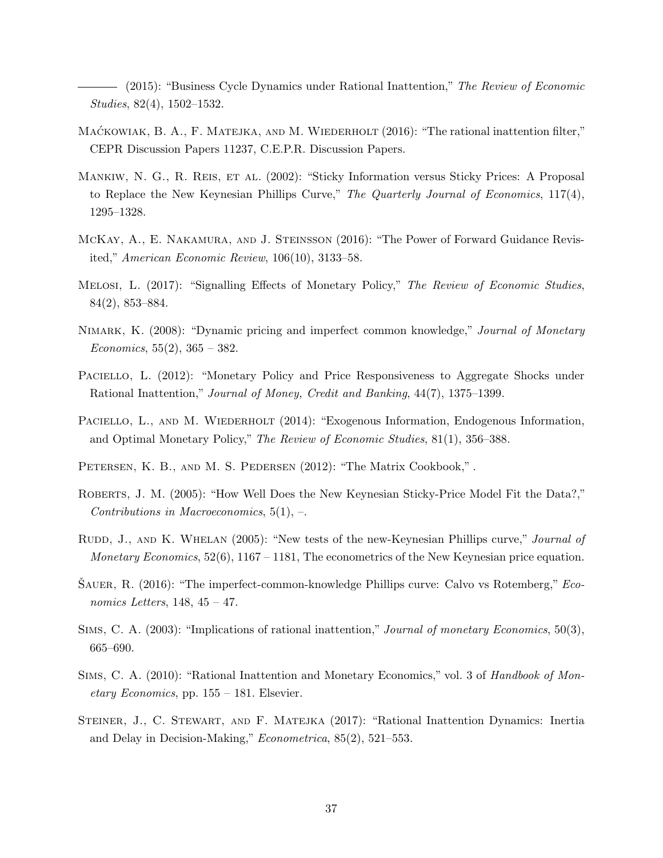<span id="page-36-5"></span>- (2015): "Business Cycle Dynamics under Rational Inattention," The Review of Economic Studies, 82(4), 1502–1532.

- <span id="page-36-9"></span>MACKOWIAK, B. A., F. MATEJKA, AND M. WIEDERHOLT  $(2016)$ : "The rational inattention filter," CEPR Discussion Papers 11237, C.E.P.R. Discussion Papers.
- <span id="page-36-0"></span>Mankiw, N. G., R. Reis, et al. (2002): "Sticky Information versus Sticky Prices: A Proposal to Replace the New Keynesian Phillips Curve," The Quarterly Journal of Economics, 117(4), 1295–1328.
- <span id="page-36-10"></span>McKay, A., E. Nakamura, and J. Steinsson (2016): "The Power of Forward Guidance Revisited," American Economic Review, 106(10), 3133–58.
- <span id="page-36-2"></span>Melosi, L. (2017): "Signalling Effects of Monetary Policy," The Review of Economic Studies, 84(2), 853–884.
- <span id="page-36-1"></span>NIMARK, K. (2008): "Dynamic pricing and imperfect common knowledge," Journal of Monetary Economics,  $55(2)$ ,  $365 - 382$ .
- <span id="page-36-6"></span>PACIELLO, L. (2012): "Monetary Policy and Price Responsiveness to Aggregate Shocks under Rational Inattention," Journal of Money, Credit and Banking, 44(7), 1375–1399.
- <span id="page-36-7"></span>PACIELLO, L., AND M. WIEDERHOLT (2014): "Exogenous Information, Endogenous Information, and Optimal Monetary Policy," The Review of Economic Studies, 81(1), 356–388.
- <span id="page-36-14"></span>PETERSEN, K. B., AND M. S. PEDERSEN (2012): "The Matrix Cookbook,".
- <span id="page-36-12"></span>ROBERTS, J. M. (2005): "How Well Does the New Keynesian Sticky-Price Model Fit the Data?," Contributions in Macroeconomics,  $5(1)$ ,  $-$ .
- <span id="page-36-13"></span>RUDD, J., AND K. WHELAN (2005): "New tests of the new-Keynesian Phillips curve," Journal of *Monetary Economics*,  $52(6)$ ,  $1167 - 1181$ , The econometrics of the New Keynesian price equation.
- <span id="page-36-3"></span>SAUER, R.  $(2016)$ : "The imperfect-common-knowledge Phillips curve: Calvo vs Rotemberg," Economics Letters,  $148, 45 - 47$ .
- <span id="page-36-4"></span>Sims, C. A. (2003): "Implications of rational inattention," Journal of monetary Economics, 50(3), 665–690.
- <span id="page-36-11"></span>SIMS, C. A. (2010): "Rational Inattention and Monetary Economics," vol. 3 of Handbook of Monetary Economics, pp. 155 – 181. Elsevier.
- <span id="page-36-8"></span>Steiner, J., C. Stewart, and F. Matejka (2017): "Rational Inattention Dynamics: Inertia and Delay in Decision-Making," Econometrica, 85(2), 521–553.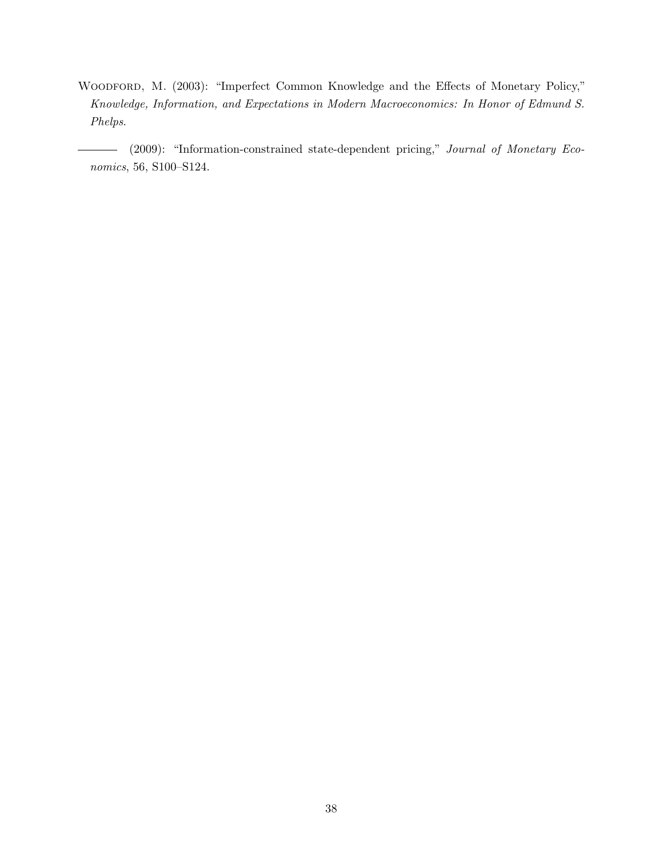<span id="page-37-0"></span>WOODFORD, M. (2003): "Imperfect Common Knowledge and the Effects of Monetary Policy," Knowledge, Information, and Expectations in Modern Macroeconomics: In Honor of Edmund S. Phelps.

(2009): "Information-constrained state-dependent pricing," Journal of Monetary Economics, 56, S100–S124.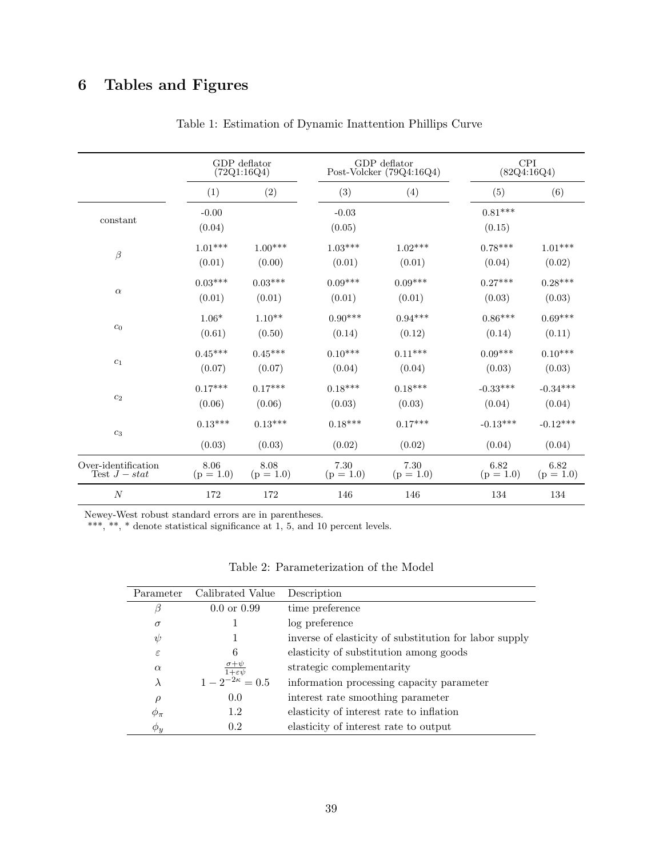# <span id="page-38-0"></span>6 Tables and Figures

|                     | GDP deflator      |             | GDP deflator             |             | <b>CPI</b>          |             |
|---------------------|-------------------|-------------|--------------------------|-------------|---------------------|-------------|
|                     | (72Q1:16Q4)       |             | Post-Volcker (79Q4:16Q4) |             | (82Q4:16Q4)         |             |
|                     | (1)               | (2)         | (3)                      | (4)         | (5)                 | (6)         |
| constant            | $-0.00$<br>(0.04) |             | $-0.03$<br>(0.05)        |             | $0.81***$<br>(0.15) |             |
| $\beta$             | $1.01***$         | $1.00***$   | $1.03***$                | $1.02***$   | $0.78***$           | $1.01***$   |
|                     | (0.01)            | (0.00)      | (0.01)                   | (0.01)      | (0.04)              | (0.02)      |
| $\alpha$            | $0.03***$         | $0.03***$   | $0.09***$                | $0.09***$   | $0.27***$           | $0.28***$   |
|                     | (0.01)            | (0.01)      | (0.01)                   | (0.01)      | (0.03)              | (0.03)      |
| $c_0$               | $1.06*$           | $1.10**$    | $0.90***$                | $0.94***$   | $0.86***$           | $0.69***$   |
|                     | (0.61)            | (0.50)      | (0.14)                   | (0.12)      | (0.14)              | (0.11)      |
| $\mathfrak{c}_1$    | $0.45***$         | $0.45***$   | $0.10***$                | $0.11***$   | $0.09***$           | $0.10***$   |
|                     | (0.07)            | (0.07)      | (0.04)                   | (0.04)      | (0.03)              | (0.03)      |
| $\mathfrak{c}_2$    | $0.17***$         | $0.17***$   | $0.18***$                | $0.18***$   | $-0.33***$          | $-0.34***$  |
|                     | (0.06)            | (0.06)      | (0.03)                   | (0.03)      | (0.04)              | (0.04)      |
| $\mathfrak{c}_3$    | $0.13***$         | $0.13***$   | $0.18***$                | $0.17***$   | $-0.13***$          | $-0.12***$  |
|                     | (0.03)            | (0.03)      | (0.02)                   | (0.02)      | (0.04)              | (0.04)      |
| Over-identification | 8.06              | 8.08        | 7.30                     | 7.30        | 6.82                | 6.82        |
| Test $J - stat$     | $(p = 1.0)$       | $(p = 1.0)$ | $(p = 1.0)$              | $(p = 1.0)$ | $(p = 1.0)$         | $(p = 1.0)$ |
| $\boldsymbol{N}$    | 172               | 172         | 146                      | 146         | 134                 | 134         |

Table 1: Estimation of Dynamic Inattention Phillips Curve

Newey-West robust standard errors are in parentheses.

<span id="page-38-1"></span>\*\*\*, \*\*, \* denote statistical significance at 1, 5, and 10 percent levels.

|  | Table 2: Parameterization of the Model |  |  |
|--|----------------------------------------|--|--|
|--|----------------------------------------|--|--|

| Parameter     | Calibrated Value       | Description                                            |
|---------------|------------------------|--------------------------------------------------------|
| β             | $0.0 \text{ or } 0.99$ | time preference                                        |
| $\sigma$      |                        | log preference                                         |
| $\psi$        |                        | inverse of elasticity of substitution for labor supply |
| $\varepsilon$ | 6                      | elasticity of substitution among goods                 |
| $\alpha$      | $1+\varepsilon v$      | strategic complementarity                              |
| $\lambda$     | $1-2^{-2\kappa}=0.5$   | information processing capacity parameter              |
| $\rho$        | 0.0                    | interest rate smoothing parameter                      |
| $\phi_{\pi}$  | 1.2                    | elasticity of interest rate to inflation               |
| $\phi_y$      | 0.2                    | elasticity of interest rate to output                  |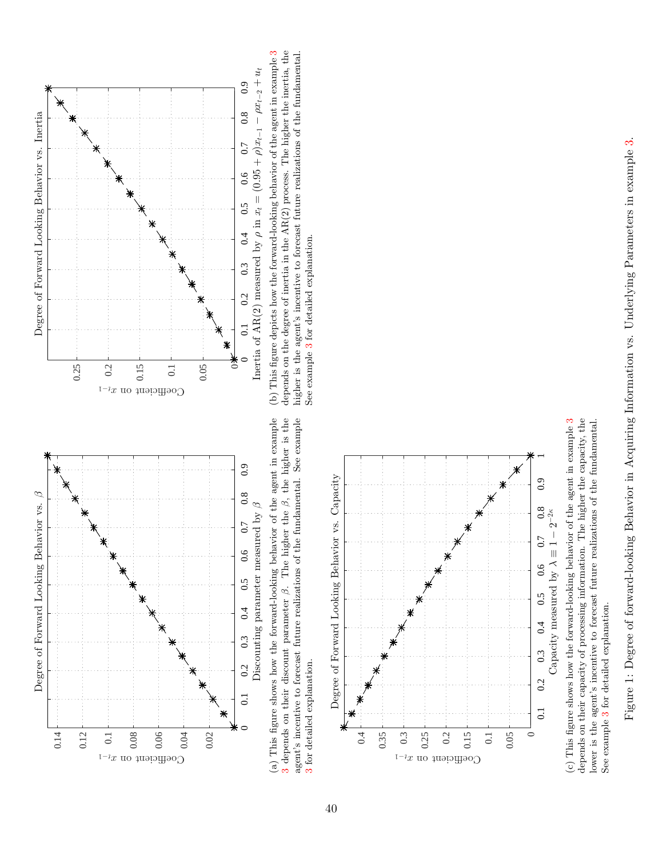

[3](#page-12-3) depends on their discount parameter  $\beta$ . The higher the  $\beta$ , the higher is the agent's incentive to forecast future realizations of the fundamental. See example 3 depends on their discount parameter  $\beta$ . The higher the  $\beta$ , the higher is the (a) This figure shows how the forward-looking behavior of the agent in example agent's incentive to forecast future realizations of the fundamental. See example [3](#page-12-3) for detailed explanation. for detailed explanation.



depends on their capacity of processing information. The higher the capacity, the lower is the agent's incentive to forecast future realizations of the fundamental. (c) This figure shows how the forward-looking behavior of the agent in example  $3$ depends on their capacity of processing information. The higher the capacity, the lower is the agent's incentive to forecast future realizations of the fundamental. See example 3 for detailed explanation. See example [3](#page-12-3) for detailed explanation.



<span id="page-39-2"></span><span id="page-39-1"></span><span id="page-39-0"></span>depends on the degree of inertia in the  $AR(2)$  process. The higher the inertia, the higher is the agent's incentive to forecast future realizations of the fundamental. (b) This figure depicts how the forward-looking behavior of the agent in example [3](#page-12-3) depends on the degree of inertia in the  $AR(2)$  process. The higher the inertia, the higher is the agent's incentive to forecast future rea See example 3 for detailed explanation. See example [3](#page-12-3) for detailed explanation.

Figure 1: Degree of forward-looking Behavior in Acquiring Information vs. Underlying Parameters in example 3. Figure 1: Degree of forward-looking Behavior in Acquiring Information vs. Underlying Parameters in example [3.](#page-12-3)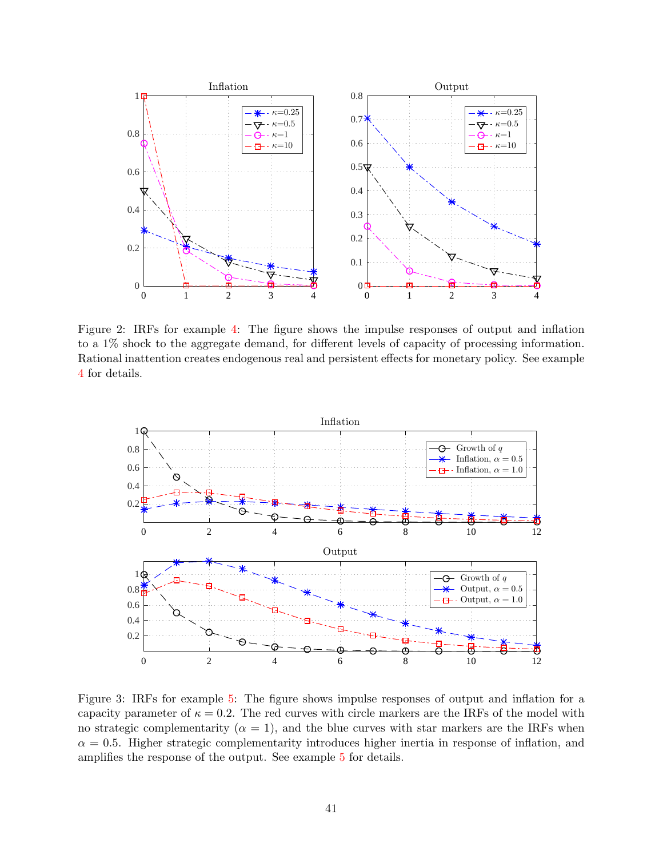<span id="page-40-0"></span>

Figure 2: IRFs for example [4:](#page-20-1) The figure shows the impulse responses of output and inflation to a 1% shock to the aggregate demand, for different levels of capacity of processing information. Rational inattention creates endogenous real and persistent effects for monetary policy. See example [4](#page-20-1) for details.

<span id="page-40-1"></span>

Figure 3: IRFs for example [5:](#page-21-1) The figure shows impulse responses of output and inflation for a capacity parameter of  $\kappa = 0.2$ . The red curves with circle markers are the IRFs of the model with no strategic complementarity ( $\alpha = 1$ ), and the blue curves with star markers are the IRFs when  $\alpha = 0.5$ . Higher strategic complementarity introduces higher inertia in response of inflation, and amplifies the response of the output. See example [5](#page-21-1) for details.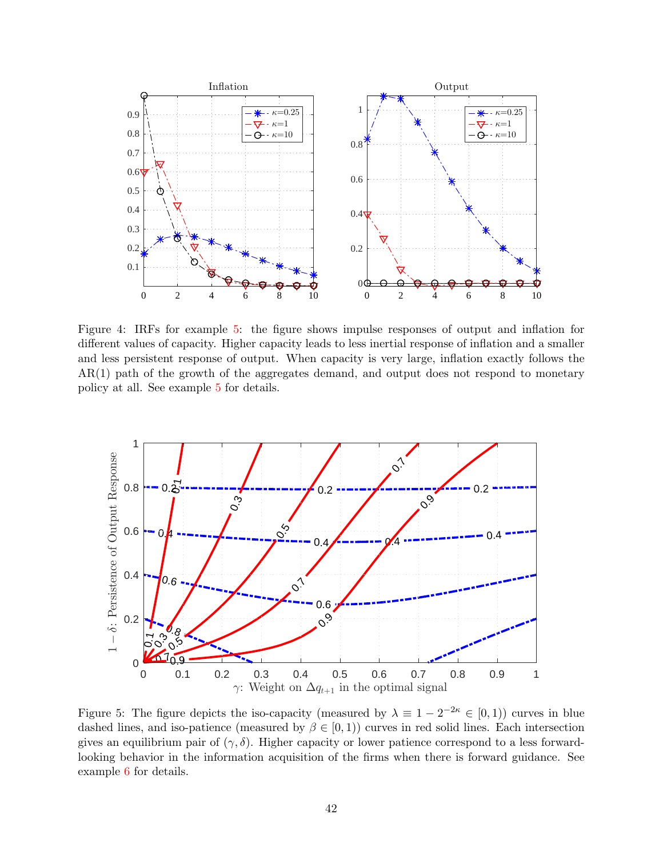<span id="page-41-0"></span>

Figure 4: IRFs for example [5:](#page-21-1) the figure shows impulse responses of output and inflation for different values of capacity. Higher capacity leads to less inertial response of inflation and a smaller and less persistent response of output. When capacity is very large, inflation exactly follows the AR(1) path of the growth of the aggregates demand, and output does not respond to monetary policy at all. See example [5](#page-21-1) for details.

<span id="page-41-1"></span>

Figure 5: The figure depicts the iso-capacity (measured by  $\lambda \equiv 1 - 2^{-2\kappa} \in [0,1)$ ) curves in blue dashed lines, and iso-patience (measured by  $\beta \in [0,1)$ ) curves in red solid lines. Each intersection gives an equilibrium pair of  $(\gamma, \delta)$ . Higher capacity or lower patience correspond to a less forwardlooking behavior in the information acquisition of the firms when there is forward guidance. See example [6](#page-22-1) for details.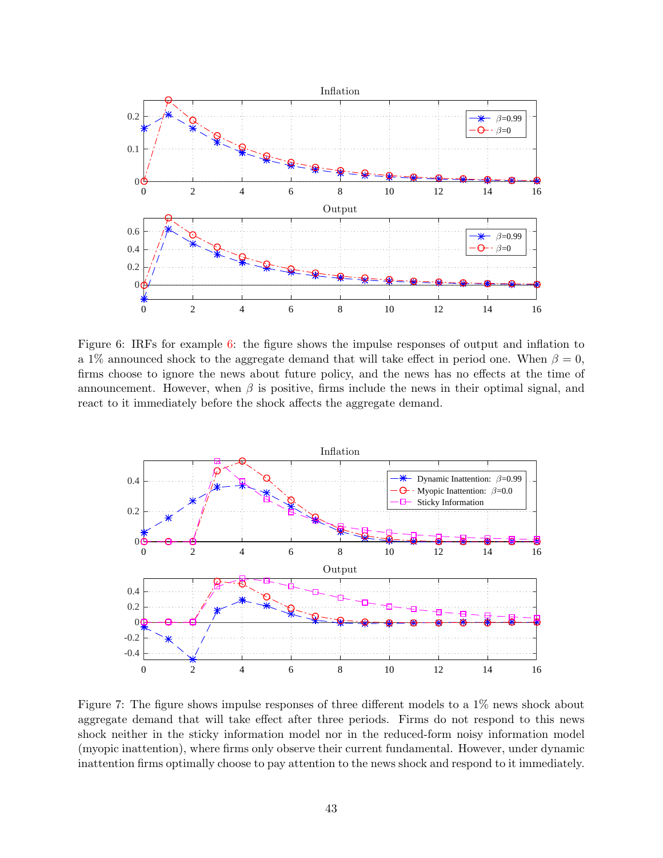<span id="page-42-0"></span>

Figure 6: IRFs for example [6:](#page-22-1) the figure shows the impulse responses of output and inflation to a 1% announced shock to the aggregate demand that will take effect in period one. When  $\beta = 0$ , firms choose to ignore the news about future policy, and the news has no effects at the time of announcement. However, when  $\beta$  is positive, firms include the news in their optimal signal, and react to it immediately before the shock affects the aggregate demand.

<span id="page-42-1"></span>

Figure 7: The figure shows impulse responses of three different models to a 1% news shock about aggregate demand that will take effect after three periods. Firms do not respond to this news shock neither in the sticky information model nor in the reduced-form noisy information model (myopic inattention), where firms only observe their current fundamental. However, under dynamic inattention firms optimally choose to pay attention to the news shock and respond to it immediately.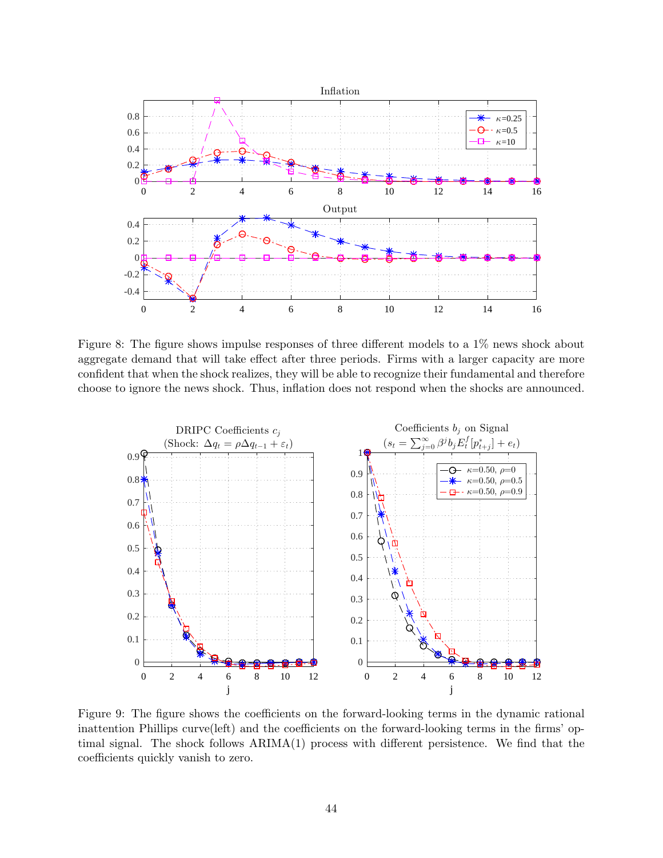

Figure 8: The figure shows impulse responses of three different models to a 1% news shock about aggregate demand that will take effect after three periods. Firms with a larger capacity are more confident that when the shock realizes, they will be able to recognize their fundamental and therefore choose to ignore the news shock. Thus, inflation does not respond when the shocks are announced.

<span id="page-43-0"></span>

Figure 9: The figure shows the coefficients on the forward-looking terms in the dynamic rational inattention Phillips curve(left) and the coefficients on the forward-looking terms in the firms' optimal signal. The shock follows ARIMA(1) process with different persistence. We find that the coefficients quickly vanish to zero.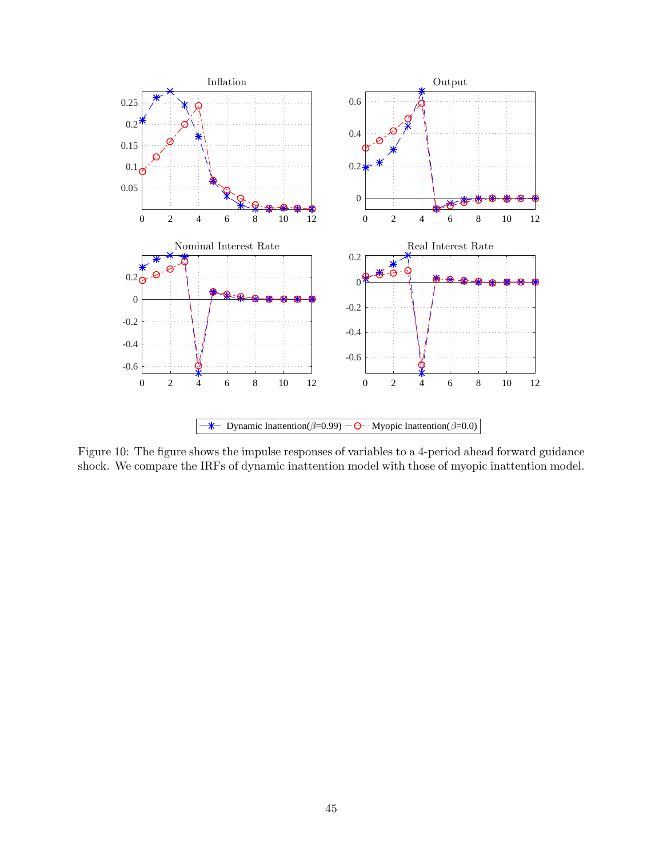<span id="page-44-0"></span>

Figure 10: The figure shows the impulse responses of variables to a 4-period ahead forward guidance shock. We compare the IRFs of dynamic inattention model with those of myopic inattention model.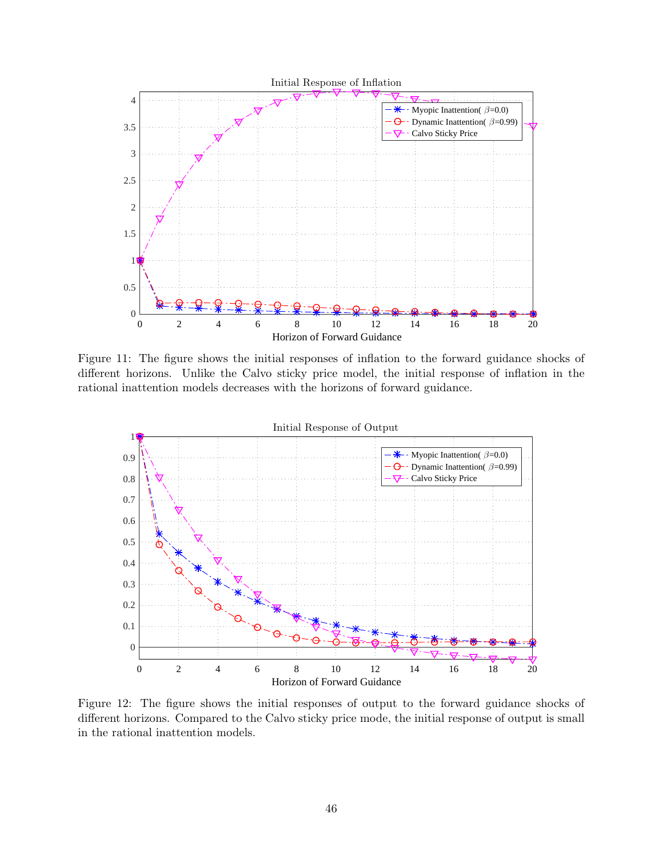<span id="page-45-0"></span>

Figure 11: The figure shows the initial responses of inflation to the forward guidance shocks of different horizons. Unlike the Calvo sticky price model, the initial response of inflation in the rational inattention models decreases with the horizons of forward guidance.

<span id="page-45-1"></span>

Figure 12: The figure shows the initial responses of output to the forward guidance shocks of different horizons. Compared to the Calvo sticky price mode, the initial response of output is small in the rational inattention models.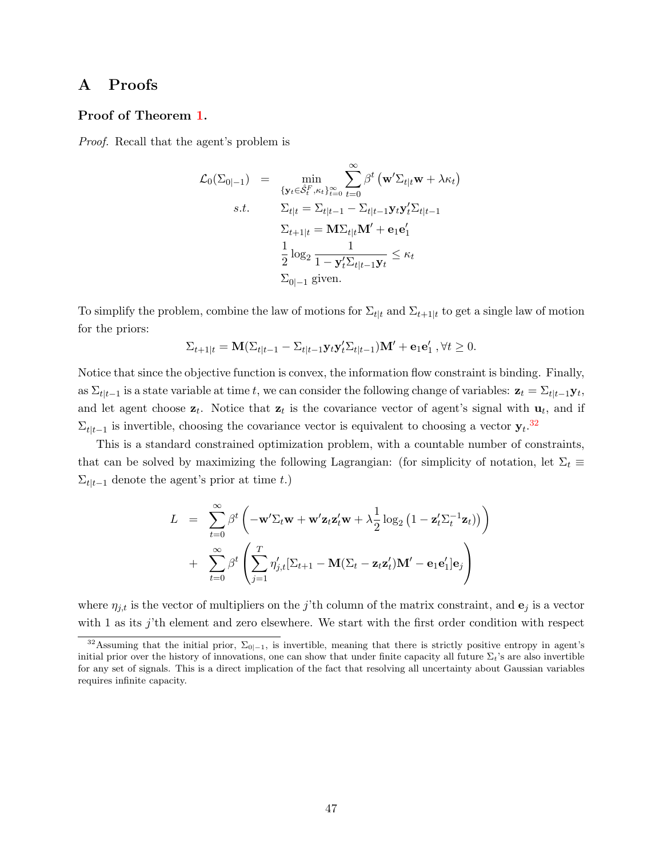# <span id="page-46-0"></span>A Proofs

# <span id="page-46-1"></span>Proof of Theorem [1.](#page-10-2)

Proof. Recall that the agent's problem is

$$
\mathcal{L}_0(\Sigma_{0|-1}) = \min_{\{y_t \in \hat{S}_t^F, \kappa_t\}_{t=0}^{\infty}} \sum_{t=0}^{\infty} \beta^t \left(\mathbf{w}' \Sigma_{t|t} \mathbf{w} + \lambda \kappa_t\right)
$$
  
s.t. 
$$
\Sigma_{t|t} = \Sigma_{t|t-1} - \Sigma_{t|t-1} \mathbf{y}_t \mathbf{y}_t' \Sigma_{t|t-1}
$$

$$
\Sigma_{t+1|t} = \mathbf{M} \Sigma_{t|t} \mathbf{M}' + \mathbf{e}_1 \mathbf{e}_1'
$$

$$
\frac{1}{2} \log_2 \frac{1}{1 - \mathbf{y}_t' \Sigma_{t|t-1} \mathbf{y}_t} \le \kappa_t
$$

$$
\Sigma_{0|-1} \text{ given.}
$$

To simplify the problem, combine the law of motions for  $\Sigma_{t|t}$  and  $\Sigma_{t+1|t}$  to get a single law of motion for the priors:

$$
\Sigma_{t+1|t} = \mathbf{M}(\Sigma_{t|t-1} - \Sigma_{t|t-1} \mathbf{y}_t \mathbf{y}_t' \Sigma_{t|t-1}) \mathbf{M}' + \mathbf{e}_1 \mathbf{e}_1', \forall t \ge 0.
$$

Notice that since the objective function is convex, the information flow constraint is binding. Finally, as  $\Sigma_{t|t-1}$  is a state variable at time t, we can consider the following change of variables:  $z_t = \Sigma_{t|t-1} y_t$ , and let agent choose  $z_t$ . Notice that  $z_t$  is the covariance vector of agent's signal with  $u_t$ , and if  $\Sigma_{t|t-1}$  is invertible, choosing the covariance vector is equivalent to choosing a vector  $\mathbf{y}_t$ .<sup>[32](#page-46-2)</sup>

This is a standard constrained optimization problem, with a countable number of constraints, that can be solved by maximizing the following Lagrangian: (for simplicity of notation, let  $\Sigma_t \equiv$  $\Sigma_{t|t-1}$  denote the agent's prior at time t.)

$$
L = \sum_{t=0}^{\infty} \beta^t \left( -\mathbf{w}' \Sigma_t \mathbf{w} + \mathbf{w}' \mathbf{z}_t \mathbf{z}_t' \mathbf{w} + \lambda \frac{1}{2} \log_2 \left( 1 - \mathbf{z}_t' \Sigma_t^{-1} \mathbf{z}_t \right) \right)
$$
  
+ 
$$
\sum_{t=0}^{\infty} \beta^t \left( \sum_{j=1}^T \eta'_{j,t} [\Sigma_{t+1} - \mathbf{M} (\Sigma_t - \mathbf{z}_t \mathbf{z}_t') \mathbf{M}' - \mathbf{e}_1 \mathbf{e}_1'] \mathbf{e}_j \right)
$$

where  $\eta_{j,t}$  is the vector of multipliers on the j'th column of the matrix constraint, and  $\mathbf{e}_j$  is a vector with 1 as its j'th element and zero elsewhere. We start with the first order condition with respect

<span id="page-46-2"></span><sup>&</sup>lt;sup>32</sup>Assuming that the initial prior,  $\Sigma_{0|-1}$ , is invertible, meaning that there is strictly positive entropy in agent's initial prior over the history of innovations, one can show that under finite capacity all future  $\Sigma_t$ 's are also invertible for any set of signals. This is a direct implication of the fact that resolving all uncertainty about Gaussian variables requires infinite capacity.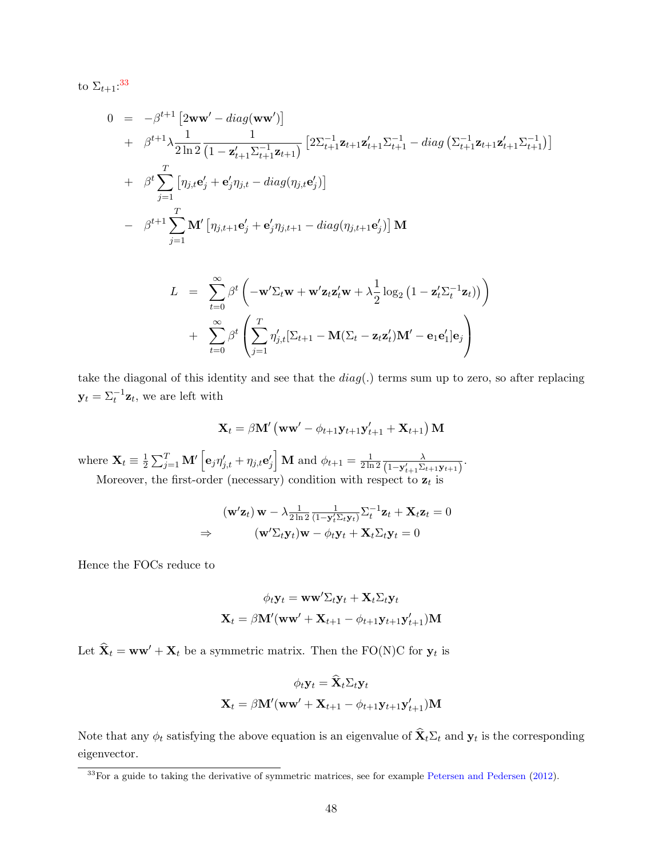to  $\Sigma_{t+1}$ :<sup>[33](#page-47-0)</sup>

$$
0 = -\beta^{t+1} \left[ 2\mathbf{w}\mathbf{w}' - diag(\mathbf{w}\mathbf{w}') \right]
$$
  
+  $\beta^{t+1} \lambda \frac{1}{2 \ln 2} \frac{1}{(1 - \mathbf{z}'_{t+1} \Sigma_{t+1}^{-1} \mathbf{z}_{t+1})} \left[ 2\Sigma_{t+1}^{-1} \mathbf{z}_{t+1} \Sigma_{t+1}^{-1} - diag\left( \Sigma_{t+1}^{-1} \mathbf{z}_{t+1} \Sigma_{t+1}^{-1} \right) \right]$   
+  $\beta^{t} \sum_{j=1}^{T} \left[ \eta_{j,t} \mathbf{e}'_{j} + \mathbf{e}'_{j} \eta_{j,t} - diag(\eta_{j,t} \mathbf{e}'_{j}) \right]$   
-  $\beta^{t+1} \sum_{j=1}^{T} \mathbf{M}' \left[ \eta_{j,t+1} \mathbf{e}'_{j} + \mathbf{e}'_{j} \eta_{j,t+1} - diag(\eta_{j,t+1} \mathbf{e}'_{j}) \right] \mathbf{M}$ 

$$
L = \sum_{t=0}^{\infty} \beta^t \left( -\mathbf{w}' \Sigma_t \mathbf{w} + \mathbf{w}' \mathbf{z}_t \mathbf{z}_t' \mathbf{w} + \lambda \frac{1}{2} \log_2 \left( 1 - \mathbf{z}_t' \Sigma_t^{-1} \mathbf{z}_t \right) \right)
$$
  
+ 
$$
\sum_{t=0}^{\infty} \beta^t \left( \sum_{j=1}^T \eta'_{j,t} [\Sigma_{t+1} - \mathbf{M} (\Sigma_t - \mathbf{z}_t \mathbf{z}_t') \mathbf{M}' - \mathbf{e}_1 \mathbf{e}_1'] \mathbf{e}_j \right)
$$

take the diagonal of this identity and see that the  $diag(.)$  terms sum up to zero, so after replacing  $\mathbf{y}_t = \Sigma_t^{-1} \mathbf{z}_t$ , we are left with

$$
\mathbf{X}_{t} = \beta \mathbf{M}' \left( \mathbf{w} \mathbf{w}' - \phi_{t+1} \mathbf{y}_{t+1} \mathbf{y}'_{t+1} + \mathbf{X}_{t+1} \right) \mathbf{M}
$$

where  $\mathbf{X}_t \equiv \frac{1}{2}$  $\frac{1}{2} \sum_{j=1}^{T} \mathbf{M}' \left[ \mathbf{e}_j \eta'_{j,t} + \eta_{j,t} \mathbf{e}'_j \right] \mathbf{M}$  and  $\phi_{t+1} = \frac{1}{2 \ln t}$ 2 ln 2  $\lambda$  $\frac{\lambda}{(1-\mathbf{y}_{t+1}'\Sigma_{t+1}\mathbf{y}_{t+1})}$ .

Moreover, the first-order (necessary) condition with respect to  $z_t$  is

$$
(\mathbf{w}'\mathbf{z}_t)\mathbf{w} - \lambda \frac{1}{2\ln 2} \frac{1}{(1-\mathbf{y}_t'\Sigma_t\mathbf{y}_t)} \Sigma_t^{-1} \mathbf{z}_t + \mathbf{X}_t \mathbf{z}_t = 0
$$
  
\n
$$
\Rightarrow \qquad (\mathbf{w}'\Sigma_t \mathbf{y}_t)\mathbf{w} - \phi_t \mathbf{y}_t + \mathbf{X}_t \Sigma_t \mathbf{y}_t = 0
$$

Hence the FOCs reduce to

$$
\phi_t \mathbf{y}_t = \mathbf{w} \mathbf{w}' \Sigma_t \mathbf{y}_t + \mathbf{X}_t \Sigma_t \mathbf{y}_t
$$

$$
\mathbf{X}_t = \beta \mathbf{M}'(\mathbf{w} \mathbf{w}' + \mathbf{X}_{t+1} - \phi_{t+1} \mathbf{y}_{t+1} \mathbf{y}'_{t+1}) \mathbf{M}
$$

Let  $\hat{\mathbf{X}}_t = \mathbf{w}\mathbf{w}' + \mathbf{X}_t$  be a symmetric matrix. Then the FO(N)C for  $\mathbf{y}_t$  is

$$
\phi_t \mathbf{y}_t = \mathbf{\hat{X}}_t \Sigma_t \mathbf{y}_t
$$

$$
\mathbf{X}_t = \beta \mathbf{M}'(\mathbf{w}\mathbf{w}' + \mathbf{X}_{t+1} - \phi_{t+1} \mathbf{y}_{t+1} \mathbf{y}'_{t+1}) \mathbf{M}
$$

Note that any  $\phi_t$  satisfying the above equation is an eigenvalue of  $\mathbf{X}_t \Sigma_t$  and  $\mathbf{y}_t$  is the corresponding eigenvector.

<span id="page-47-0"></span> $33$ For a guide to taking the derivative of symmetric matrices, see for example [Petersen and Pedersen](#page-36-14) [\(2012\)](#page-36-14).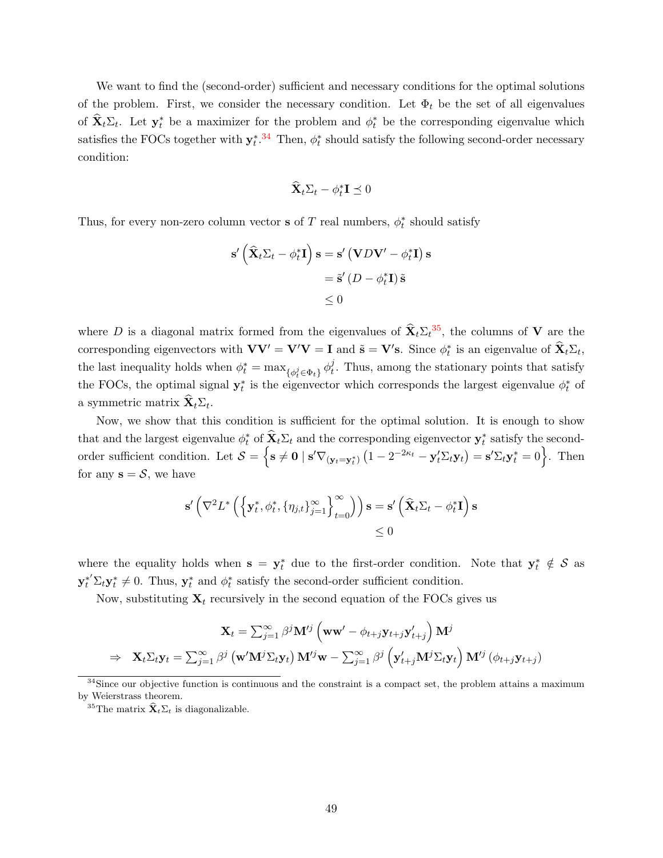We want to find the (second-order) sufficient and necessary conditions for the optimal solutions of the problem. First, we consider the necessary condition. Let  $\Phi_t$  be the set of all eigenvalues of  $\hat{\mathbf{X}}_t \Sigma_t$ . Let  $\mathbf{y}_t^*$  be a maximizer for the problem and  $\phi_t^*$  be the corresponding eigenvalue which satisfies the FOCs together with  $y_t^*$ .<sup>[34](#page-48-0)</sup> Then,  $\phi_t^*$  should satisfy the following second-order necessary condition:

$$
\widehat{\mathbf{X}}_t \Sigma_t - \phi_t^* \mathbf{I} \preceq 0
$$

Thus, for every non-zero column vector **s** of  $T$  real numbers,  $\phi_t^*$  should satisfy

$$
\mathbf{s}'\left(\widehat{\mathbf{X}}_t \Sigma_t - \phi_t^* \mathbf{I}\right) \mathbf{s} = \mathbf{s}'\left(\mathbf{V}D\mathbf{V}' - \phi_t^* \mathbf{I}\right) \mathbf{s}
$$

$$
= \widetilde{\mathbf{s}}'\left(D - \phi_t^* \mathbf{I}\right) \widetilde{\mathbf{s}}\n\n\leq 0
$$

where D is a diagonal matrix formed from the eigenvalues of  $\hat{\mathbf{X}}_t \Sigma_t^{35}$  $\hat{\mathbf{X}}_t \Sigma_t^{35}$  $\hat{\mathbf{X}}_t \Sigma_t^{35}$ , the columns of V are the corresponding eigenvectors with  $VV' = V'V = I$  and  $\tilde{s} = V's$ . Since  $\phi_t^*$  is an eigenvalue of  $\hat{\mathbf{X}}_t \Sigma_t$ , the last inequality holds when  $\phi_t^* = \max_{\{\phi_t^j \in \Phi_t\}} \phi_t^j$  $t_t^j$ . Thus, among the stationary points that satisfy the FOCs, the optimal signal  $y_t^*$  is the eigenvector which corresponds the largest eigenvalue  $\phi_t^*$  of a symmetric matrix  $\mathbf{X}_t \Sigma_t$ .

Now, we show that this condition is sufficient for the optimal solution. It is enough to show that and the largest eigenvalue  $\phi_t^*$  of  $\hat{\mathbf{X}}_t \Sigma_t$  and the corresponding eigenvector  $\mathbf{y}_t^*$  satisfy the secondorder sufficient condition. Let  $S = \left\{ \mathbf{s} \neq \mathbf{0} \mid \mathbf{s}' \nabla_{(\mathbf{y}_t = \mathbf{y}_t^*)} \left( 1 - 2^{-2\kappa_t} - \mathbf{y}_t' \Sigma_t \mathbf{y}_t \right) = \mathbf{s}' \Sigma_t \mathbf{y}_t^* = 0 \right\}$ . Then for any  $s = S$ , we have

$$
\mathbf{s}'\left(\nabla^2 L^*\left(\left\{\mathbf{y}_t^*, \phi_t^*, \{\eta_{j,t}\}_{j=1}^\infty\right\}_{t=0}^\infty\right)\right) \mathbf{s} = \mathbf{s}'\left(\widehat{\mathbf{X}}_t \Sigma_t - \phi_t^* \mathbf{I}\right) \mathbf{s} \leq 0
$$

where the equality holds when  $s = y_t^*$  due to the first-order condition. Note that  $y_t^* \notin S$  as  $\mathbf{y}_t^{*'}\Sigma_t \mathbf{y}_t^* \neq 0$ . Thus,  $\mathbf{y}_t^*$  and  $\phi_t^*$  satisfy the second-order sufficient condition.

Now, substituting  $X_t$  recursively in the second equation of the FOCs gives us

$$
\mathbf{X}_{t} = \sum_{j=1}^{\infty} \beta^{j} \mathbf{M}^{\prime j} \left( \mathbf{w} \mathbf{w}^{\prime} - \phi_{t+j} \mathbf{y}_{t+j} \mathbf{y}_{t+j}^{\prime} \right) \mathbf{M}^{j}
$$
  
\n
$$
\Rightarrow \quad \mathbf{X}_{t} \Sigma_{t} \mathbf{y}_{t} = \sum_{j=1}^{\infty} \beta^{j} \left( \mathbf{w}^{\prime} \mathbf{M}^{j} \Sigma_{t} \mathbf{y}_{t} \right) \mathbf{M}^{\prime j} \mathbf{w} - \sum_{j=1}^{\infty} \beta^{j} \left( \mathbf{y}_{t+j}^{\prime} \mathbf{M}^{j} \Sigma_{t} \mathbf{y}_{t} \right) \mathbf{M}^{\prime j} \left( \phi_{t+j} \mathbf{y}_{t+j} \right)
$$

<span id="page-48-1"></span><sup>35</sup>The matrix  $\hat{\mathbf{X}}_t \Sigma_t$  is diagonalizable.

<span id="page-48-0"></span><sup>&</sup>lt;sup>34</sup>Since our objective function is continuous and the constraint is a compact set, the problem attains a maximum by Weierstrass theorem.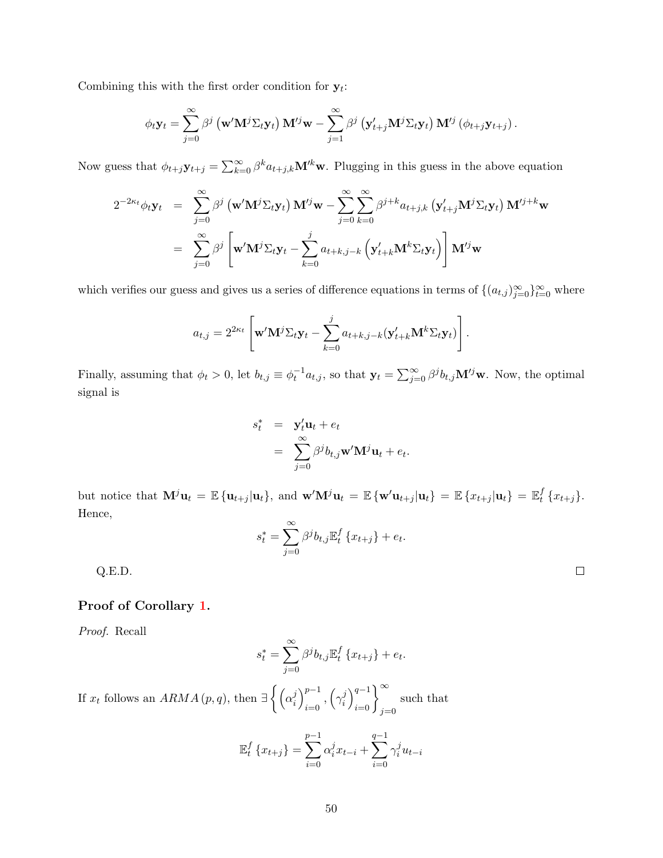Combining this with the first order condition for  $y_t$ :

$$
\phi_t \mathbf{y}_t = \sum_{j=0}^{\infty} \beta^j \left( \mathbf{w}' \mathbf{M}^j \Sigma_t \mathbf{y}_t \right) \mathbf{M}'^j \mathbf{w} - \sum_{j=1}^{\infty} \beta^j \left( \mathbf{y}'_{t+j} \mathbf{M}^j \Sigma_t \mathbf{y}_t \right) \mathbf{M}'^j \left( \phi_{t+j} \mathbf{y}_{t+j} \right).
$$

Now guess that  $\phi_{t+j}\mathbf{y}_{t+j} = \sum_{k=0}^{\infty} \beta^k a_{t+j,k} \mathbf{M}^{\prime k} \mathbf{w}$ . Plugging in this guess in the above equation

$$
2^{-2\kappa_t}\phi_t \mathbf{y}_t = \sum_{j=0}^{\infty} \beta^j \left(\mathbf{w}' \mathbf{M}^j \Sigma_t \mathbf{y}_t\right) \mathbf{M}'^j \mathbf{w} - \sum_{j=0}^{\infty} \sum_{k=0}^{\infty} \beta^{j+k} a_{t+j,k} \left(\mathbf{y}'_{t+j} \mathbf{M}^j \Sigma_t \mathbf{y}_t\right) \mathbf{M}'^{j+k} \mathbf{w}
$$
  
= 
$$
\sum_{j=0}^{\infty} \beta^j \left[\mathbf{w}' \mathbf{M}^j \Sigma_t \mathbf{y}_t - \sum_{k=0}^j a_{t+k,j-k} \left(\mathbf{y}'_{t+k} \mathbf{M}^k \Sigma_t \mathbf{y}_t\right)\right] \mathbf{M}'^j \mathbf{w}
$$

which verifies our guess and gives us a series of difference equations in terms of  $\{(a_{t,j})_{j=0}^{\infty}\}_{t=0}^{\infty}$  where

$$
a_{t,j} = 2^{2\kappa_t} \left[ \mathbf{w}' \mathbf{M}^j \Sigma_t \mathbf{y}_t - \sum_{k=0}^j a_{t+k,j-k} (\mathbf{y}'_{t+k} \mathbf{M}^k \Sigma_t \mathbf{y}_t) \right].
$$

Finally, assuming that  $\phi_t > 0$ , let  $b_{t,j} \equiv \phi_t^{-1} a_{t,j}$ , so that  $\mathbf{y}_t = \sum_{j=0}^{\infty} \beta^j b_{t,j} \mathbf{M}^{tj} \mathbf{w}$ . Now, the optimal signal is

$$
s_t^* = \mathbf{y}_t' \mathbf{u}_t + e_t
$$
  
= 
$$
\sum_{j=0}^{\infty} \beta^j b_{t,j} \mathbf{w}' \mathbf{M}^j \mathbf{u}_t + e_t.
$$

but notice that  $\mathbf{M}^{j} \mathbf{u}_{t} = \mathbb{E} \{ \mathbf{u}_{t+j} | \mathbf{u}_{t} \}$ , and  $\mathbf{w}' \mathbf{M}^{j} \mathbf{u}_{t} = \mathbb{E} \{ \mathbf{w}' \mathbf{u}_{t+j} | \mathbf{u}_{t} \} = \mathbb{E} \{ x_{t+j} | \mathbf{u}_{t} \} = \mathbb{E}^{f}_{t}$  $_{t}^{J}$  { $x_{t+j}$  }. Hence,

$$
s_t^* = \sum_{j=0}^{\infty} \beta^j b_{t,j} \mathbb{E}_t^f \{x_{t+j}\} + e_t.
$$

Q.E.D.

## <span id="page-49-0"></span>Proof of Corollary [1.](#page-11-1)

Proof. Recall

$$
s_t^* = \sum_{j=0}^{\infty} \beta^j b_{t,j} \mathbb{E}_t^f \left\{ x_{t+j} \right\} + e_t.
$$

If  $x_t$  follows an  $ARMA(p,q)$ , then  $\exists \left\{ \left( \alpha_i^j \right)$  $\binom{j}{i}_{i=0}^{p-1}$  $_{i=0}^{p-1}\,,\left( \gamma _{i}^{j}\right)$  $\left\{j \atop i \right\}_{i=0}^{q-1} \right\}_{j=0}^{\infty}$ such that

$$
\mathbb{E}_{t}^{f} \{x_{t+j}\} = \sum_{i=0}^{p-1} \alpha_{i}^{j} x_{t-i} + \sum_{i=0}^{q-1} \gamma_{i}^{j} u_{t-i}
$$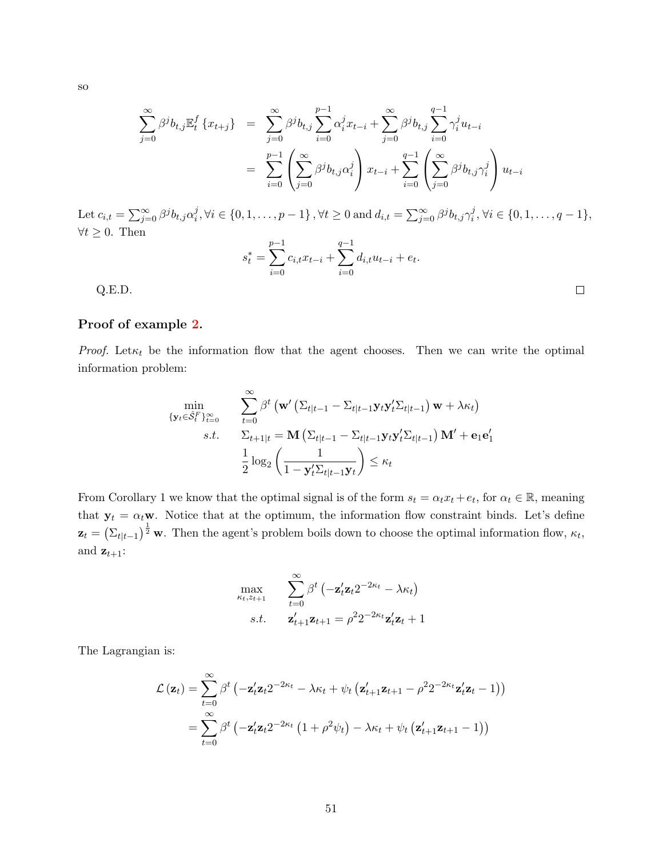$$
\operatorname{SO}^{\mathbb{C}}
$$

$$
\sum_{j=0}^{\infty} \beta^{j} b_{t,j} \mathbb{E}_{t}^{f} \{x_{t+j}\} = \sum_{j=0}^{\infty} \beta^{j} b_{t,j} \sum_{i=0}^{p-1} \alpha_{i}^{j} x_{t-i} + \sum_{j=0}^{\infty} \beta^{j} b_{t,j} \sum_{i=0}^{q-1} \gamma_{i}^{j} u_{t-i}
$$

$$
= \sum_{i=0}^{p-1} \left( \sum_{j=0}^{\infty} \beta^{j} b_{t,j} \alpha_{i}^{j} \right) x_{t-i} + \sum_{i=0}^{q-1} \left( \sum_{j=0}^{\infty} \beta^{j} b_{t,j} \gamma_{i}^{j} \right) u_{t-i}
$$

Let  $c_{i,t} = \sum_{j=0}^{\infty} \beta^{j} b_{t,j} \alpha_i^{j}$  $j, \forall i \in \{0, 1, \ldots, p-1\}$ ,  $\forall t \geq 0$  and  $d_{i,t} = \sum_{j=0}^{\infty} \beta^{j} b_{t,j} \gamma_i^{j}$  $i<sup>j</sup>, \forall i \in \{0, 1, \ldots, q-1\},\$  $∀t ≥ 0$ . Then

$$
s_t^* = \sum_{i=0}^{p-1} c_{i,t} x_{t-i} + \sum_{i=0}^{q-1} d_{i,t} u_{t-i} + e_t.
$$

Q.E.D.

#### <span id="page-50-0"></span>Proof of example [2.](#page-12-4)

*Proof.* Let  $\kappa_t$  be the information flow that the agent chooses. Then we can write the optimal information problem:

$$
\min_{\{\mathbf{y}_t \in \hat{\mathcal{S}}_t^F\}_{t=0}^{\infty}} \quad \sum_{t=0}^{\infty} \beta^t \left(\mathbf{w}' \left(\Sigma_{t|t-1} - \Sigma_{t|t-1} \mathbf{y}_t \mathbf{y}_t' \Sigma_{t|t-1}\right) \mathbf{w} + \lambda \kappa_t\right)
$$
\n
$$
s.t. \quad \Sigma_{t+1|t} = \mathbf{M} \left(\Sigma_{t|t-1} - \Sigma_{t|t-1} \mathbf{y}_t \mathbf{y}_t' \Sigma_{t|t-1}\right) \mathbf{M}' + \mathbf{e}_1 \mathbf{e}_1'
$$
\n
$$
\frac{1}{2} \log_2 \left(\frac{1}{1 - \mathbf{y}_t' \Sigma_{t|t-1} \mathbf{y}_t}\right) \le \kappa_t
$$

From Corollary 1 we know that the optimal signal is of the form  $s_t = \alpha_t x_t + e_t$ , for  $\alpha_t \in \mathbb{R}$ , meaning that  $y_t = \alpha_t \mathbf{w}$ . Notice that at the optimum, the information flow constraint binds. Let's define  $\mathbf{z}_t = \left(\sum_{t|t-1}\right)^{\frac{1}{2}} \mathbf{w}$ . Then the agent's problem boils down to choose the optimal information flow,  $\kappa_t$ , and  $\mathbf{z}_{t+1}$ :

$$
\max_{\kappa_t, z_{t+1}} \sum_{t=0}^{\infty} \beta^t \left( -\mathbf{z}_t' \mathbf{z}_t 2^{-2\kappa_t} - \lambda \kappa_t \right)
$$
  
s.t.  $\mathbf{z}_{t+1}' \mathbf{z}_{t+1} = \rho^2 2^{-2\kappa_t} \mathbf{z}_t' \mathbf{z}_t + 1$ 

The Lagrangian is:

$$
\mathcal{L}(\mathbf{z}_t) = \sum_{t=0}^{\infty} \beta^t \left( -\mathbf{z}_t' \mathbf{z}_t 2^{-2\kappa_t} - \lambda \kappa_t + \psi_t \left( \mathbf{z}_{t+1}' \mathbf{z}_{t+1} - \rho^2 2^{-2\kappa_t} \mathbf{z}_t' \mathbf{z}_t - 1 \right) \right)
$$
  
= 
$$
\sum_{t=0}^{\infty} \beta^t \left( -\mathbf{z}_t' \mathbf{z}_t 2^{-2\kappa_t} \left( 1 + \rho^2 \psi_t \right) - \lambda \kappa_t + \psi_t \left( \mathbf{z}_{t+1}' \mathbf{z}_{t+1} - 1 \right) \right)
$$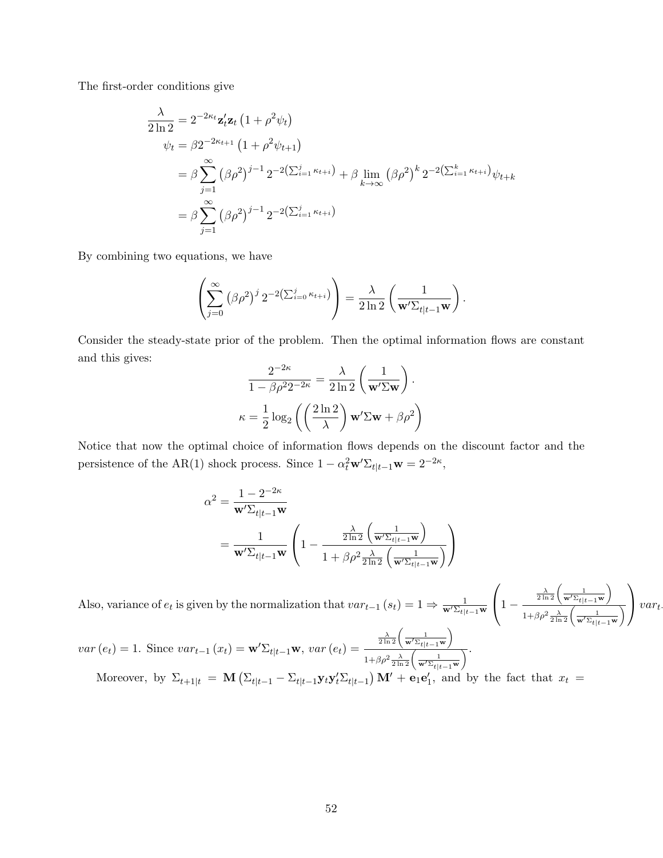The first-order conditions give

$$
\frac{\lambda}{2 \ln 2} = 2^{-2\kappa_t} \mathbf{z}_t' \mathbf{z}_t (1 + \rho^2 \psi_t)
$$
  
\n
$$
\psi_t = \beta 2^{-2\kappa_{t+1}} (1 + \rho^2 \psi_{t+1})
$$
  
\n
$$
= \beta \sum_{j=1}^{\infty} (\beta \rho^2)^{j-1} 2^{-2(\sum_{i=1}^j \kappa_{t+i})} + \beta \lim_{k \to \infty} (\beta \rho^2)^k 2^{-2(\sum_{i=1}^k \kappa_{t+i})} \psi_{t+k}
$$
  
\n
$$
= \beta \sum_{j=1}^{\infty} (\beta \rho^2)^{j-1} 2^{-2(\sum_{i=1}^j \kappa_{t+i})}
$$

By combining two equations, we have

$$
\left(\sum_{j=0}^{\infty} (\beta \rho^2)^j 2^{-2(\sum_{i=0}^j \kappa_{t+i})}\right) = \frac{\lambda}{2 \ln 2} \left(\frac{1}{\mathbf{w}' \Sigma_{t|t-1} \mathbf{w}}\right).
$$

Consider the steady-state prior of the problem. Then the optimal information flows are constant and this gives:

$$
\frac{2^{-2\kappa}}{1 - \beta \rho^2 2^{-2\kappa}} = \frac{\lambda}{2 \ln 2} \left( \frac{1}{\mathbf{w}' \Sigma \mathbf{w}} \right).
$$

$$
\kappa = \frac{1}{2} \log_2 \left( \left( \frac{2 \ln 2}{\lambda} \right) \mathbf{w}' \Sigma \mathbf{w} + \beta \rho^2 \right)
$$

Notice that now the optimal choice of information flows depends on the discount factor and the persistence of the AR(1) shock process. Since  $1 - \alpha_t^2 \mathbf{w}' \Sigma_{t|t-1} \mathbf{w} = 2^{-2\kappa}$ ,

$$
\alpha^2 = \frac{1 - 2^{-2\kappa}}{\mathbf{w}' \Sigma_{t|t-1} \mathbf{w}}
$$
  
= 
$$
\frac{1}{\mathbf{w}' \Sigma_{t|t-1} \mathbf{w}} \left( 1 - \frac{\frac{\lambda}{2 \ln 2} \left( \frac{1}{\mathbf{w}' \Sigma_{t|t-1} \mathbf{w}} \right)}{1 + \beta \rho^2 \frac{\lambda}{2 \ln 2} \left( \frac{1}{\mathbf{w}' \Sigma_{t|t-1} \mathbf{w}} \right)} \right)
$$

Also, variance of  $e_t$  is given by the normalization that  $var_{t-1}(s_t) = 1 \Rightarrow \frac{1}{\mathbf{w}'\Sigma_{t|t-1}\mathbf{w}'}$  $\sqrt{ }$  $\left(1 - \right)$  $\frac{\lambda}{2\ln 2} \Biggl( \frac{1}{\mathbf{w}' \Sigma_{t|t-1} \mathbf{w}}$  $\setminus$  $1+\beta \rho^2 \frac{\lambda}{2\ln 2} \Biggl(\frac{1}{\mathbf{w}' \Sigma_{t|t-1} \mathbf{w}}$ λ  $\setminus$  $\int var_t$  $\setminus$ 

 $var(e_t) = 1$ . Since  $var_{t-1}(x_t) = \mathbf{w}' \Sigma_{t|t-1} \mathbf{w}$ ,  $var(e_t) =$  $\frac{\lambda}{2\ln 2} \Biggl(\frac{1}{\mathbf{w}' \Sigma_{t|t-1} \mathbf{w}}$  $1+\beta \rho^2 \frac{\lambda}{2\ln 2} \left( \frac{1}{\mathbf{w}' \Sigma_{t|t-1} \mathbf{w}} \right)$  $\overline{\ }$ . Moreover, by  $\Sigma_{t+1|t} = \mathbf{M} \left( \Sigma_{t|t-1} - \Sigma_{t|t-1} \mathbf{y}_t \mathbf{y}_t' \Sigma_{t|t-1} \right) \mathbf{M}' + \mathbf{e}_1 \mathbf{e}_1',$  and by the fact that  $x_t =$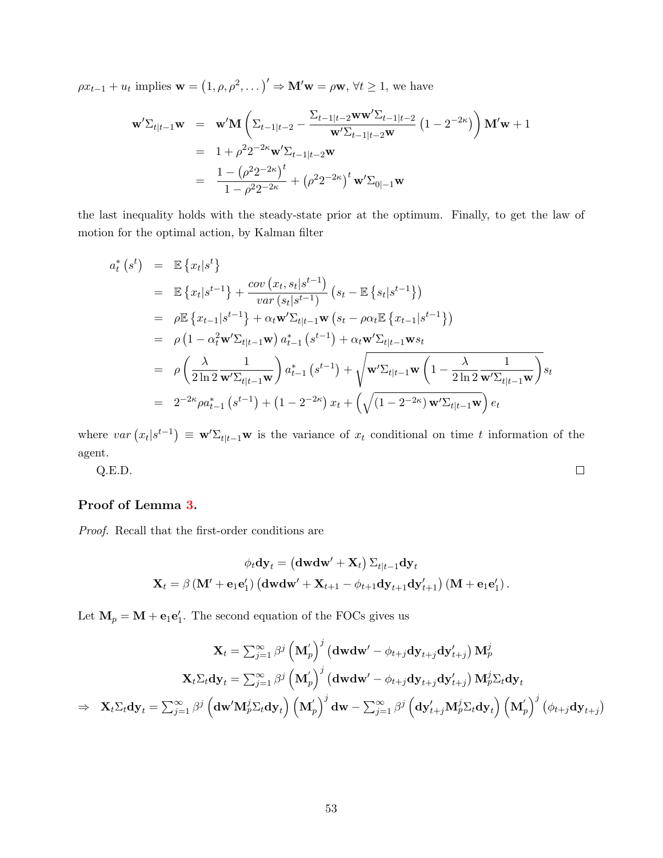$\rho x_{t-1} + u_t$  implies  $\mathbf{w} = (1, \rho, \rho^2, \dots)' \Rightarrow \mathbf{M}' \mathbf{w} = \rho \mathbf{w}, \forall t \geq 1$ , we have

$$
\mathbf{w}'\Sigma_{t|t-1}\mathbf{w} = \mathbf{w}'\mathbf{M} \left( \Sigma_{t-1|t-2} - \frac{\Sigma_{t-1|t-2}\mathbf{w}\mathbf{w}'\Sigma_{t-1|t-2}}{\mathbf{w}'\Sigma_{t-1|t-2}\mathbf{w}} (1 - 2^{-2\kappa}) \right) \mathbf{M}'\mathbf{w} + 1
$$
  
=  $1 + \rho^2 2^{-2\kappa} \mathbf{w}'\Sigma_{t-1|t-2}\mathbf{w}$   
=  $\frac{1 - (\rho^2 2^{-2\kappa})^t}{1 - \rho^2 2^{-2\kappa}} + (\rho^2 2^{-2\kappa})^t \mathbf{w}'\Sigma_{0|-1}\mathbf{w}$ 

the last inequality holds with the steady-state prior at the optimum. Finally, to get the law of motion for the optimal action, by Kalman filter

$$
a_{t}^{*}(s^{t}) = \mathbb{E}\left\{x_{t}|s^{t}\right\}
$$
  
\n
$$
= \mathbb{E}\left\{x_{t}|s^{t-1}\right\} + \frac{cov(x_{t}, s_{t}|s^{t-1})}{var(s_{t}|s^{t-1})}(s_{t} - \mathbb{E}\left\{s_{t}|s^{t-1}\right\})
$$
  
\n
$$
= \rho \mathbb{E}\left\{x_{t-1}|s^{t-1}\right\} + \alpha_{t}\mathbf{w}'\Sigma_{t|t-1}\mathbf{w}(s_{t} - \rho\alpha_{t}\mathbb{E}\left\{x_{t-1}|s^{t-1}\right\})
$$
  
\n
$$
= \rho\left(1 - \alpha_{t}^{2}\mathbf{w}'\Sigma_{t|t-1}\mathbf{w}\right)a_{t-1}^{*}(s^{t-1}) + \alpha_{t}\mathbf{w}'\Sigma_{t|t-1}\mathbf{w}s_{t}
$$
  
\n
$$
= \rho\left(\frac{\lambda}{2\ln 2} \frac{1}{\mathbf{w}'\Sigma_{t|t-1}\mathbf{w}}\right)a_{t-1}^{*}(s^{t-1}) + \sqrt{\mathbf{w}'\Sigma_{t|t-1}\mathbf{w}\left(1 - \frac{\lambda}{2\ln 2} \frac{1}{\mathbf{w}'\Sigma_{t|t-1}\mathbf{w}}\right)}s_{t}
$$
  
\n
$$
= 2^{-2\kappa}\rho a_{t-1}^{*}(s^{t-1}) + (1 - 2^{-2\kappa})x_{t} + \left(\sqrt{(1 - 2^{-2\kappa})} \mathbf{w}'\Sigma_{t|t-1}\mathbf{w}\right)e_{t}
$$

where  $var(x_t|s^{t-1}) \equiv \mathbf{w}'\Sigma_{t|t-1}\mathbf{w}$  is the variance of  $x_t$  conditional on time t information of the agent.

$$
Q.E.D. \qquad \qquad \Box
$$

# <span id="page-52-0"></span>Proof of Lemma [3.](#page-16-1)

Proof. Recall that the first-order conditions are

$$
\phi_t \mathbf{dy}_t = \left(\mathbf{dwdw'} + \mathbf{X}_t\right)\Sigma_{t|t-1}\mathbf{dy}_t
$$
  

$$
\mathbf{X}_t = \beta\left(\mathbf{M'} + \mathbf{e}_1\mathbf{e}'_1\right)\left(\mathbf{dwdw'} + \mathbf{X}_{t+1} - \phi_{t+1}\mathbf{dy}_{t+1}\mathbf{dy}'_{t+1}\right)\left(\mathbf{M} + \mathbf{e}_1\mathbf{e}'_1\right).
$$

Let  $\mathbf{M}_p = \mathbf{M} + \mathbf{e}_1 \mathbf{e}'_1$ . The second equation of the FOCs gives us

$$
\mathbf{X}_{t}=\sum_{j=1}^{\infty}\beta^{j}\left(\mathbf{M}_{p}^{'}\right)^{j}\left(\mathbf{dwdw}^{\prime}-\phi_{t+j}\mathbf{dy}_{t+j}\mathbf{dy}_{t+j}^{\prime}\right)\mathbf{M}_{p}^{j} \\\quad\mathbf{X}_{t}\Sigma_{t}\mathbf{dy}_{t}=\sum_{j=1}^{\infty}\beta^{j}\left(\mathbf{M}_{p}^{'}\right)^{j}\left(\mathbf{dwdw}^{\prime}-\phi_{t+j}\mathbf{dy}_{t+j}\mathbf{dy}_{t+j}^{\prime}\right)\mathbf{M}_{p}^{j}\Sigma_{t}\mathbf{dy}_{t}\\\Rightarrow\quad\mathbf{X}_{t}\Sigma_{t}\mathbf{dy}_{t}=\sum_{j=1}^{\infty}\beta^{j}\left(\mathbf{dw}^{\prime}\mathbf{M}_{p}^{j}\Sigma_{t}\mathbf{dy}_{t}\right)\left(\mathbf{M}_{p}^{'}\right)^{j}\mathbf{dw}-\sum_{j=1}^{\infty}\beta^{j}\left(\mathbf{dy}_{t+j}^{\prime}\mathbf{M}_{p}^{j}\Sigma_{t}\mathbf{dy}_{t}\right)\left(\mathbf{M}_{p}^{'}\right)^{j}\left(\phi_{t+j}\mathbf{dy}_{t+j}\right)
$$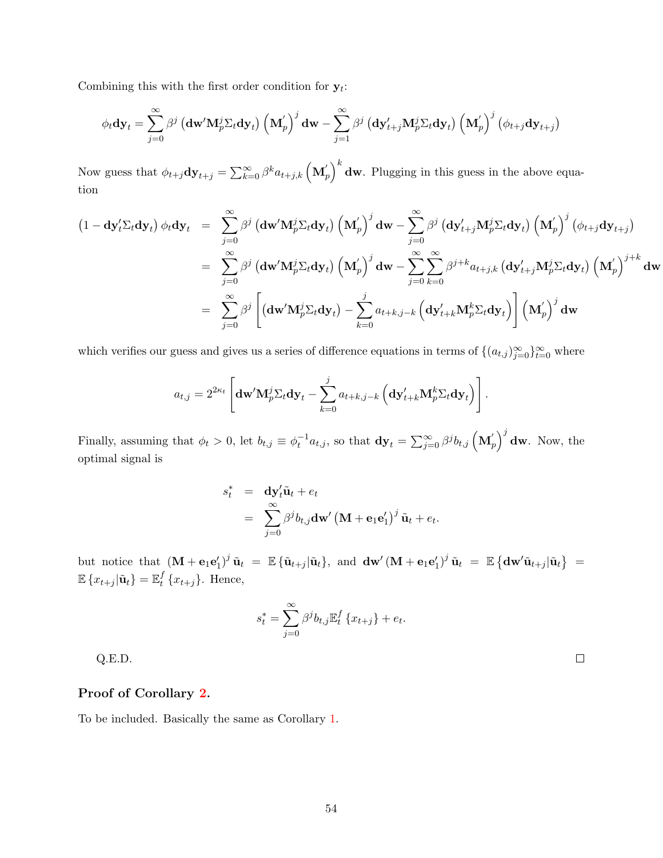Combining this with the first order condition for  $y_t$ :

$$
\phi_t \mathbf{dy}_t = \sum_{j=0}^{\infty} \beta^j \left( \mathbf{dw}' \mathbf{M}_p^j \Sigma_t \mathbf{dy}_t \right) \left( \mathbf{M}_p' \right)^j \mathbf{dw} - \sum_{j=1}^{\infty} \beta^j \left( \mathbf{dy}'_{t+j} \mathbf{M}_p^j \Sigma_t \mathbf{dy}_t \right) \left( \mathbf{M}_p' \right)^j \left( \phi_{t+j} \mathbf{dy}_{t+j} \right)
$$

Now guess that  $\phi_{t+j} \mathbf{dy}_{t+j} = \sum_{k=0}^{\infty} \beta^k a_{t+j,k} (\mathbf{M}_{p}^{'})^k \mathbf{dw}$ . Plugging in this guess in the above equation

$$
(1 - \mathbf{dy}'_t \Sigma_t \mathbf{dy}_t) \phi_t \mathbf{dy}_t = \sum_{j=0}^{\infty} \beta^j (\mathbf{dw}' \mathbf{M}_p^j \Sigma_t \mathbf{dy}_t) (\mathbf{M}_p')^j \mathbf{dw} - \sum_{j=0}^{\infty} \beta^j (\mathbf{dy}'_{t+j} \mathbf{M}_p^j \Sigma_t \mathbf{dy}_t) (\mathbf{M}_p')^j (\phi_{t+j} \mathbf{dy}_{t+j})
$$
  
\n
$$
= \sum_{j=0}^{\infty} \beta^j (\mathbf{dw}' \mathbf{M}_p^j \Sigma_t \mathbf{dy}_t) (\mathbf{M}_p')^j \mathbf{dw} - \sum_{j=0}^{\infty} \sum_{k=0}^{\infty} \beta^{j+k} a_{t+j,k} (\mathbf{dy}'_{t+j} \mathbf{M}_p^j \Sigma_t \mathbf{dy}_t) (\mathbf{M}_p')^{j+k} \mathbf{dw}
$$
  
\n
$$
= \sum_{j=0}^{\infty} \beta^j \left[ (\mathbf{dw}' \mathbf{M}_p^j \Sigma_t \mathbf{dy}_t) - \sum_{k=0}^j a_{t+k,j-k} (\mathbf{dy}'_{t+k} \mathbf{M}_p^k \Sigma_t \mathbf{dy}_t) \right] (\mathbf{M}_p')^j \mathbf{dw}
$$

which verifies our guess and gives us a series of difference equations in terms of  $\{(a_{t,j})_{j=0}^{\infty}\}_{t=0}^{\infty}$  where

$$
a_{t,j} = 2^{2\kappa_t} \left[ \mathbf{dw}' \mathbf{M}_p^j \Sigma_t \mathbf{dy}_t - \sum_{k=0}^j a_{t+k,j-k} \left( \mathbf{dy}'_{t+k} \mathbf{M}_p^k \Sigma_t \mathbf{dy}_t \right) \right].
$$

Finally, assuming that  $\phi_t > 0$ , let  $b_{t,j} \equiv \phi_t^{-1} a_{t,j}$ , so that  $\mathbf{dy}_t = \sum_{j=0}^{\infty} \beta^j b_{t,j} (\mathbf{M}_p')^j \mathbf{dw}$ . Now, the optimal signal is

$$
s_t^* = \mathbf{dy}_t' \tilde{\mathbf{u}}_t + e_t
$$
  
= 
$$
\sum_{j=0}^{\infty} \beta^j b_{t,j} \mathbf{dw}' (\mathbf{M} + \mathbf{e}_1 \mathbf{e}'_1)^j \tilde{\mathbf{u}}_t + e_t.
$$

but notice that  $(\mathbf{M} + \mathbf{e}_1 \mathbf{e}'_1)^j \tilde{\mathbf{u}}_t = \mathbb{E} \{ \tilde{\mathbf{u}}_{t+j} | \tilde{\mathbf{u}}_t \}$ , and  $\mathbf{dw}' (\mathbf{M} + \mathbf{e}_1 \mathbf{e}'_1)^j \tilde{\mathbf{u}}_t = \mathbb{E} \{ \mathbf{dw}' \tilde{\mathbf{u}}_{t+j} | \tilde{\mathbf{u}}_t \}$  $\mathbb{E}\left\{ x_{t+j} | \tilde{\mathbf{u}}_t \right\} = \mathbb{E}_t^f$  $_{t}^{J}$  { $x_{t+j}$ }. Hence,

$$
s_t^* = \sum_{j=0}^{\infty} \beta^j b_{t,j} \mathbb{E}_t^f \{x_{t+j}\} + e_t.
$$

Q.E.D.

# <span id="page-53-0"></span>Proof of Corollary [2.](#page-17-2)

To be included. Basically the same as Corollary [1.](#page-11-1)

 $\Box$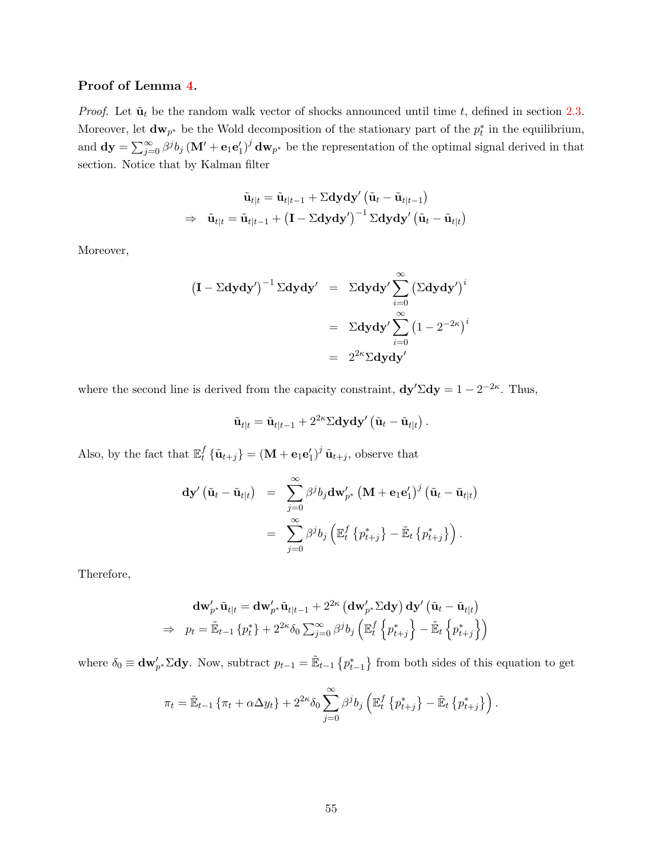## <span id="page-54-0"></span>Proof of Lemma [4.](#page-20-2)

*Proof.* Let  $\tilde{\mathbf{u}}_t$  be the random walk vector of shocks announced until time t, defined in section [2.3.](#page-14-2) Moreover, let  $dw_{p^*}$  be the Wold decomposition of the stationary part of the  $p_t^*$  in the equilibrium, and  $dy = \sum_{j=0}^{\infty} \beta^{j} b_{j} (\mathbf{M}' + \mathbf{e}_{1} \mathbf{e}'_{1})^{j} d\mathbf{w}_{p^{*}}$  be the representation of the optimal signal derived in that section. Notice that by Kalman filter

$$
\begin{aligned} \tilde{\mathbf{u}}_{t|t} &= \tilde{\mathbf{u}}_{t|t-1} + \Sigma \mathbf{dydy}' \left( \tilde{\mathbf{u}}_{t} - \tilde{\mathbf{u}}_{t|t-1} \right) \\ \Rightarrow \quad & \tilde{\mathbf{u}}_{t|t} = \tilde{\mathbf{u}}_{t|t-1} + \left( \mathbf{I} - \Sigma \mathbf{dydy}' \right)^{-1} \Sigma \mathbf{dydy}' \left( \tilde{\mathbf{u}}_{t} - \tilde{\mathbf{u}}_{t|t} \right) \end{aligned}
$$

Moreover,

$$
\begin{array}{rcl}\n\left(\mathbf{I} - \Sigma \mathbf{dy} \mathbf{dy}'\right)^{-1} \Sigma \mathbf{dy} \mathbf{dy}' & = & \Sigma \mathbf{dy} \mathbf{dy}' \sum_{i=0}^{\infty} \left(\Sigma \mathbf{dy} \mathbf{dy}'\right)^i \\
& = & \Sigma \mathbf{dy} \mathbf{dy}' \sum_{i=0}^{\infty} \left(1 - 2^{-2\kappa}\right)^i \\
& = & 2^{2\kappa} \Sigma \mathbf{dy} \mathbf{dy}'\n\end{array}
$$

where the second line is derived from the capacity constraint,  $dy'\Sigma dy = 1 - 2^{-2\kappa}$ . Thus,

$$
\tilde{\mathbf{u}}_{t|t} = \tilde{\mathbf{u}}_{t|t-1} + 2^{2\kappa} \Sigma \mathbf{dydy}' (\tilde{\mathbf{u}}_t - \tilde{\mathbf{u}}_{t|t}).
$$

Also, by the fact that  $\mathbb{E}_t^f$  $t^f_t \{\tilde{\mathbf{u}}_{t+j}\} = (\mathbf{M} + \mathbf{e}_1 \mathbf{e}'_1)^j \tilde{\mathbf{u}}_{t+j}$ , observe that

$$
\mathbf{dy}'\left(\tilde{\mathbf{u}}_t - \tilde{\mathbf{u}}_{t|t}\right) = \sum_{j=0}^{\infty} \beta^j b_j \mathbf{dw}'_{p^*} \left(\mathbf{M} + \mathbf{e}_1 \mathbf{e}'_1\right)^j \left(\tilde{\mathbf{u}}_t - \tilde{\mathbf{u}}_{t|t}\right)
$$

$$
= \sum_{j=0}^{\infty} \beta^j b_j \left(\mathbb{E}_t^f \left\{p^*_{t+j}\right\} - \tilde{\mathbb{E}}_t \left\{p^*_{t+j}\right\}\right).
$$

Therefore,

$$
\mathbf{d}\mathbf{w}'_{p^*}\tilde{\mathbf{u}}_{t|t} = \mathbf{d}\mathbf{w}'_{p^*}\tilde{\mathbf{u}}_{t|t-1} + 2^{2\kappa} (\mathbf{d}\mathbf{w}'_{p^*}\Sigma \mathbf{d}\mathbf{y}) \mathbf{d}\mathbf{y}' (\tilde{\mathbf{u}}_t - \tilde{\mathbf{u}}_{t|t})
$$
  
\n
$$
\Rightarrow \quad p_t = \tilde{\mathbb{E}}_{t-1} \{p_t^*\} + 2^{2\kappa} \delta_0 \sum_{j=0}^{\infty} \beta^j b_j \left( \mathbb{E}_t^f \left\{ p_{t+j}^* \right\} - \tilde{\mathbb{E}}_t \left\{ p_{t+j}^* \right\} \right)
$$

where  $\delta_0 \equiv \mathbf{dw}'_{p^*} \Sigma \mathbf{dy}$ . Now, subtract  $p_{t-1} = \mathbb{E}_{t-1} \{p^*_{t-1}\}\$  from both sides of this equation to get

$$
\pi_t = \tilde{\mathbb{E}}_{t-1} \left\{ \pi_t + \alpha \Delta y_t \right\} + 2^{2\kappa} \delta_0 \sum_{j=0}^{\infty} \beta^j b_j \left( \mathbb{E}_t^f \left\{ p_{t+j}^* \right\} - \tilde{\mathbb{E}}_t \left\{ p_{t+j}^* \right\} \right).
$$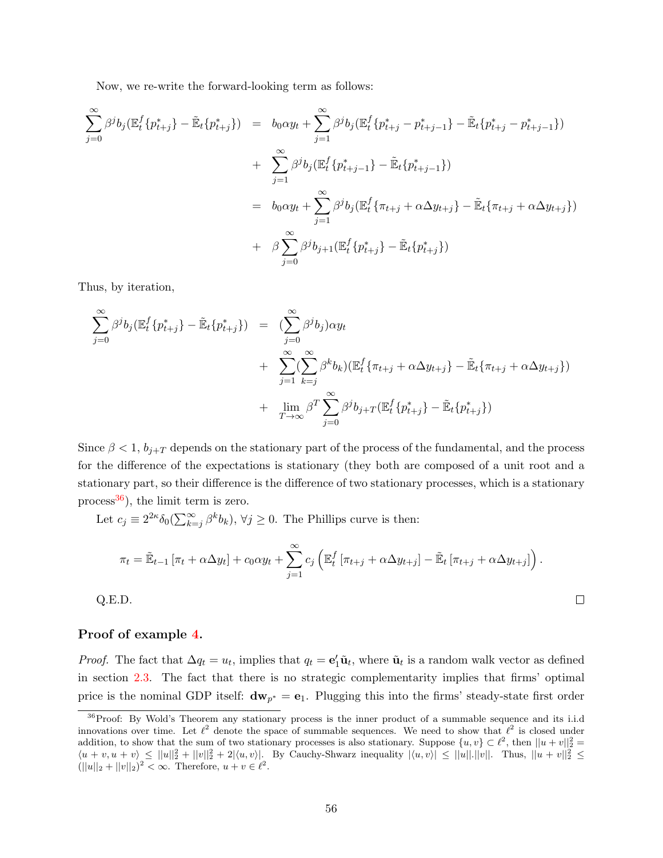Now, we re-write the forward-looking term as follows:

$$
\sum_{j=0}^{\infty} \beta^{j} b_{j} (\mathbb{E}_{t}^{f} \{ p_{t+j}^{*} \} - \tilde{\mathbb{E}}_{t} \{ p_{t+j}^{*} \}) = b_{0} \alpha y_{t} + \sum_{j=1}^{\infty} \beta^{j} b_{j} (\mathbb{E}_{t}^{f} \{ p_{t+j}^{*} - p_{t+j-1}^{*} \} - \tilde{\mathbb{E}}_{t} \{ p_{t+j}^{*} - p_{t+j-1}^{*} \})
$$
  
+ 
$$
\sum_{j=1}^{\infty} \beta^{j} b_{j} (\mathbb{E}_{t}^{f} \{ p_{t+j-1}^{*} \} - \tilde{\mathbb{E}}_{t} \{ p_{t+j-1}^{*} \})
$$
  
= 
$$
b_{0} \alpha y_{t} + \sum_{j=1}^{\infty} \beta^{j} b_{j} (\mathbb{E}_{t}^{f} \{ \pi_{t+j} + \alpha \Delta y_{t+j} \} - \tilde{\mathbb{E}}_{t} \{ \pi_{t+j} + \alpha \Delta y_{t+j} \})
$$
  
+ 
$$
\beta \sum_{j=0}^{\infty} \beta^{j} b_{j+1} (\mathbb{E}_{t}^{f} \{ p_{t+j}^{*} \} - \tilde{\mathbb{E}}_{t} \{ p_{t+j}^{*} \})
$$

Thus, by iteration,

$$
\sum_{j=0}^{\infty} \beta^j b_j (\mathbb{E}_t^f \{ p_{t+j}^* \} - \tilde{\mathbb{E}}_t \{ p_{t+j}^* \}) = \left( \sum_{j=0}^{\infty} \beta^j b_j \right) \alpha y_t \n+ \sum_{j=1}^{\infty} \left( \sum_{k=j}^{\infty} \beta^k b_k \right) \left( \mathbb{E}_t^f \{ \pi_{t+j} + \alpha \Delta y_{t+j} \} - \tilde{\mathbb{E}}_t \{ \pi_{t+j} + \alpha \Delta y_{t+j} \} \right) \n+ \lim_{T \to \infty} \beta^T \sum_{j=0}^{\infty} \beta^j b_{j+T} (\mathbb{E}_t^f \{ p_{t+j}^* \} - \tilde{\mathbb{E}}_t \{ p_{t+j}^* \})
$$

Since  $\beta < 1$ ,  $b_{j+T}$  depends on the stationary part of the process of the fundamental, and the process for the difference of the expectations is stationary (they both are composed of a unit root and a stationary part, so their difference is the difference of two stationary processes, which is a stationary process<sup>[36](#page-55-1)</sup>), the limit term is zero.

Let  $c_j \equiv 2^{2\kappa} \delta_0(\sum_{k=j}^{\infty} \beta^k b_k), \forall j \geq 0$ . The Phillips curve is then:

$$
\pi_t = \tilde{\mathbb{E}}_{t-1} \left[ \pi_t + \alpha \Delta y_t \right] + c_0 \alpha y_t + \sum_{j=1}^{\infty} c_j \left( \mathbb{E}_t^f \left[ \pi_{t+j} + \alpha \Delta y_{t+j} \right] - \tilde{\mathbb{E}}_t \left[ \pi_{t+j} + \alpha \Delta y_{t+j} \right] \right).
$$

 $\Box$ 

Q.E.D.

#### <span id="page-55-0"></span>Proof of example [4.](#page-20-1)

*Proof.* The fact that  $\Delta q_t = u_t$ , implies that  $q_t = e'_1 \tilde{u}_t$ , where  $\tilde{u}_t$  is a random walk vector as defined in section [2.3.](#page-14-2) The fact that there is no strategic complementarity implies that firms' optimal price is the nominal GDP itself:  $dw_{p^*} = e_1$ . Plugging this into the firms' steady-state first order

<span id="page-55-1"></span><sup>&</sup>lt;sup>36</sup>Proof: By Wold's Theorem any stationary process is the inner product of a summable sequence and its i.i.d innovations over time. Let  $\ell^2$  denote the space of summable sequences. We need to show that  $\ell^2$  is closed under addition, to show that the sum of two stationary processes is also stationary. Suppose  $\{u, v\} \subset \ell^2$ , then  $||u + v||_2^2 =$  $\langle u + v, u + v \rangle \leq ||u||_2^2 + ||v||_2^2 + 2|\langle u, v \rangle|$ . By Cauchy-Shwarz inequality  $|\langle u, v \rangle| \leq ||u||.||v||$ . Thus,  $||u + v||_2^2 \leq$  $(||u||_2 + ||v||_2)^2 < \infty$ . Therefore,  $u + v \in \ell^2$ .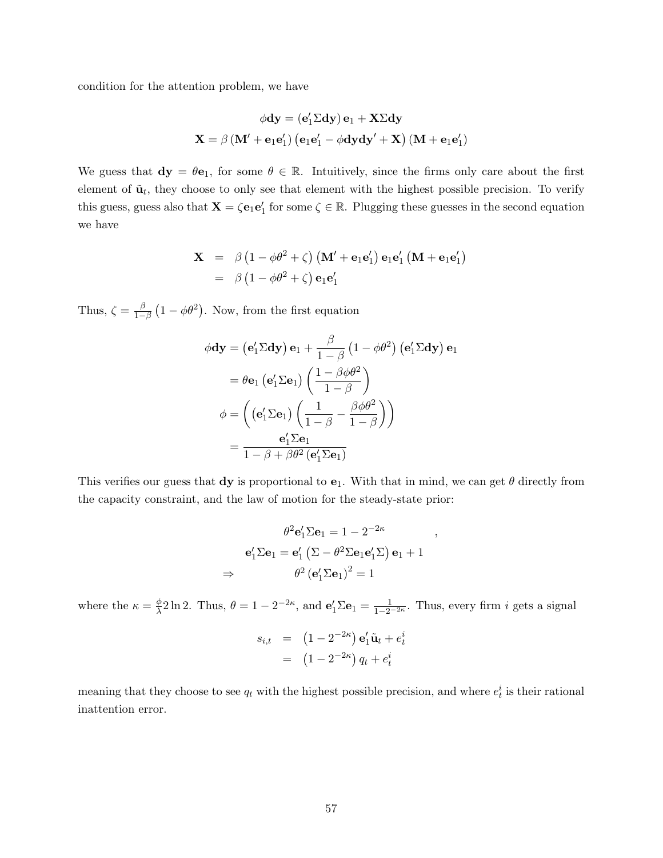condition for the attention problem, we have

$$
\phi\mathbf{dy} = \left(\mathbf{e}_1'\Sigma\mathbf{dy}\right)\mathbf{e}_1 + \mathbf{X}\Sigma\mathbf{dy}
$$
  

$$
\mathbf{X} = \beta\left(\mathbf{M}' + \mathbf{e}_1\mathbf{e}_1'\right)\left(\mathbf{e}_1\mathbf{e}_1' - \phi\mathbf{dy}\mathbf{dy}' + \mathbf{X}\right)\left(\mathbf{M} + \mathbf{e}_1\mathbf{e}_1'\right)
$$

We guess that  $dy = \theta e_1$ , for some  $\theta \in \mathbb{R}$ . Intuitively, since the firms only care about the first element of  $\tilde{\mathbf{u}}_t$ , they choose to only see that element with the highest possible precision. To verify this guess, guess also that  $\mathbf{X} = \zeta \mathbf{e}_1 \mathbf{e}'_1$  for some  $\zeta \in \mathbb{R}$ . Plugging these guesses in the second equation we have

$$
\mathbf{X} = \beta \left( 1 - \phi \theta^2 + \zeta \right) \left( \mathbf{M}' + \mathbf{e}_1 \mathbf{e}'_1 \right) \mathbf{e}_1 \mathbf{e}'_1 \left( \mathbf{M} + \mathbf{e}_1 \mathbf{e}'_1 \right)
$$
  
=  $\beta \left( 1 - \phi \theta^2 + \zeta \right) \mathbf{e}_1 \mathbf{e}'_1$ 

Thus,  $\zeta = \frac{\beta}{1}$  $\frac{\beta}{1-\beta}(1-\phi\theta^2)$ . Now, from the first equation

$$
\phi \mathbf{dy} = (\mathbf{e}'_1 \Sigma \mathbf{dy}) \mathbf{e}_1 + \frac{\beta}{1-\beta} (1 - \phi \theta^2) (\mathbf{e}'_1 \Sigma \mathbf{dy}) \mathbf{e}_1
$$

$$
= \theta \mathbf{e}_1 (\mathbf{e}'_1 \Sigma \mathbf{e}_1) \left( \frac{1 - \beta \phi \theta^2}{1 - \beta} \right)
$$

$$
\phi = \left( (\mathbf{e}'_1 \Sigma \mathbf{e}_1) \left( \frac{1}{1 - \beta} - \frac{\beta \phi \theta^2}{1 - \beta} \right) \right)
$$

$$
= \frac{\mathbf{e}'_1 \Sigma \mathbf{e}_1}{1 - \beta + \beta \theta^2 (\mathbf{e}'_1 \Sigma \mathbf{e}_1)}
$$

This verifies our guess that  $dy$  is proportional to  $e_1$ . With that in mind, we can get  $\theta$  directly from the capacity constraint, and the law of motion for the steady-state prior:

,

$$
\theta^2 \mathbf{e}'_1 \Sigma \mathbf{e}_1 = 1 - 2^{-2\kappa}
$$

$$
\mathbf{e}'_1 \Sigma \mathbf{e}_1 = \mathbf{e}'_1 \left( \Sigma - \theta^2 \Sigma \mathbf{e}_1 \mathbf{e}'_1 \Sigma \right) \mathbf{e}_1 + 1
$$

$$
\Rightarrow \qquad \theta^2 \left( \mathbf{e}'_1 \Sigma \mathbf{e}_1 \right)^2 = 1
$$

where the  $\kappa = \frac{\phi}{\lambda}$  $\frac{\phi}{\lambda}$ 2 ln 2. Thus,  $\theta = 1 - 2^{-2\kappa}$ , and  $\mathbf{e}'_1 \Sigma \mathbf{e}_1 = \frac{1}{1 - 2^{-2\kappa}}$ . Thus, every firm *i* gets a signal

$$
s_{i,t} = (1 - 2^{-2\kappa}) \mathbf{e}'_1 \tilde{\mathbf{u}}_t + e_t^i
$$

$$
= (1 - 2^{-2\kappa}) q_t + e_t^i
$$

meaning that they choose to see  $q_t$  with the highest possible precision, and where  $e_t^i$  is their rational inattention error.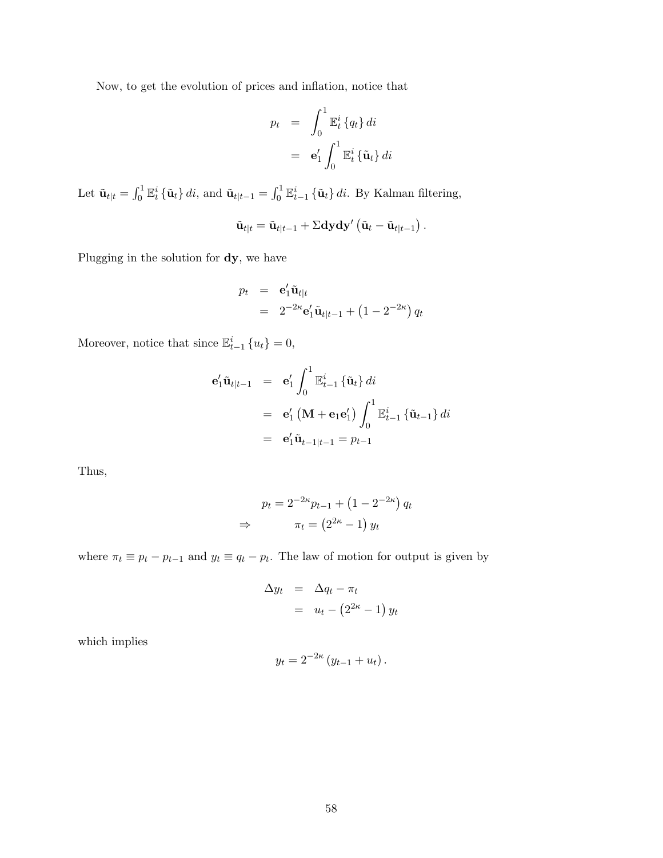Now, to get the evolution of prices and inflation, notice that

$$
p_t = \int_0^1 \mathbb{E}_t^i \{q_t\} dt
$$
  
=  $\mathbf{e}'_1 \int_0^1 \mathbb{E}_t^i \{\tilde{\mathbf{u}}_t\} dt$ 

Let  $\tilde{\mathbf{u}}_{t|t} = \int_0^1 \mathbb{E}_t^i {\{\tilde{\mathbf{u}}_t\}} dt$ , and  $\tilde{\mathbf{u}}_{t|t-1} = \int_0^1 \mathbb{E}_{t-1}^i {\{\tilde{\mathbf{u}}_t\}} dt$ . By Kalman filtering,

$$
\tilde{\mathbf{u}}_{t|t} = \tilde{\mathbf{u}}_{t|t-1} + \Sigma \mathbf{dydy}' (\tilde{\mathbf{u}}_t - \tilde{\mathbf{u}}_{t|t-1}).
$$

Plugging in the solution for dy, we have

$$
p_t = \mathbf{e}'_1 \tilde{\mathbf{u}}_{t|t}
$$
  
=  $2^{-2\kappa} \mathbf{e}'_1 \tilde{\mathbf{u}}_{t|t-1} + (1 - 2^{-2\kappa}) q_t$ 

Moreover, notice that since  $\mathbb{E}_{t-1}^i \{u_t\} = 0$ ,

$$
\begin{aligned}\n\mathbf{e}'_1 \tilde{\mathbf{u}}_{t|t-1} &= \mathbf{e}'_1 \int_0^1 \mathbb{E}_{t-1}^i \left\{ \tilde{\mathbf{u}}_t \right\} di \\
&= \mathbf{e}'_1 \left( \mathbf{M} + \mathbf{e}_1 \mathbf{e}'_1 \right) \int_0^1 \mathbb{E}_{t-1}^i \left\{ \tilde{\mathbf{u}}_{t-1} \right\} di \\
&= \mathbf{e}'_1 \tilde{\mathbf{u}}_{t-1|t-1} = p_{t-1}\n\end{aligned}
$$

Thus,

$$
p_t = 2^{-2\kappa} p_{t-1} + (1 - 2^{-2\kappa}) q_t
$$
  
\n
$$
\Rightarrow \qquad \pi_t = (2^{2\kappa} - 1) y_t
$$

where  $\pi_t \equiv p_t - p_{t-1}$  and  $y_t \equiv q_t - p_t$ . The law of motion for output is given by

$$
\Delta y_t = \Delta q_t - \pi_t
$$
  
=  $u_t - (2^{2\kappa} - 1) y_t$ 

which implies

$$
y_t = 2^{-2\kappa} (y_{t-1} + u_t).
$$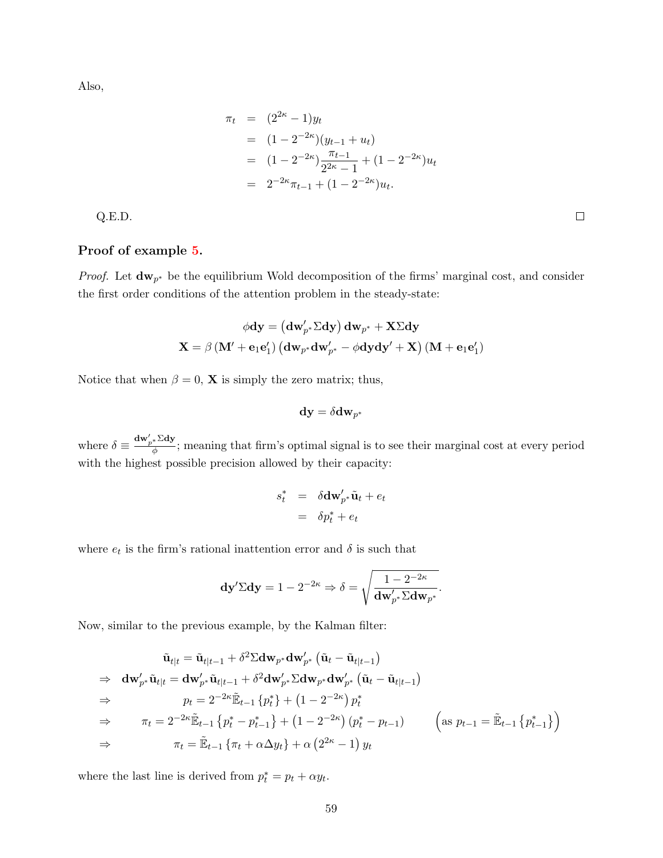Also,

$$
\pi_t = (2^{2\kappa} - 1)y_t
$$
  
=  $(1 - 2^{-2\kappa})(y_{t-1} + u_t)$   
=  $(1 - 2^{-2\kappa})\frac{\pi_{t-1}}{2^{2\kappa} - 1} + (1 - 2^{-2\kappa})u_t$   
=  $2^{-2\kappa}\pi_{t-1} + (1 - 2^{-2\kappa})u_t.$ 

Q.E.D.

## <span id="page-58-0"></span>Proof of example [5.](#page-21-1)

*Proof.* Let  $dw_{p^*}$  be the equilibrium Wold decomposition of the firms' marginal cost, and consider the first order conditions of the attention problem in the steady-state:

$$
\phi \textbf{dy} = \left(\textbf{dw}_{p^*}' \Sigma \textbf{dy}\right) \textbf{dw}_{p^*} + \textbf{X} \Sigma \textbf{dy}
$$

$$
\textbf{X} = \beta \left(\textbf{M}' + \textbf{e}_1 \textbf{e}'_1\right) \left(\textbf{dw}_{p^*} \textbf{dw}_{p^*}' - \phi \textbf{dy} \textbf{dy}' + \textbf{X}\right) \left(\textbf{M} + \textbf{e}_1 \textbf{e}'_1\right)
$$

Notice that when  $\beta = 0$ , **X** is simply the zero matrix; thus,

$$
\mathbf{dy} = \delta \mathbf{dw}_{p^*}
$$

where  $\delta \equiv \frac{\mathrm{d} \mathbf{w}'_{p^*} \Sigma \mathrm{d} \mathbf{y}}{\delta}$  $\frac{1}{\phi}$ ; meaning that firm's optimal signal is to see their marginal cost at every period with the highest possible precision allowed by their capacity:

$$
s_t^* = \delta \mathbf{d} \mathbf{w}'_{p^*} \tilde{\mathbf{u}}_t + e_t
$$

$$
= \delta p_t^* + e_t
$$

where  $e_t$  is the firm's rational inattention error and  $\delta$  is such that

$$
\mathbf{dy}' \Sigma \mathbf{dy} = 1 - 2^{-2\kappa} \Rightarrow \delta = \sqrt{\frac{1 - 2^{-2\kappa}}{\mathbf{dw}'_{p^*} \Sigma \mathbf{dw}_{p^*}}}.
$$

Now, similar to the previous example, by the Kalman filter:

$$
\tilde{\mathbf{u}}_{t|t} = \tilde{\mathbf{u}}_{t|t-1} + \delta^2 \Sigma \mathbf{d} \mathbf{w}_{p^*} \mathbf{d} \mathbf{w}_{p^*}' \left( \tilde{\mathbf{u}}_t - \tilde{\mathbf{u}}_{t|t-1} \right)
$$
\n
$$
\Rightarrow \mathbf{d} \mathbf{w}_{p^*}' \tilde{\mathbf{u}}_{t|t} = \mathbf{d} \mathbf{w}_{p^*}' \tilde{\mathbf{u}}_{t|t-1} + \delta^2 \mathbf{d} \mathbf{w}_{p^*}' \Sigma \mathbf{d} \mathbf{w}_{p^*} \mathbf{d} \mathbf{w}_{p^*}' \left( \tilde{\mathbf{u}}_t - \tilde{\mathbf{u}}_{t|t-1} \right)
$$
\n
$$
\Rightarrow \qquad p_t = 2^{-2\kappa} \tilde{\mathbb{E}}_{t-1} \left\{ p_t^* \right\} + \left( 1 - 2^{-2\kappa} \right) p_t^*
$$
\n
$$
\Rightarrow \qquad \pi_t = 2^{-2\kappa} \tilde{\mathbb{E}}_{t-1} \left\{ p_t^* - p_{t-1}^* \right\} + \left( 1 - 2^{-2\kappa} \right) \left( p_t^* - p_{t-1} \right) \qquad \left( \text{as } p_{t-1} = \tilde{\mathbb{E}}_{t-1} \left\{ p_{t-1}^* \right\} \right)
$$
\n
$$
\Rightarrow \qquad \pi_t = \tilde{\mathbb{E}}_{t-1} \left\{ \pi_t + \alpha \Delta y_t \right\} + \alpha \left( 2^{2\kappa} - 1 \right) y_t
$$

where the last line is derived from  $p_t^* = p_t + \alpha y_t$ .

 $\Box$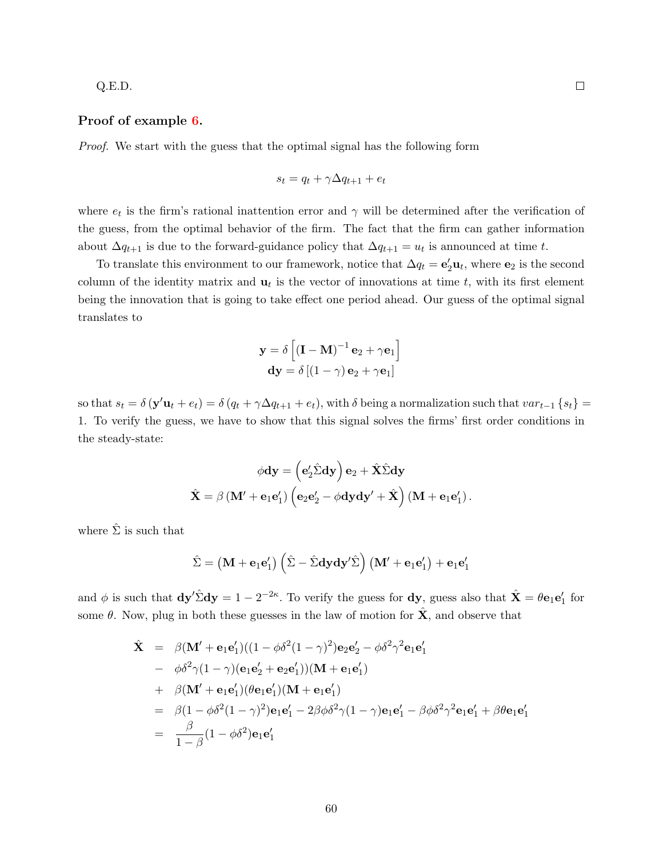#### Q.E.D.

### <span id="page-59-0"></span>Proof of example [6.](#page-22-1)

Proof. We start with the guess that the optimal signal has the following form

$$
s_t = q_t + \gamma \Delta q_{t+1} + e_t
$$

where  $e_t$  is the firm's rational inattention error and  $\gamma$  will be determined after the verification of the guess, from the optimal behavior of the firm. The fact that the firm can gather information about  $\Delta q_{t+1}$  is due to the forward-guidance policy that  $\Delta q_{t+1} = u_t$  is announced at time t.

To translate this environment to our framework, notice that  $\Delta q_t = \mathbf{e}'_2 \mathbf{u}_t$ , where  $\mathbf{e}_2$  is the second column of the identity matrix and  $\mathbf{u}_t$  is the vector of innovations at time t, with its first element being the innovation that is going to take effect one period ahead. Our guess of the optimal signal translates to

$$
\mathbf{y} = \delta \left[ (\mathbf{I} - \mathbf{M})^{-1} \mathbf{e}_2 + \gamma \mathbf{e}_1 \right]
$$

$$
\mathbf{dy} = \delta \left[ (1 - \gamma) \mathbf{e}_2 + \gamma \mathbf{e}_1 \right]
$$

so that  $s_t = \delta(\mathbf{y}'\mathbf{u}_t + e_t) = \delta(q_t + \gamma \Delta q_{t+1} + e_t)$ , with  $\delta$  being a normalization such that  $var_{t-1}\{s_t\}$ 1. To verify the guess, we have to show that this signal solves the firms' first order conditions in the steady-state:

$$
\phi \mathbf{dy} = \left(\mathbf{e}'_2 \hat{\Sigma} \mathbf{dy}\right) \mathbf{e}_2 + \hat{\mathbf{X}} \hat{\Sigma} \mathbf{dy}
$$

$$
\hat{\mathbf{X}} = \beta \left(\mathbf{M}' + \mathbf{e}_1 \mathbf{e}'_1\right) \left(\mathbf{e}_2 \mathbf{e}'_2 - \phi \mathbf{dy} \mathbf{dy}' + \hat{\mathbf{X}}\right) \left(\mathbf{M} + \mathbf{e}_1 \mathbf{e}'_1\right).
$$

where  $\hat{\Sigma}$  is such that

$$
\hat{\Sigma} = \left(\mathbf{M} + \mathbf{e}_1 \mathbf{e}'_1\right) \left(\hat{\Sigma} - \hat{\Sigma} \mathbf{dy} \mathbf{dy}' \hat{\Sigma}\right) \left(\mathbf{M}' + \mathbf{e}_1 \mathbf{e}'_1\right) + \mathbf{e}_1 \mathbf{e}'_1
$$

and  $\phi$  is such that  $dy' \hat{\Sigma} dy = 1 - 2^{-2\kappa}$ . To verify the guess for  $dy$ , guess also that  $\hat{\mathbf{X}} = \theta \mathbf{e}_1 \mathbf{e}'_1$  for some  $\theta$ . Now, plug in both these guesses in the law of motion for  $\hat{\mathbf{X}}$ , and observe that

$$
\hat{\mathbf{X}} = \beta(\mathbf{M}' + \mathbf{e}_1 \mathbf{e}'_1)((1 - \phi \delta^2 (1 - \gamma)^2) \mathbf{e}_2 \mathbf{e}'_2 - \phi \delta^2 \gamma^2 \mathbf{e}_1 \mathbf{e}'_1 \n- \phi \delta^2 \gamma (1 - \gamma) (\mathbf{e}_1 \mathbf{e}'_2 + \mathbf{e}_2 \mathbf{e}'_1)) (\mathbf{M} + \mathbf{e}_1 \mathbf{e}'_1) \n+ \beta(\mathbf{M}' + \mathbf{e}_1 \mathbf{e}'_1) (\theta \mathbf{e}_1 \mathbf{e}'_1) (\mathbf{M} + \mathbf{e}_1 \mathbf{e}'_1) \n= \beta(1 - \phi \delta^2 (1 - \gamma)^2) \mathbf{e}_1 \mathbf{e}'_1 - 2\beta \phi \delta^2 \gamma (1 - \gamma) \mathbf{e}_1 \mathbf{e}'_1 - \beta \phi \delta^2 \gamma^2 \mathbf{e}_1 \mathbf{e}'_1 + \beta \theta \mathbf{e}_1 \mathbf{e}'_1 \n= \frac{\beta}{1 - \beta} (1 - \phi \delta^2) \mathbf{e}_1 \mathbf{e}'_1
$$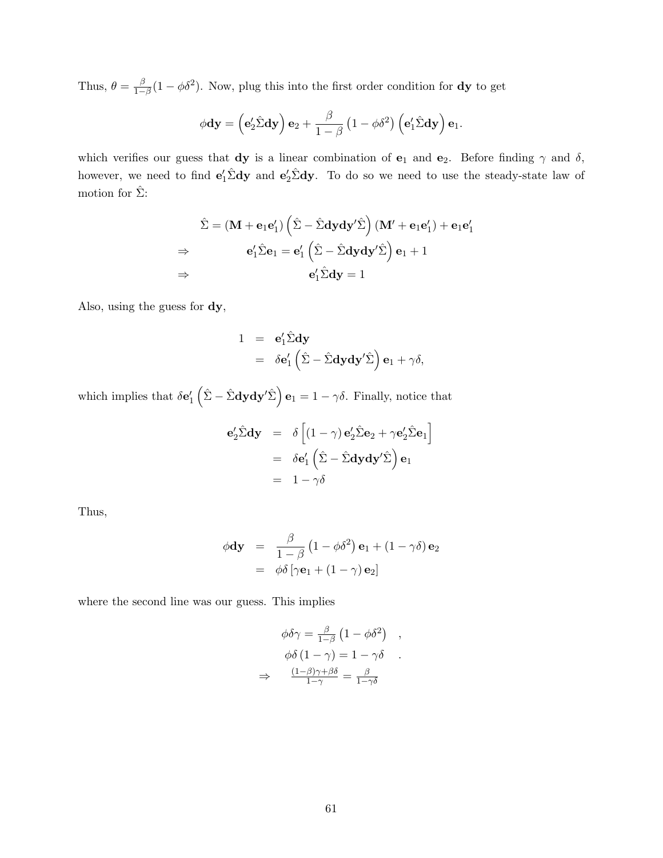Thus,  $\theta = \frac{\beta}{1}$  $\frac{\beta}{1-\beta}(1-\phi\delta^2)$ . Now, plug this into the first order condition for **dy** to get

$$
\phi \mathbf{dy} = \left(\mathbf{e}_2'\hat{\Sigma}\mathbf{dy}\right)\mathbf{e}_2 + \frac{\beta}{1-\beta}\left(1-\phi\delta^2\right)\left(\mathbf{e}_1'\hat{\Sigma}\mathbf{dy}\right)\mathbf{e}_1.
$$

which verifies our guess that dy is a linear combination of  $e_1$  and  $e_2$ . Before finding  $\gamma$  and  $\delta$ , however, we need to find  $e'_1\hat{\Sigma}dy$  and  $e'_2\hat{\Sigma}dy$ . To do so we need to use the steady-state law of motion for  $\hat{\Sigma}$ :

$$
\hat{\Sigma} = (\mathbf{M} + \mathbf{e}_1 \mathbf{e}'_1) \left( \hat{\Sigma} - \hat{\Sigma} \mathbf{dy} \mathbf{dy}' \hat{\Sigma} \right) (\mathbf{M}' + \mathbf{e}_1 \mathbf{e}'_1) + \mathbf{e}_1 \mathbf{e}'_1
$$
\n
$$
\Rightarrow \qquad \mathbf{e}'_1 \hat{\Sigma} \mathbf{e}_1 = \mathbf{e}'_1 \left( \hat{\Sigma} - \hat{\Sigma} \mathbf{dy} \mathbf{dy}' \hat{\Sigma} \right) \mathbf{e}_1 + 1
$$
\n
$$
\Rightarrow \qquad \mathbf{e}'_1 \hat{\Sigma} \mathbf{dy} = 1
$$

Also, using the guess for dy,

$$
1 = e'_1 \hat{\Sigma} d y
$$
  
=  $\delta e'_1 (\hat{\Sigma} - \hat{\Sigma} d y d y' \hat{\Sigma}) e_1 + \gamma \delta,$ 

which implies that  $\delta \mathbf{e}'_1(\hat{\Sigma} - \hat{\Sigma} \mathbf{dy} \mathbf{dy}' \hat{\Sigma}) \mathbf{e}_1 = 1 - \gamma \delta$ . Finally, notice that

$$
\mathbf{e}'_2 \hat{\Sigma} \mathbf{dy} = \delta \left[ (1 - \gamma) \mathbf{e}'_2 \hat{\Sigma} \mathbf{e}_2 + \gamma \mathbf{e}'_2 \hat{\Sigma} \mathbf{e}_1 \right]
$$
  
=  $\delta \mathbf{e}'_1 \left( \hat{\Sigma} - \hat{\Sigma} \mathbf{dy} \mathbf{dy}' \hat{\Sigma} \right) \mathbf{e}_1$   
=  $1 - \gamma \delta$ 

Thus,

$$
\phi \mathbf{dy} = \frac{\beta}{1-\beta} (1-\phi\delta^2) \mathbf{e}_1 + (1-\gamma\delta) \mathbf{e}_2
$$

$$
= \phi\delta [\gamma \mathbf{e}_1 + (1-\gamma) \mathbf{e}_2]
$$

where the second line was our guess. This implies

$$
\phi \delta \gamma = \frac{\beta}{1-\beta} \left( 1 - \phi \delta^2 \right) ,
$$

$$
\phi \delta \left( 1 - \gamma \right) = 1 - \gamma \delta ,
$$

$$
\Rightarrow \frac{(1-\beta)\gamma + \beta \delta}{1-\gamma} = \frac{\beta}{1-\gamma \delta} .
$$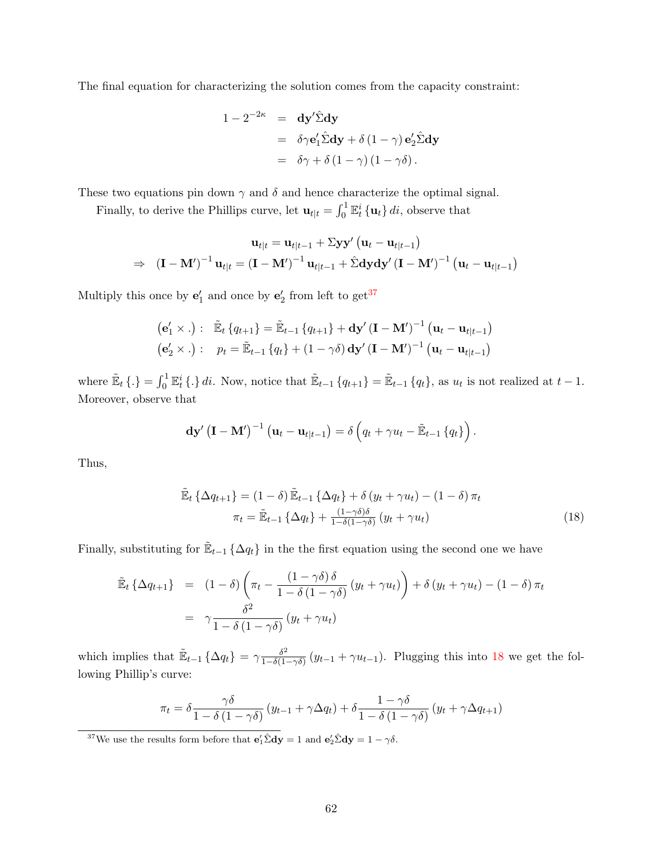The final equation for characterizing the solution comes from the capacity constraint:

$$
1 - 2^{-2\kappa} = dy' \hat{\Sigma} dy
$$
  
=  $\delta \gamma e'_1 \hat{\Sigma} dy + \delta (1 - \gamma) e'_2 \hat{\Sigma} dy$   
=  $\delta \gamma + \delta (1 - \gamma) (1 - \gamma \delta).$ 

These two equations pin down  $\gamma$  and  $\delta$  and hence characterize the optimal signal.

Finally, to derive the Phillips curve, let  $\mathbf{u}_{t|t} = \int_0^1 \mathbb{E}_t^i \{\mathbf{u}_t\} dt$ , observe that

$$
\mathbf{u}_{t|t} = \mathbf{u}_{t|t-1} + \Sigma \mathbf{y} \mathbf{y}' (\mathbf{u}_t - \mathbf{u}_{t|t-1})
$$
  
\n
$$
\Rightarrow (\mathbf{I} - \mathbf{M}')^{-1} \mathbf{u}_{t|t} = (\mathbf{I} - \mathbf{M}')^{-1} \mathbf{u}_{t|t-1} + \hat{\Sigma} \mathbf{dy} \mathbf{dy}' (\mathbf{I} - \mathbf{M}')^{-1} (\mathbf{u}_t - \mathbf{u}_{t|t-1})
$$

Multiply this once by  $\mathbf{e}'_1$  and once by  $\mathbf{e}'_2$  from left to  $\text{get}^{37}$  $\text{get}^{37}$  $\text{get}^{37}$ 

$$
(\mathbf{e}'_1 \times .): \quad \tilde{\mathbb{E}}_t \left\{ q_{t+1} \right\} = \tilde{\mathbb{E}}_{t-1} \left\{ q_{t+1} \right\} + \mathbf{dy}' (\mathbf{I} - \mathbf{M}')^{-1} (\mathbf{u}_t - \mathbf{u}_{t|t-1})
$$

$$
(\mathbf{e}'_2 \times .): \quad p_t = \tilde{\mathbb{E}}_{t-1} \left\{ q_t \right\} + (1 - \gamma \delta) \mathbf{dy}' (\mathbf{I} - \mathbf{M}')^{-1} (\mathbf{u}_t - \mathbf{u}_{t|t-1})
$$

where  $\mathbb{E}_t \{\cdot\} = \int_0^1 \mathbb{E}_t^i \{\cdot\} dt$ . Now, notice that  $\mathbb{E}_{t-1} \{q_{t+1}\} = \mathbb{E}_{t-1} \{q_t\}$ , as  $u_t$  is not realized at  $t-1$ . Moreover, observe that

$$
\mathbf{dy}'\left(\mathbf{I}-\mathbf{M}'\right)^{-1}\left(\mathbf{u}_t-\mathbf{u}_{t|t-1}\right)=\delta\left(q_t+\gamma u_t-\tilde{\mathbb{E}}_{t-1}\left\{q_t\right\}\right).
$$

Thus,

<span id="page-61-1"></span>
$$
\tilde{\mathbb{E}}_t \left\{ \Delta q_{t+1} \right\} = (1 - \delta) \tilde{\mathbb{E}}_{t-1} \left\{ \Delta q_t \right\} + \delta \left( y_t + \gamma u_t \right) - (1 - \delta) \pi_t
$$
\n
$$
\pi_t = \tilde{\mathbb{E}}_{t-1} \left\{ \Delta q_t \right\} + \frac{(1 - \gamma \delta)\delta}{1 - \delta(1 - \gamma \delta)} \left( y_t + \gamma u_t \right) \tag{18}
$$

Finally, substituting for  $\mathbb{E}_{t-1} \{\Delta q_t\}$  in the the first equation using the second one we have

$$
\tilde{\mathbb{E}}_t \left\{ \Delta q_{t+1} \right\} = (1 - \delta) \left( \pi_t - \frac{(1 - \gamma \delta) \delta}{1 - \delta (1 - \gamma \delta)} (y_t + \gamma u_t) \right) + \delta (y_t + \gamma u_t) - (1 - \delta) \pi_t
$$
\n
$$
= \gamma \frac{\delta^2}{1 - \delta (1 - \gamma \delta)} (y_t + \gamma u_t)
$$

which implies that  $\mathbb{E}_{t-1} \left\{ \Delta q_t \right\} = \gamma \frac{\delta^2}{1 - \delta(1 - t)}$  $\frac{\delta^2}{1-\delta(1-\gamma\delta)}(y_{t-1}+\gamma u_{t-1})$ . Plugging this into [18](#page-61-1) we get the following Phillip's curve:

$$
\pi_t = \delta \frac{\gamma \delta}{1 - \delta (1 - \gamma \delta)} (y_{t-1} + \gamma \Delta q_t) + \delta \frac{1 - \gamma \delta}{1 - \delta (1 - \gamma \delta)} (y_t + \gamma \Delta q_{t+1})
$$

<span id="page-61-0"></span><sup>37</sup>We use the results form before that  $\mathbf{e}'_1 \hat{\Sigma} \mathbf{dy} = 1$  and  $\mathbf{e}'_2 \hat{\Sigma} \mathbf{dy} = 1 - \gamma \delta$ .